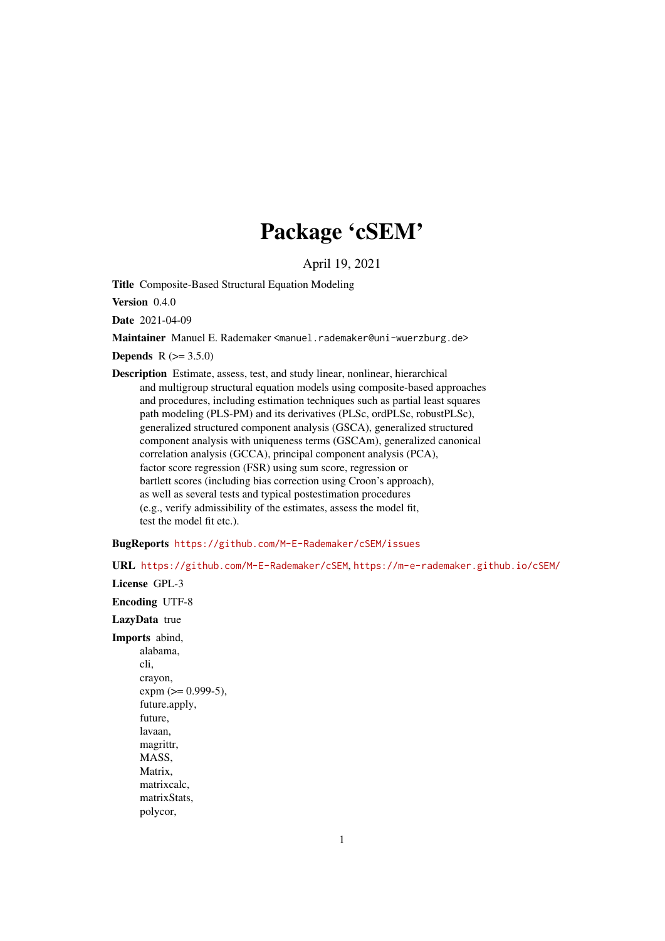# Package 'cSEM'

April 19, 2021

<span id="page-0-0"></span>Title Composite-Based Structural Equation Modeling

Version 0.4.0

Date 2021-04-09

Maintainer Manuel E. Rademaker <manuel.rademaker@uni-wuerzburg.de>

**Depends**  $R (= 3.5.0)$ 

Description Estimate, assess, test, and study linear, nonlinear, hierarchical and multigroup structural equation models using composite-based approaches and procedures, including estimation techniques such as partial least squares path modeling (PLS-PM) and its derivatives (PLSc, ordPLSc, robustPLSc), generalized structured component analysis (GSCA), generalized structured component analysis with uniqueness terms (GSCAm), generalized canonical correlation analysis (GCCA), principal component analysis (PCA), factor score regression (FSR) using sum score, regression or bartlett scores (including bias correction using Croon's approach), as well as several tests and typical postestimation procedures (e.g., verify admissibility of the estimates, assess the model fit, test the model fit etc.).

BugReports <https://github.com/M-E-Rademaker/cSEM/issues>

URL <https://github.com/M-E-Rademaker/cSEM>, <https://m-e-rademaker.github.io/cSEM/>

License GPL-3

Encoding UTF-8

LazyData true

Imports abind, alabama, cli, crayon,  $expm (> = 0.999-5)$ , future.apply, future, lavaan, magrittr, MASS, Matrix, matrixcalc, matrixStats, polycor,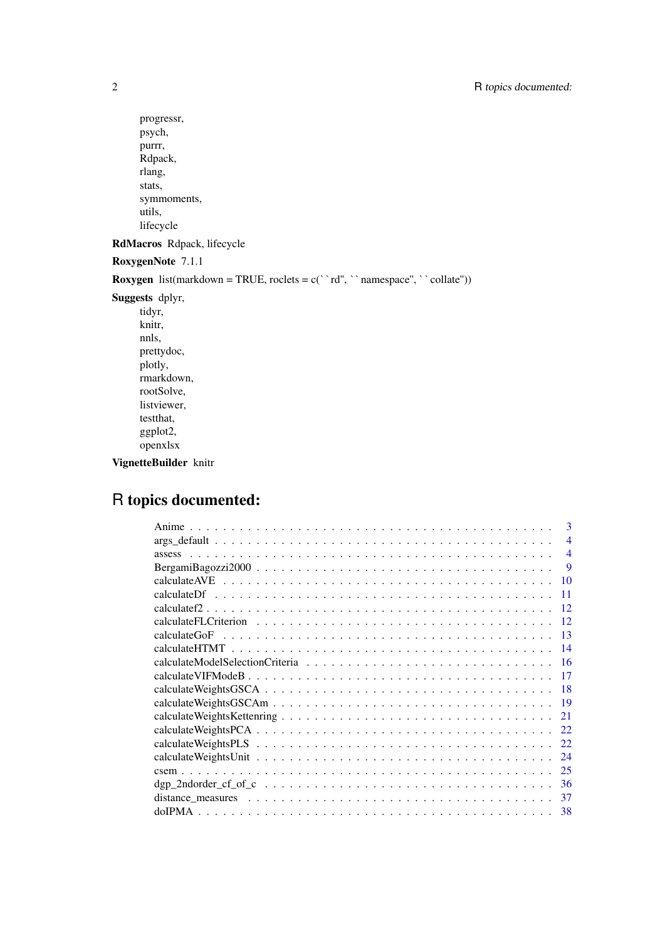```
progressr,
psych,
purrr,
Rdpack,
rlang,
stats,
symmoments,
utils,
lifecycle
```
RdMacros Rdpack, lifecycle

RoxygenNote 7.1.1

**Roxygen** list(markdown = TRUE, roclets =  $c('r d'', '' \name{s})$  namespace", ''collate''))

Suggests dplyr,

tidyr, knitr, nnls, prettydoc, plotly, rmarkdown, rootSolve, listviewer, testthat, ggplot2, openxlsx

VignetteBuilder knitr

# R topics documented:

| 3                                                                                                                    |
|----------------------------------------------------------------------------------------------------------------------|
| $\overline{\mathcal{A}}$                                                                                             |
| $\overline{\mathcal{A}}$                                                                                             |
| 9                                                                                                                    |
| 10                                                                                                                   |
| 11                                                                                                                   |
| 12                                                                                                                   |
| 12                                                                                                                   |
| calculateGoF<br>13                                                                                                   |
| 14                                                                                                                   |
| -16                                                                                                                  |
| 17                                                                                                                   |
| -18                                                                                                                  |
| -19                                                                                                                  |
| 21                                                                                                                   |
| 22                                                                                                                   |
| 22                                                                                                                   |
| 24                                                                                                                   |
| 25                                                                                                                   |
| 36                                                                                                                   |
| 37<br>distance measures $\ldots \ldots \ldots \ldots \ldots \ldots \ldots \ldots \ldots \ldots \ldots \ldots \ldots$ |
| 38                                                                                                                   |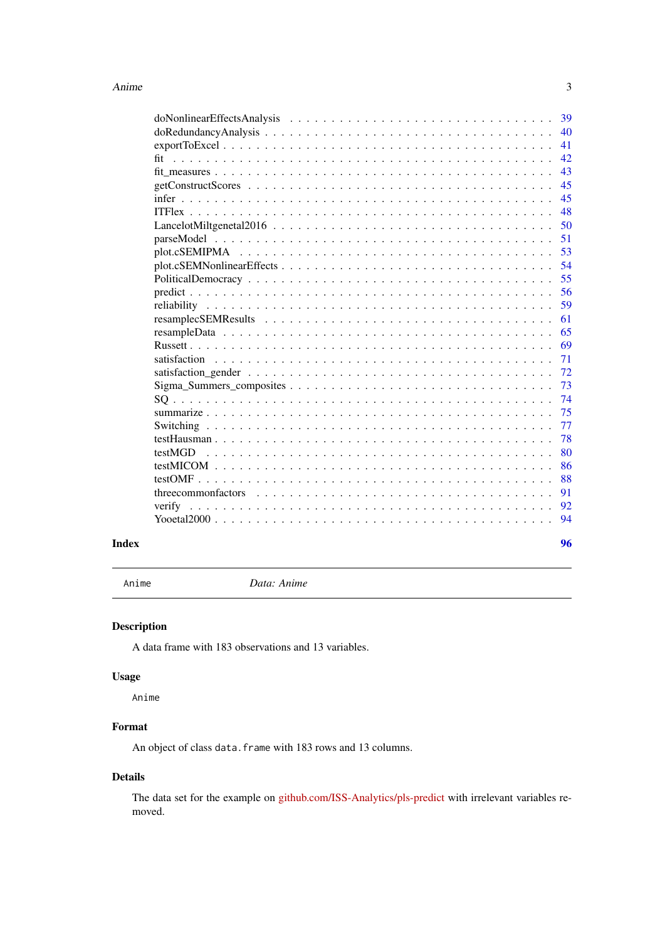<span id="page-2-0"></span>

|                                                                                                           | 40 |
|-----------------------------------------------------------------------------------------------------------|----|
|                                                                                                           | 41 |
|                                                                                                           | 42 |
|                                                                                                           | 43 |
|                                                                                                           | 45 |
|                                                                                                           | 45 |
|                                                                                                           | 48 |
|                                                                                                           | 50 |
|                                                                                                           | 51 |
|                                                                                                           | 53 |
|                                                                                                           | 54 |
|                                                                                                           | 55 |
|                                                                                                           | 56 |
|                                                                                                           | 59 |
|                                                                                                           | 61 |
|                                                                                                           | 65 |
|                                                                                                           | 69 |
|                                                                                                           | 71 |
|                                                                                                           | 72 |
| $Sigma\_Summers\_composites \ldots \ldots \ldots \ldots \ldots \ldots \ldots \ldots \ldots \ldots \ldots$ | 73 |
|                                                                                                           | 74 |
|                                                                                                           | 75 |
|                                                                                                           | 77 |
|                                                                                                           | 78 |
|                                                                                                           | 80 |
|                                                                                                           | 86 |
|                                                                                                           | 88 |
|                                                                                                           | 91 |
|                                                                                                           | 92 |
|                                                                                                           | 94 |
|                                                                                                           |    |

#### **Index [96](#page-95-0)**

Anime *Data: Anime*

# Description

A data frame with 183 observations and 13 variables.

# Usage

Anime

# Format

An object of class data.frame with 183 rows and 13 columns.

# Details

The data set for the example on [github.com/ISS-Analytics/pls-predict](https://github.com/ISS-Analytics/pls-predict) with irrelevant variables removed.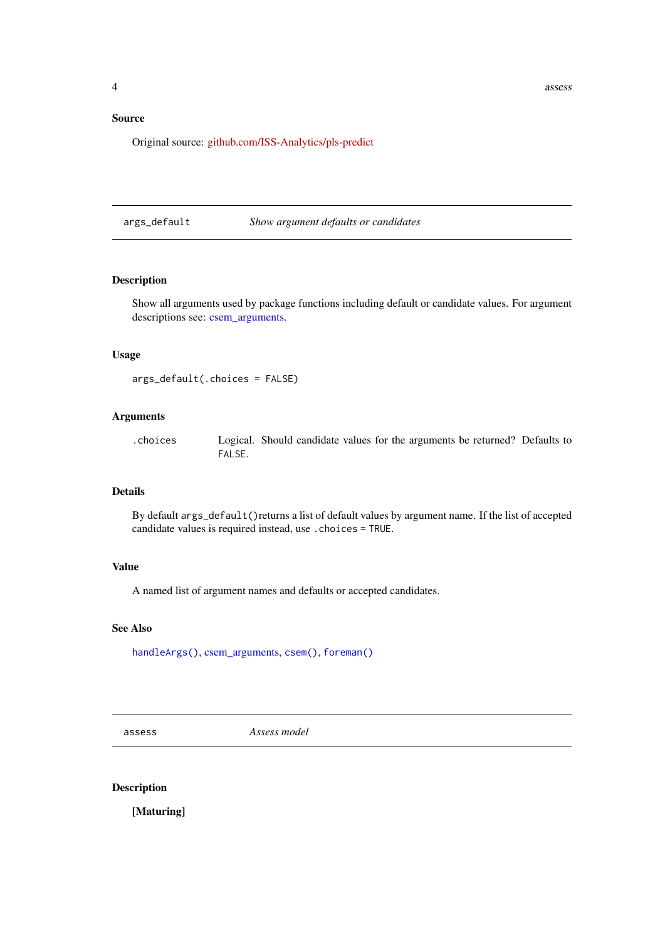# <span id="page-3-0"></span>Source

Original source: [github.com/ISS-Analytics/pls-predict](https://github.com/ISS-Analytics/pls-predict)

#### <span id="page-3-2"></span>args\_default *Show argument defaults or candidates*

# Description

Show all arguments used by package functions including default or candidate values. For argument descriptions see: [csem\\_arguments.](#page-0-0)

# Usage

args\_default(.choices = FALSE)

# Arguments

.choices Logical. Should candidate values for the arguments be returned? Defaults to FALSE.

#### Details

By default args\_default()returns a list of default values by argument name. If the list of accepted candidate values is required instead, use .choices = TRUE.

## Value

A named list of argument names and defaults or accepted candidates.

# See Also

[handleArgs\(\)](#page-0-0), [csem\\_arguments,](#page-0-0) [csem\(\)](#page-24-1), [foreman\(\)](#page-0-0)

<span id="page-3-1"></span>assess *Assess model*

# Description

[Maturing]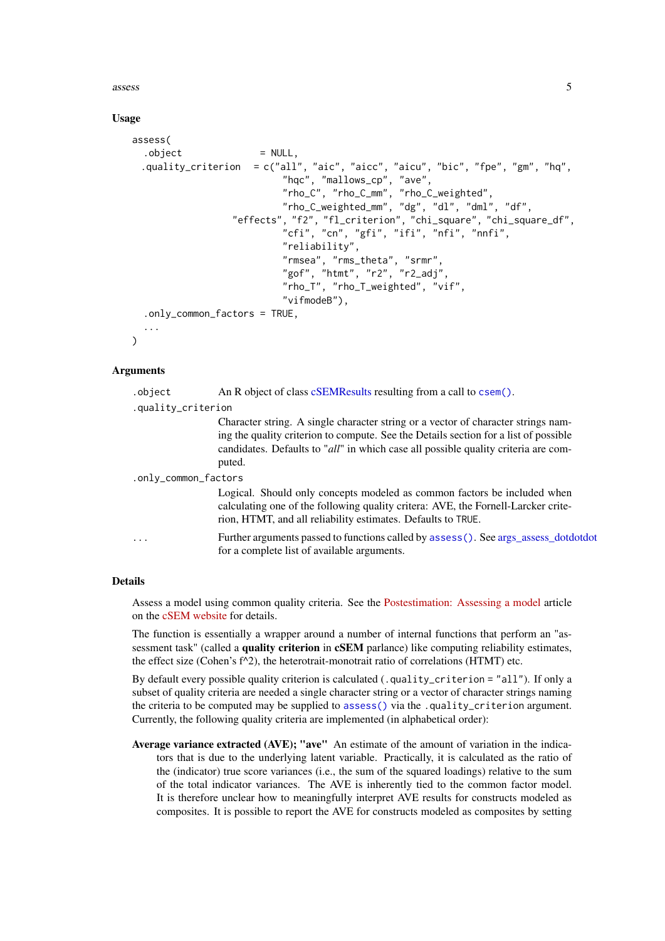assess 5

# Usage

```
assess(
  . \text{object} = NULL,
  .quality_criterion = c("all", "aic", "aicc", "aicu", "bic", "fpe", "gm", "hq",
                            "hqc", "mallows_cp", "ave",
                            "rho_C", "rho_C_mm", "rho_C_weighted",
                            "rho_C_weighted_mm", "dg", "dl", "dml", "df",
                   "effects", "f2", "fl_criterion", "chi_square", "chi_square_df",
                            "cfi", "cn", "gfi", "ifi", "nfi", "nnfi",
                            "reliability",
                            "rmsea", "rms_theta", "srmr",
                            "gof", "htmt", "r2", "r2_adj",
                            "rho_T", "rho_T_weighted", "vif",
                            "vifmodeB"),
  .only_common_factors = TRUE,
\lambda
```
# Arguments

| .object              | An R object of class cSEMResults resulting from a call to csem().                                                                                                                                                                                                         |
|----------------------|---------------------------------------------------------------------------------------------------------------------------------------------------------------------------------------------------------------------------------------------------------------------------|
| .quality_criterion   |                                                                                                                                                                                                                                                                           |
|                      | Character string. A single character string or a vector of character strings nam-<br>ing the quality criterion to compute. See the Details section for a list of possible<br>candidates. Defaults to "all" in which case all possible quality criteria are com-<br>puted. |
| .only_common_factors |                                                                                                                                                                                                                                                                           |
|                      | Logical. Should only concepts modeled as common factors be included when<br>calculating one of the following quality critera: AVE, the Fornell-Larcker crite-<br>rion, HTMT, and all reliability estimates. Defaults to TRUE.                                             |
| .                    | Further arguments passed to functions called by assess(). See args_assess_dotdotdot<br>for a complete list of available arguments.                                                                                                                                        |

# Details

Assess a model using common quality criteria. See the [Postestimation: Assessing a model](https://m-e-rademaker.github.io/cSEM/articles/Using-assess.html) article on the [cSEM website](https://m-e-rademaker.github.io/cSEM/index.html) for details.

The function is essentially a wrapper around a number of internal functions that perform an "assessment task" (called a **quality criterion** in **cSEM** parlance) like computing reliability estimates, the effect size (Cohen's  $f^{\wedge}2$ ), the heterotrait-monotrait ratio of correlations (HTMT) etc.

By default every possible quality criterion is calculated (.quality\_criterion = "all"). If only a subset of quality criteria are needed a single character string or a vector of character strings naming the criteria to be computed may be supplied to [assess\(\)](#page-3-1) via the .quality\_criterion argument. Currently, the following quality criteria are implemented (in alphabetical order):

Average variance extracted (AVE); "ave" An estimate of the amount of variation in the indicators that is due to the underlying latent variable. Practically, it is calculated as the ratio of the (indicator) true score variances (i.e., the sum of the squared loadings) relative to the sum of the total indicator variances. The AVE is inherently tied to the common factor model. It is therefore unclear how to meaningfully interpret AVE results for constructs modeled as composites. It is possible to report the AVE for constructs modeled as composites by setting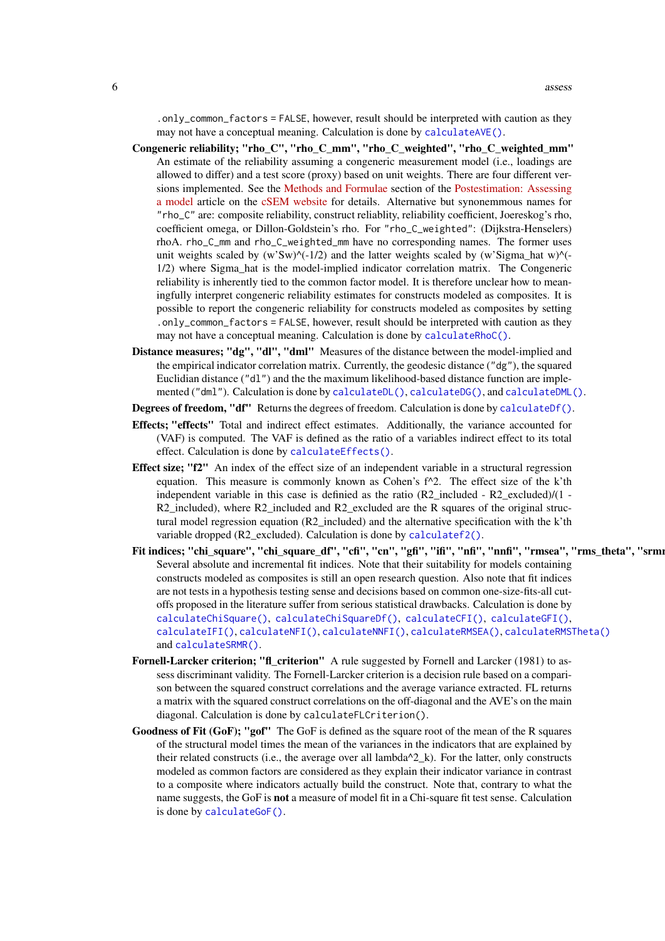.only\_common\_factors = FALSE, however, result should be interpreted with caution as they may not have a conceptual meaning. Calculation is done by [calculateAVE\(\)](#page-9-1).

- Congeneric reliability; "rho\_C", "rho\_C\_mm", "rho\_C\_weighted", "rho\_C\_weighted\_mm" An estimate of the reliability assuming a congeneric measurement model (i.e., loadings are allowed to differ) and a test score (proxy) based on unit weights. There are four different versions implemented. See the [Methods and Formulae](https://m-e-rademaker.github.io/cSEM/articles/Using-assess.html#methods) section of the [Postestimation: Assessing](https://m-e-rademaker.github.io/cSEM/articles/Using-assess.html) [a model](https://m-e-rademaker.github.io/cSEM/articles/Using-assess.html) article on the [cSEM website](https://m-e-rademaker.github.io/cSEM/index.html) for details. Alternative but synonemmous names for "rho\_C" are: composite reliability, construct reliablity, reliability coefficient, Joereskog's rho, coefficient omega, or Dillon-Goldstein's rho. For "rho\_C\_weighted": (Dijkstra-Henselers) rhoA. rho\_C\_mm and rho\_C\_weighted\_mm have no corresponding names. The former uses unit weights scaled by  $(w'Sw)^{\wedge}(-1/2)$  and the latter weights scaled by  $(w'Sigma_h)$ -hat w) $^{\wedge}$ (-1/2) where Sigma\_hat is the model-implied indicator correlation matrix. The Congeneric reliability is inherently tied to the common factor model. It is therefore unclear how to meaningfully interpret congeneric reliability estimates for constructs modeled as composites. It is possible to report the congeneric reliability for constructs modeled as composites by setting .only\_common\_factors = FALSE, however, result should be interpreted with caution as they may not have a conceptual meaning. Calculation is done by [calculateRhoC\(\)](#page-58-1).
- Distance measures; "dg", "dl", "dml" Measures of the distance between the model-implied and the empirical indicator correlation matrix. Currently, the geodesic distance ("dg"), the squared Euclidian distance ("dl") and the the maximum likelihood-based distance function are implemented ("dml"). Calculation is done by [calculateDL\(\)](#page-36-1), [calculateDG\(\)](#page-36-1), and [calculateDML\(\)](#page-36-1).

Degrees of freedom, "df" Returns the degrees of freedom. Calculation is done by [calculateDf\(\)](#page-10-1).

- Effects; "effects" Total and indirect effect estimates. Additionally, the variance accounted for (VAF) is computed. The VAF is defined as the ratio of a variables indirect effect to its total effect. Calculation is done by [calculateEffects\(\)](#page-0-0).
- Effect size; "f2" An index of the effect size of an independent variable in a structural regression equation. This measure is commonly known as Cohen's f^2. The effect size of the k'th independent variable in this case is definied as the ratio (R2\_included - R2\_excluded)/(1 -  $R2$  included), where R2 included and R2 excluded are the R squares of the original structural model regression equation (R2\_included) and the alternative specification with the k'th variable dropped (R2\_excluded). Calculation is done by [calculatef2\(\)](#page-11-1).
- Fit indices; "chi\_square", "chi\_square\_df", "cfi", "cn", "gfi", "ifi", "nfi", "nnfi", "rmsea", "rms\_theta", "srmi Several absolute and incremental fit indices. Note that their suitability for models containing constructs modeled as composites is still an open research question. Also note that fit indices are not tests in a hypothesis testing sense and decisions based on common one-size-fits-all cutoffs proposed in the literature suffer from serious statistical drawbacks. Calculation is done by [calculateChiSquare\(\)](#page-42-1), [calculateChiSquareDf\(\)](#page-42-1), [calculateCFI\(\)](#page-42-1), [calculateGFI\(\)](#page-42-1), [calculateIFI\(\)](#page-42-1), [calculateNFI\(\)](#page-42-1), [calculateNNFI\(\)](#page-42-1), [calculateRMSEA\(\)](#page-42-1), [calculateRMSTheta\(\)](#page-42-1) and [calculateSRMR\(\)](#page-42-1).
- Fornell-Larcker criterion; "fl\_criterion" A rule suggested by Fornell and Larcker (1981) to assess discriminant validity. The Fornell-Larcker criterion is a decision rule based on a comparison between the squared construct correlations and the average variance extracted. FL returns a matrix with the squared construct correlations on the off-diagonal and the AVE's on the main diagonal. Calculation is done by calculateFLCriterion().
- Goodness of Fit (GoF); "gof" The GoF is defined as the square root of the mean of the R squares of the structural model times the mean of the variances in the indicators that are explained by their related constructs (i.e., the average over all lambda $^2$ <sub>k</sub>). For the latter, only constructs modeled as common factors are considered as they explain their indicator variance in contrast to a composite where indicators actually build the construct. Note that, contrary to what the name suggests, the GoF is not a measure of model fit in a Chi-square fit test sense. Calculation is done by [calculateGoF\(\)](#page-12-1).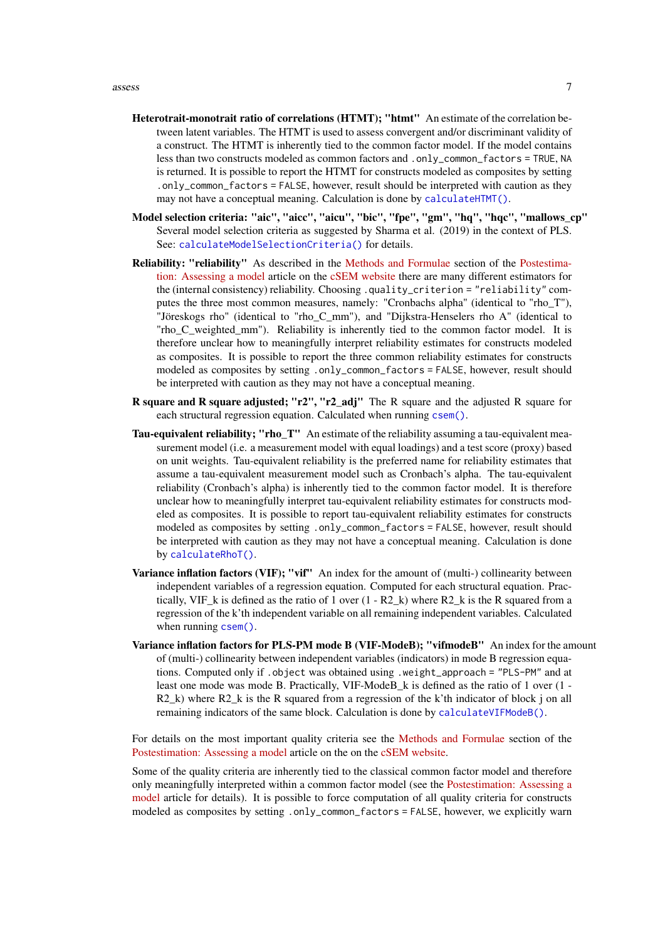- Heterotrait-monotrait ratio of correlations (HTMT); "htmt" An estimate of the correlation between latent variables. The HTMT is used to assess convergent and/or discriminant validity of a construct. The HTMT is inherently tied to the common factor model. If the model contains less than two constructs modeled as common factors and .only\_common\_factors = TRUE, NA is returned. It is possible to report the HTMT for constructs modeled as composites by setting .only\_common\_factors = FALSE, however, result should be interpreted with caution as they may not have a conceptual meaning. Calculation is done by [calculateHTMT\(\)](#page-13-1).
- Model selection criteria: "aic", "aicc", "aicu", "bic", "fpe", "gm", "hq", "hqc", "mallows\_cp" Several model selection criteria as suggested by Sharma et al. (2019) in the context of PLS. See: [calculateModelSelectionCriteria\(\)](#page-15-1) for details.
- Reliability: "reliability" As described in the [Methods and Formulae](https://m-e-rademaker.github.io/cSEM/articles/Using-assess.html#methods) section of the [Postestima](https://m-e-rademaker.github.io/cSEM/articles/Using-assess.html)[tion: Assessing a model](https://m-e-rademaker.github.io/cSEM/articles/Using-assess.html) article on the [cSEM website](https://m-e-rademaker.github.io/cSEM/index.html) there are many different estimators for the (internal consistency) reliability. Choosing .quality\_criterion = "reliability" computes the three most common measures, namely: "Cronbachs alpha" (identical to "rho\_T"), "Jöreskogs rho" (identical to "rho\_C\_mm"), and "Dijkstra-Henselers rho A" (identical to "rho\_C\_weighted\_mm"). Reliability is inherently tied to the common factor model. It is therefore unclear how to meaningfully interpret reliability estimates for constructs modeled as composites. It is possible to report the three common reliability estimates for constructs modeled as composites by setting .only\_common\_factors = FALSE, however, result should be interpreted with caution as they may not have a conceptual meaning.
- R square and R square adjusted; "r2", "r2\_adj" The R square and the adjusted R square for each structural regression equation. Calculated when running [csem\(\)](#page-24-1).
- Tau-equivalent reliability; "rho\_T" An estimate of the reliability assuming a tau-equivalent measurement model (i.e. a measurement model with equal loadings) and a test score (proxy) based on unit weights. Tau-equivalent reliability is the preferred name for reliability estimates that assume a tau-equivalent measurement model such as Cronbach's alpha. The tau-equivalent reliability (Cronbach's alpha) is inherently tied to the common factor model. It is therefore unclear how to meaningfully interpret tau-equivalent reliability estimates for constructs modeled as composites. It is possible to report tau-equivalent reliability estimates for constructs modeled as composites by setting .only\_common\_factors = FALSE, however, result should be interpreted with caution as they may not have a conceptual meaning. Calculation is done by [calculateRhoT\(\)](#page-58-1).
- Variance inflation factors (VIF); "vif" An index for the amount of (multi-) collinearity between independent variables of a regression equation. Computed for each structural equation. Practically, VIF\_k is defined as the ratio of 1 over  $(1 - R2_k)$  where R2\_k is the R squared from a regression of the k'th independent variable on all remaining independent variables. Calculated when running [csem\(\)](#page-24-1).
- Variance inflation factors for PLS-PM mode B (VIF-ModeB); "vifmodeB" An index for the amount of (multi-) collinearity between independent variables (indicators) in mode B regression equations. Computed only if .object was obtained using .weight\_approach = "PLS-PM" and at least one mode was mode B. Practically, VIF-ModeB\_k is defined as the ratio of 1 over (1 - R2 k) where R2 k is the R squared from a regression of the k'th indicator of block j on all remaining indicators of the same block. Calculation is done by [calculateVIFModeB\(\)](#page-16-1).

For details on the most important quality criteria see the [Methods and Formulae](https://m-e-rademaker.github.io/cSEM/articles/Using-assess.html#methods) section of the [Postestimation: Assessing a model](https://m-e-rademaker.github.io/cSEM/articles/Using-assess.html) article on the on the [cSEM website.](https://m-e-rademaker.github.io/cSEM/index.html)

Some of the quality criteria are inherently tied to the classical common factor model and therefore only meaningfully interpreted within a common factor model (see the [Postestimation: Assessing a](https://m-e-rademaker.github.io/cSEM/articles/Using-assess.html) [model](https://m-e-rademaker.github.io/cSEM/articles/Using-assess.html) article for details). It is possible to force computation of all quality criteria for constructs modeled as composites by setting .only\_common\_factors = FALSE, however, we explicitly warn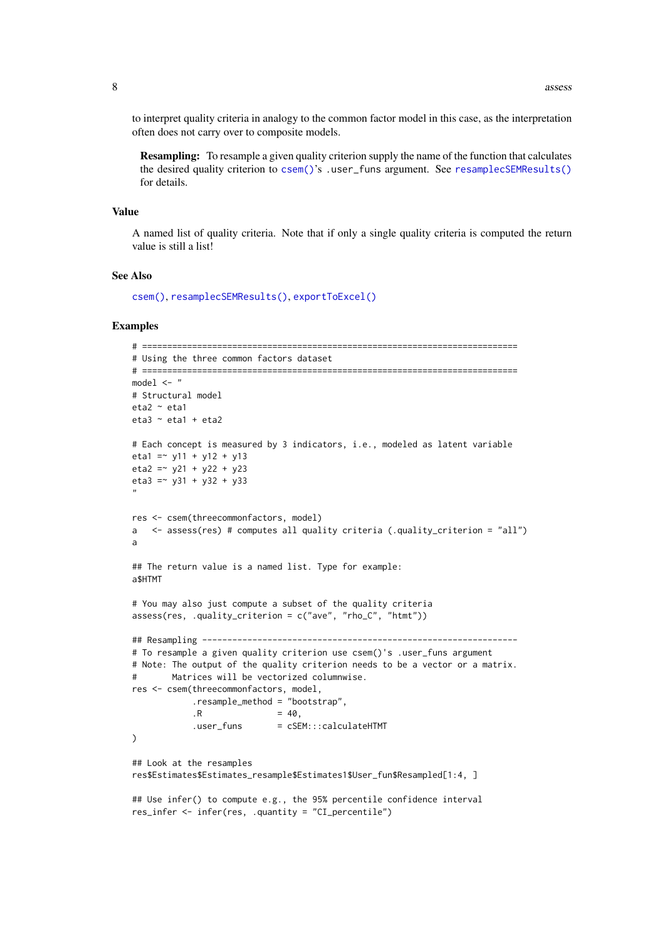to interpret quality criteria in analogy to the common factor model in this case, as the interpretation often does not carry over to composite models.

Resampling: To resample a given quality criterion supply the name of the function that calculates the desired quality criterion to [csem\(\)](#page-24-1)'s .user funs argument. See [resamplecSEMResults\(\)](#page-60-1) for details.

#### Value

A named list of quality criteria. Note that if only a single quality criteria is computed the return value is still a list!

#### See Also

[csem\(\)](#page-24-1), [resamplecSEMResults\(\)](#page-60-1), [exportToExcel\(\)](#page-40-1)

#### Examples

```
# ===========================================================================
# Using the three common factors dataset
# ===========================================================================
model <- "
# Structural model
eta2 ~ eta1
eta3 ~ eta1 + eta2
# Each concept is measured by 3 indicators, i.e., modeled as latent variable
eta1 = \times y11 + y12 + y13
eta2 = -y21 + y22 + y23eta3 = -y31 + y32 + y33"
res <- csem(threecommonfactors, model)
a <- assess(res) # computes all quality criteria (.quality_criterion = "all")
a
## The return value is a named list. Type for example:
a$HTMT
# You may also just compute a subset of the quality criteria
assess(res, .quality_criterion = c("ave", "rho_C", "htmt"))
## Resampling ---------------------------------------------------------------
# To resample a given quality criterion use csem()'s .user_funs argument
# Note: The output of the quality criterion needs to be a vector or a matrix.
# Matrices will be vectorized columnwise.
res <- csem(threecommonfactors, model,
            .resample_method = "bootstrap",
            .R = 40,.user_funs = cSEM:::calculateHTMT
)
## Look at the resamples
res$Estimates$Estimates_resample$Estimates1$User_fun$Resampled[1:4, ]
## Use infer() to compute e.g., the 95% percentile confidence interval
res_infer <- infer(res, .quantity = "CI_percentile")
```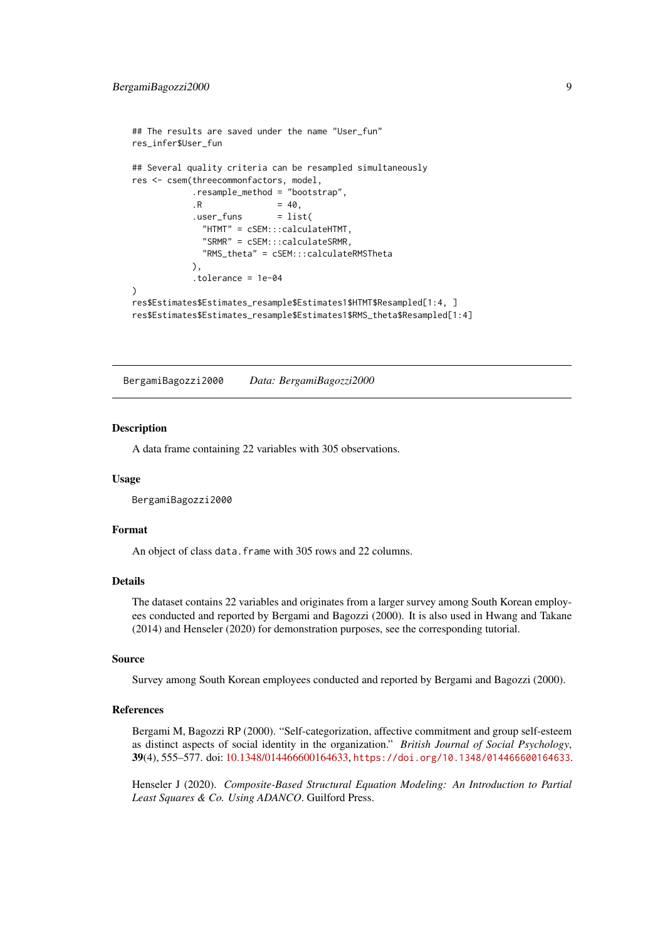```
## The results are saved under the name "User fun"
res_infer$User_fun
## Several quality criteria can be resampled simultaneously
res <- csem(threecommonfactors, model,
           .resample_method = "bootstrap",
           R = 40.
           .user_funs = list(
             "HTMT" = cSEM:::calculateHTMT,
             "SRMR" = cSEM:::calculateSRMR,
             "RMS_theta" = cSEM:::calculateRMSTheta
           ),
           .tolerance = 1e-04
)
res$Estimates$Estimates_resample$Estimates1$HTMT$Resampled[1:4, ]
res$Estimates$Estimates_resample$Estimates1$RMS_theta$Resampled[1:4]
```
BergamiBagozzi2000 *Data: BergamiBagozzi2000*

#### Description

A data frame containing 22 variables with 305 observations.

#### Usage

BergamiBagozzi2000

#### Format

An object of class data. frame with 305 rows and 22 columns.

## Details

The dataset contains 22 variables and originates from a larger survey among South Korean employees conducted and reported by Bergami and Bagozzi (2000). It is also used in Hwang and Takane (2014) and Henseler (2020) for demonstration purposes, see the corresponding tutorial.

# Source

Survey among South Korean employees conducted and reported by Bergami and Bagozzi (2000).

# References

Bergami M, Bagozzi RP (2000). "Self-categorization, affective commitment and group self-esteem as distinct aspects of social identity in the organization." *British Journal of Social Psychology*, 39(4), 555–577. doi: [10.1348/014466600164633,](https://doi.org/10.1348/014466600164633) <https://doi.org/10.1348/014466600164633>.

Henseler J (2020). *Composite-Based Structural Equation Modeling: An Introduction to Partial Least Squares & Co. Using ADANCO*. Guilford Press.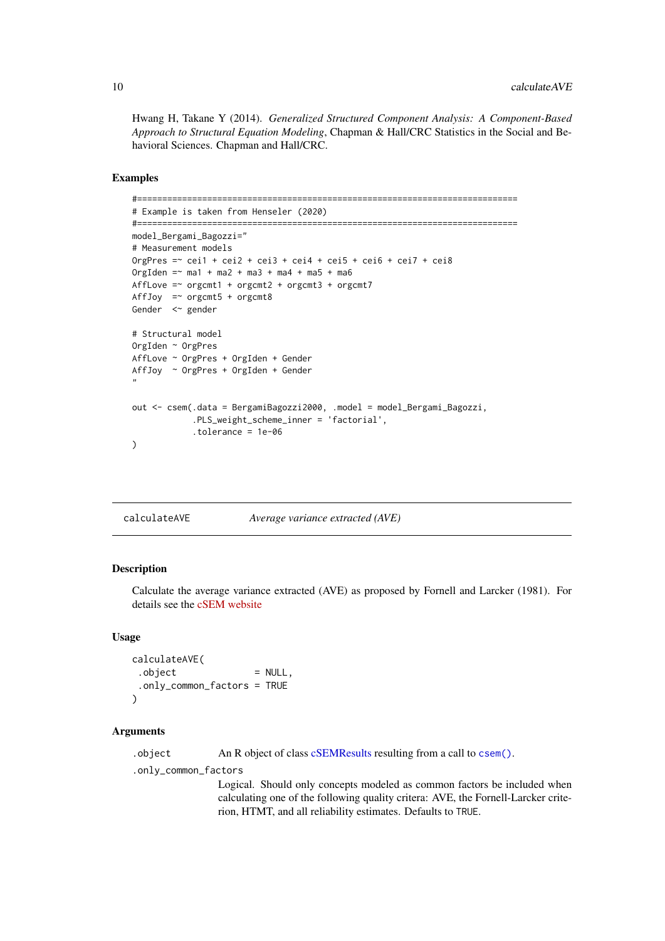<span id="page-9-0"></span>Hwang H, Takane Y (2014). *Generalized Structured Component Analysis: A Component-Based Approach to Structural Equation Modeling*, Chapman & Hall/CRC Statistics in the Social and Behavioral Sciences. Chapman and Hall/CRC.

## Examples

```
#============================================================================
# Example is taken from Henseler (2020)
#============================================================================
model_Bergami_Bagozzi="
# Measurement models
OrgPres =~ cei1 + cei2 + cei3 + cei4 + cei5 + cei6 + cei7 + cei8
OrgIden = ~ ma1 + ma2 + ma3 + ma4 + ma5 + ma6
AffLove =\sim orgcmt1 + orgcmt2 + orgcmt3 + orgcmt7
AffJoy =\sim orgcmt5 + orgcmt8
Gender <~ gender
# Structural model
OrgIden ~ OrgPres
AffLove ~ OrgPres + OrgIden + Gender
AffJoy ~ OrgPres + OrgIden + Gender
"
out <- csem(.data = BergamiBagozzi2000, .model = model_Bergami_Bagozzi,
            .PLS_weight_scheme_inner = 'factorial',
            .tolerance = 1e-06
)
```
<span id="page-9-1"></span>

# Description

Calculate the average variance extracted (AVE) as proposed by Fornell and Larcker (1981). For details see the [cSEM website](https://m-e-rademaker.github.io/cSEM/articles/Using-assess.html#ave)

#### Usage

```
calculateAVE(
 .object = NULL,
 .only_common_factors = TRUE
\lambda
```
# Arguments

.object An R object of class [cSEMResults](#page-0-0) resulting from a call to [csem\(\)](#page-24-1).

.only\_common\_factors

Logical. Should only concepts modeled as common factors be included when calculating one of the following quality critera: AVE, the Fornell-Larcker criterion, HTMT, and all reliability estimates. Defaults to TRUE.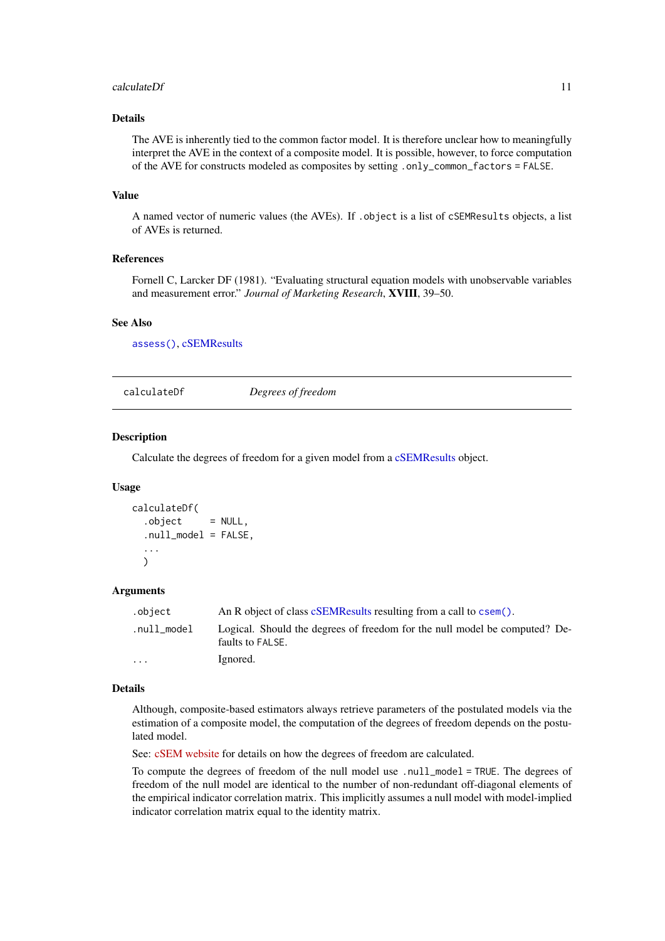#### <span id="page-10-0"></span>calculateDf 11

#### Details

The AVE is inherently tied to the common factor model. It is therefore unclear how to meaningfully interpret the AVE in the context of a composite model. It is possible, however, to force computation of the AVE for constructs modeled as composites by setting .only\_common\_factors = FALSE.

# Value

A named vector of numeric values (the AVEs). If .object is a list of cSEMResults objects, a list of AVEs is returned.

## References

Fornell C, Larcker DF (1981). "Evaluating structural equation models with unobservable variables and measurement error." *Journal of Marketing Research*, XVIII, 39–50.

#### See Also

[assess\(\)](#page-3-1), [cSEMResults](#page-0-0)

<span id="page-10-1"></span>calculateDf *Degrees of freedom*

# Description

Calculate the degrees of freedom for a given model from a [cSEMResults](#page-0-0) object.

# Usage

```
calculateDf(
  .object = NULL,
  .null_model = FALSE,
  ...
 \lambda
```
#### Arguments

| .object                 | An R object of class cSEMResults resulting from a call to csem().                              |
|-------------------------|------------------------------------------------------------------------------------------------|
| .null_model             | Logical. Should the degrees of freedom for the null model be computed? De-<br>faults to FALSE. |
| $\cdot$ $\cdot$ $\cdot$ | Ignored.                                                                                       |

#### Details

Although, composite-based estimators always retrieve parameters of the postulated models via the estimation of a composite model, the computation of the degrees of freedom depends on the postulated model.

See: [cSEM website](https://m-e-rademaker.github.io/cSEM/articles/Using-assess.html) for details on how the degrees of freedom are calculated.

To compute the degrees of freedom of the null model use .null\_model = TRUE. The degrees of freedom of the null model are identical to the number of non-redundant off-diagonal elements of the empirical indicator correlation matrix. This implicitly assumes a null model with model-implied indicator correlation matrix equal to the identity matrix.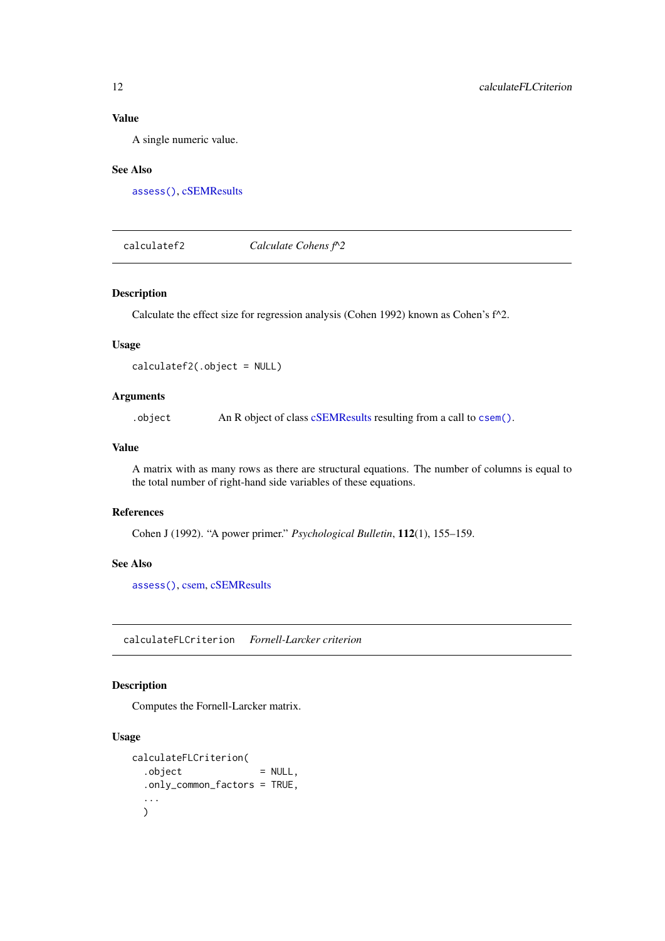# Value

A single numeric value.

# See Also

[assess\(\)](#page-3-1), [cSEMResults](#page-0-0)

<span id="page-11-1"></span>calculatef2 *Calculate Cohens f^2*

# Description

Calculate the effect size for regression analysis (Cohen 1992) known as Cohen's f^2.

#### Usage

calculatef2(.object = NULL)

# Arguments

.object An R object of class [cSEMResults](#page-0-0) resulting from a call to [csem\(\)](#page-24-1).

# Value

A matrix with as many rows as there are structural equations. The number of columns is equal to the total number of right-hand side variables of these equations.

# References

Cohen J (1992). "A power primer." *Psychological Bulletin*, 112(1), 155–159.

# See Also

[assess\(\)](#page-3-1), [csem,](#page-24-1) [cSEMResults](#page-0-0)

calculateFLCriterion *Fornell-Larcker criterion*

# Description

Computes the Fornell-Larcker matrix.

#### Usage

```
calculateFLCriterion(
  . \text{object} = NULL,
  .only_common_factors = TRUE,
  ...
  \lambda
```
<span id="page-11-0"></span>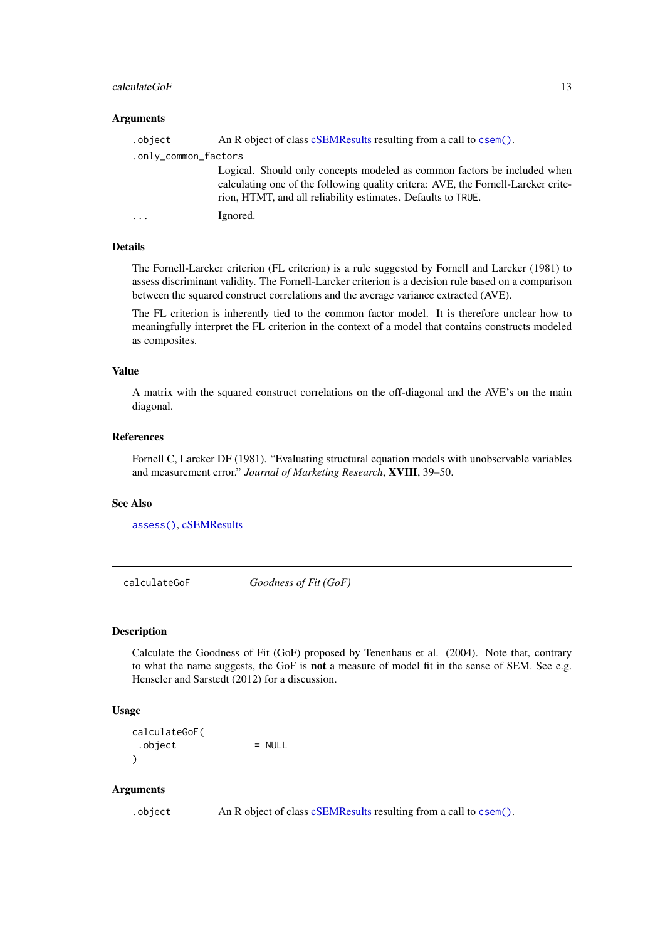#### <span id="page-12-0"></span>calculateGoF 13

## Arguments

| .object              | An R object of class cSEMResults resulting from a call to csem().                                                                                                                                                             |
|----------------------|-------------------------------------------------------------------------------------------------------------------------------------------------------------------------------------------------------------------------------|
| .only_common_factors |                                                                                                                                                                                                                               |
|                      | Logical. Should only concepts modeled as common factors be included when<br>calculating one of the following quality critera: AVE, the Fornell-Larcker crite-<br>rion, HTMT, and all reliability estimates. Defaults to TRUE. |
| $\ddots$ .           | Ignored.                                                                                                                                                                                                                      |
|                      |                                                                                                                                                                                                                               |

#### Details

The Fornell-Larcker criterion (FL criterion) is a rule suggested by Fornell and Larcker (1981) to assess discriminant validity. The Fornell-Larcker criterion is a decision rule based on a comparison between the squared construct correlations and the average variance extracted (AVE).

The FL criterion is inherently tied to the common factor model. It is therefore unclear how to meaningfully interpret the FL criterion in the context of a model that contains constructs modeled as composites.

# Value

A matrix with the squared construct correlations on the off-diagonal and the AVE's on the main diagonal.

# References

Fornell C, Larcker DF (1981). "Evaluating structural equation models with unobservable variables and measurement error." *Journal of Marketing Research*, XVIII, 39–50.

#### See Also

[assess\(\)](#page-3-1), [cSEMResults](#page-0-0)

<span id="page-12-1"></span>calculateGoF *Goodness of Fit (GoF)*

# Description

Calculate the Goodness of Fit (GoF) proposed by Tenenhaus et al. (2004). Note that, contrary to what the name suggests, the GoF is not a measure of model fit in the sense of SEM. See e.g. Henseler and Sarstedt (2012) for a discussion.

# Usage

calculateGoF(  $.$ object  $=$  NULL  $\lambda$ 

# Arguments

.object An R object of class [cSEMResults](#page-0-0) resulting from a call to [csem\(\)](#page-24-1).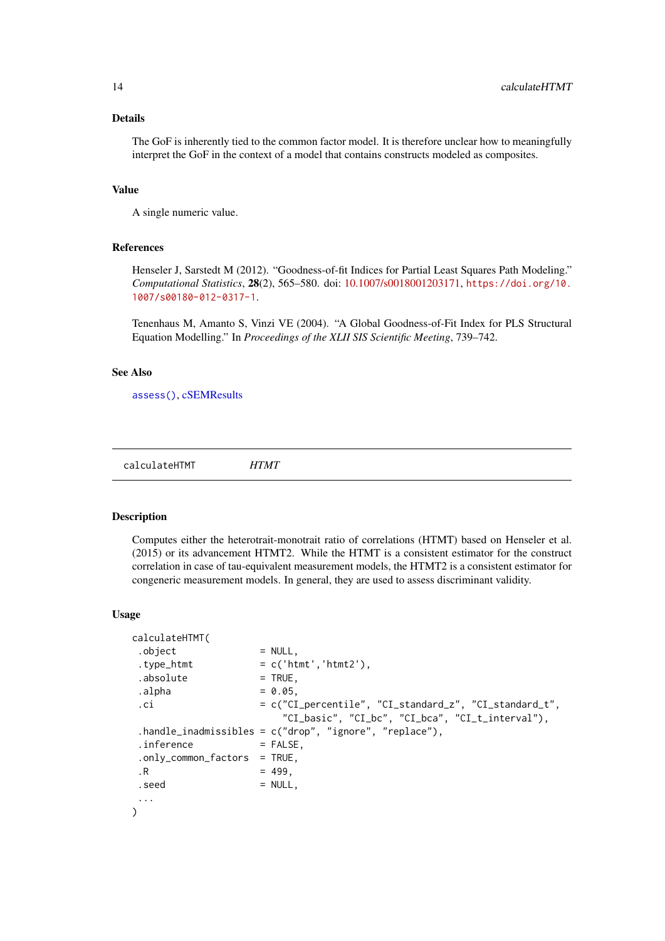#### <span id="page-13-0"></span>Details

The GoF is inherently tied to the common factor model. It is therefore unclear how to meaningfully interpret the GoF in the context of a model that contains constructs modeled as composites.

# Value

A single numeric value.

#### References

Henseler J, Sarstedt M (2012). "Goodness-of-fit Indices for Partial Least Squares Path Modeling." *Computational Statistics*, 28(2), 565–580. doi: [10.1007/s0018001203171,](https://doi.org/10.1007/s00180-012-0317-1) [https://doi.org/10.](https://doi.org/10.1007/s00180-012-0317-1) [1007/s00180-012-0317-1](https://doi.org/10.1007/s00180-012-0317-1).

Tenenhaus M, Amanto S, Vinzi VE (2004). "A Global Goodness-of-Fit Index for PLS Structural Equation Modelling." In *Proceedings of the XLII SIS Scientific Meeting*, 739–742.

# See Also

[assess\(\)](#page-3-1), [cSEMResults](#page-0-0)

<span id="page-13-1"></span>calculateHTMT *HTMT*

#### Description

Computes either the heterotrait-monotrait ratio of correlations (HTMT) based on Henseler et al. (2015) or its advancement HTMT2. While the HTMT is a consistent estimator for the construct correlation in case of tau-equivalent measurement models, the HTMT2 is a consistent estimator for congeneric measurement models. In general, they are used to assess discriminant validity.

#### Usage

```
calculateHTMT(
 . \text{object} = NULL,
 .type_htmt = c('htmt', 'htmt2'),.absolute = TRUE,
 \Boxalpha = 0.05,
 .ci = c("CI_percentile", "CI_standard_z", "CI_standard_t",
                      "CI_basic", "CI_bc", "CI_bca", "CI_t_interval"),
 .handle_inadmissibles = c("drop", "ignore", "replace"),
 \text{inference} = FALSE,
 .only_common_factors = TRUE,
 \,.R = 499,. \, \text{seed} = NULL,
 ...
\lambda
```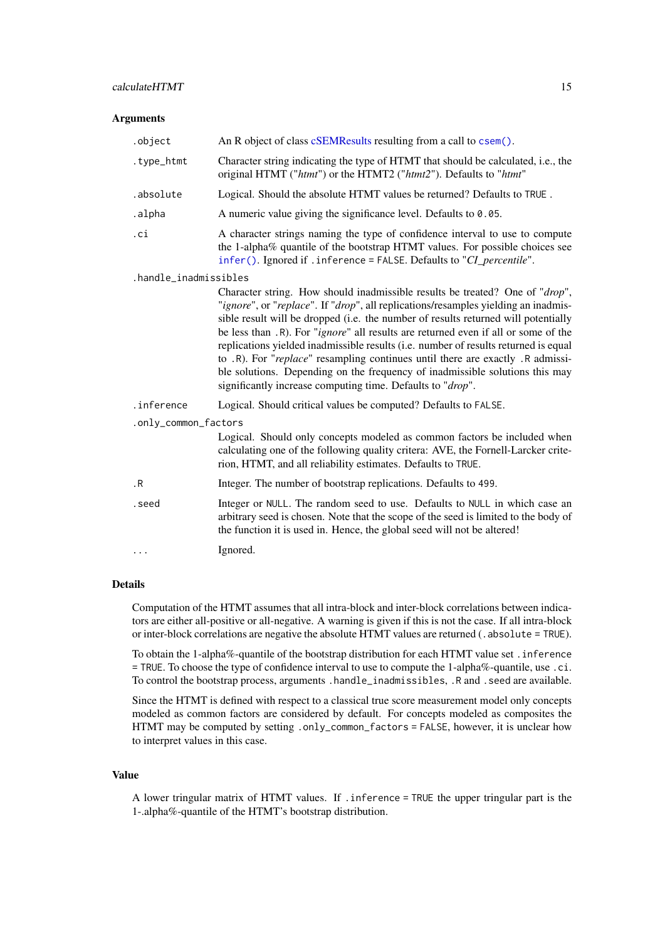#### Arguments

| .object               | An R object of class cSEMResults resulting from a call to csem().                                                                                                                                                                                                                                                                                                                                                                                                                                                                                                                                                                                                              |  |
|-----------------------|--------------------------------------------------------------------------------------------------------------------------------------------------------------------------------------------------------------------------------------------------------------------------------------------------------------------------------------------------------------------------------------------------------------------------------------------------------------------------------------------------------------------------------------------------------------------------------------------------------------------------------------------------------------------------------|--|
| .type_htmt            | Character string indicating the type of HTMT that should be calculated, i.e., the<br>original HTMT ("htmt") or the HTMT2 ("htmt2"). Defaults to "htmt"                                                                                                                                                                                                                                                                                                                                                                                                                                                                                                                         |  |
| .absolute             | Logical. Should the absolute HTMT values be returned? Defaults to TRUE.                                                                                                                                                                                                                                                                                                                                                                                                                                                                                                                                                                                                        |  |
| .alpha                | A numeric value giving the significance level. Defaults to 0.05.                                                                                                                                                                                                                                                                                                                                                                                                                                                                                                                                                                                                               |  |
| .ci                   | A character strings naming the type of confidence interval to use to compute<br>the 1-alpha% quantile of the bootstrap HTMT values. For possible choices see<br>infer(). Ignored if . inference = FALSE. Defaults to "CI_percentile".                                                                                                                                                                                                                                                                                                                                                                                                                                          |  |
| .handle_inadmissibles |                                                                                                                                                                                                                                                                                                                                                                                                                                                                                                                                                                                                                                                                                |  |
|                       | Character string. How should inadmissible results be treated? One of "drop",<br>"ignore", or "replace". If "drop", all replications/resamples yielding an inadmis-<br>sible result will be dropped (i.e. the number of results returned will potentially<br>be less than .R). For " <i>ignore</i> " all results are returned even if all or some of the<br>replications yielded inadmissible results (i.e. number of results returned is equal<br>to .R). For "replace" resampling continues until there are exactly .R admissi-<br>ble solutions. Depending on the frequency of inadmissible solutions this may<br>significantly increase computing time. Defaults to "drop". |  |
| .inference            | Logical. Should critical values be computed? Defaults to FALSE.                                                                                                                                                                                                                                                                                                                                                                                                                                                                                                                                                                                                                |  |
| .only_common_factors  |                                                                                                                                                                                                                                                                                                                                                                                                                                                                                                                                                                                                                                                                                |  |
|                       | Logical. Should only concepts modeled as common factors be included when<br>calculating one of the following quality critera: AVE, the Fornell-Larcker crite-<br>rion, HTMT, and all reliability estimates. Defaults to TRUE.                                                                                                                                                                                                                                                                                                                                                                                                                                                  |  |
| $\cdot$ R             | Integer. The number of bootstrap replications. Defaults to 499.                                                                                                                                                                                                                                                                                                                                                                                                                                                                                                                                                                                                                |  |
| .seed                 | Integer or NULL. The random seed to use. Defaults to NULL in which case an<br>arbitrary seed is chosen. Note that the scope of the seed is limited to the body of<br>the function it is used in. Hence, the global seed will not be altered!                                                                                                                                                                                                                                                                                                                                                                                                                                   |  |
| $\ddots$              | Ignored.                                                                                                                                                                                                                                                                                                                                                                                                                                                                                                                                                                                                                                                                       |  |
|                       |                                                                                                                                                                                                                                                                                                                                                                                                                                                                                                                                                                                                                                                                                |  |

# Details

Computation of the HTMT assumes that all intra-block and inter-block correlations between indicators are either all-positive or all-negative. A warning is given if this is not the case. If all intra-block or inter-block correlations are negative the absolute HTMT values are returned (. absolute = TRUE).

To obtain the 1-alpha%-quantile of the bootstrap distribution for each HTMT value set .inference = TRUE. To choose the type of confidence interval to use to compute the 1-alpha%-quantile, use .ci. To control the bootstrap process, arguments .handle\_inadmissibles, .R and . seed are available.

Since the HTMT is defined with respect to a classical true score measurement model only concepts modeled as common factors are considered by default. For concepts modeled as composites the HTMT may be computed by setting .only\_common\_factors = FALSE, however, it is unclear how to interpret values in this case.

# Value

A lower tringular matrix of HTMT values. If .inference = TRUE the upper tringular part is the 1-.alpha%-quantile of the HTMT's bootstrap distribution.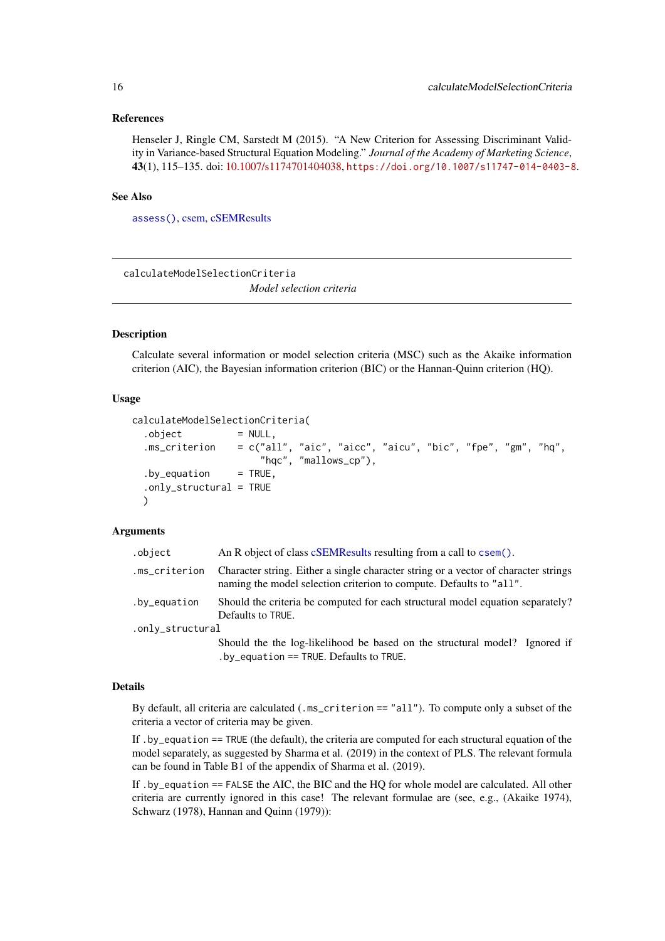#### <span id="page-15-0"></span>References

Henseler J, Ringle CM, Sarstedt M (2015). "A New Criterion for Assessing Discriminant Validity in Variance-based Structural Equation Modeling." *Journal of the Academy of Marketing Science*, 43(1), 115–135. doi: [10.1007/s1174701404038,](https://doi.org/10.1007/s11747-014-0403-8) <https://doi.org/10.1007/s11747-014-0403-8>.

#### See Also

[assess\(\)](#page-3-1), [csem,](#page-24-1) [cSEMResults](#page-0-0)

<span id="page-15-1"></span>calculateModelSelectionCriteria *Model selection criteria*

## Description

Calculate several information or model selection criteria (MSC) such as the Akaike information criterion (AIC), the Bayesian information criterion (BIC) or the Hannan-Quinn criterion (HQ).

## Usage

```
calculateModelSelectionCriteria(
  .object = NULL,
  .ms_criterion = c("all", "aic", "aicc", "aicu", "bic", "fpe", "gm", "hq",
                      "hqc", "mallows_cp"),
  by_equation = TRUE,
  .only_structural = TRUE
  )
```
# Arguments

| .object          | An R object of class cSEMResults resulting from a call to csem().                                                                                          |  |
|------------------|------------------------------------------------------------------------------------------------------------------------------------------------------------|--|
| .ms_criterion    | Character string. Either a single character string or a vector of character strings<br>naming the model selection criterion to compute. Defaults to "all". |  |
| .by_equation     | Should the criteria be computed for each structural model equation separately?<br>Defaults to TRUE.                                                        |  |
| .only_structural |                                                                                                                                                            |  |
|                  | Should the the log-likelihood be based on the structural model? Ignored if<br>$by$ equation == TRUE. Defaults to TRUE.                                     |  |

#### Details

By default, all criteria are calculated (.ms\_criterion == "all"). To compute only a subset of the criteria a vector of criteria may be given.

If .by\_equation == TRUE (the default), the criteria are computed for each structural equation of the model separately, as suggested by Sharma et al. (2019) in the context of PLS. The relevant formula can be found in Table B1 of the appendix of Sharma et al. (2019).

If .by\_equation == FALSE the AIC, the BIC and the HQ for whole model are calculated. All other criteria are currently ignored in this case! The relevant formulae are (see, e.g., (Akaike 1974), Schwarz (1978), Hannan and Quinn (1979)):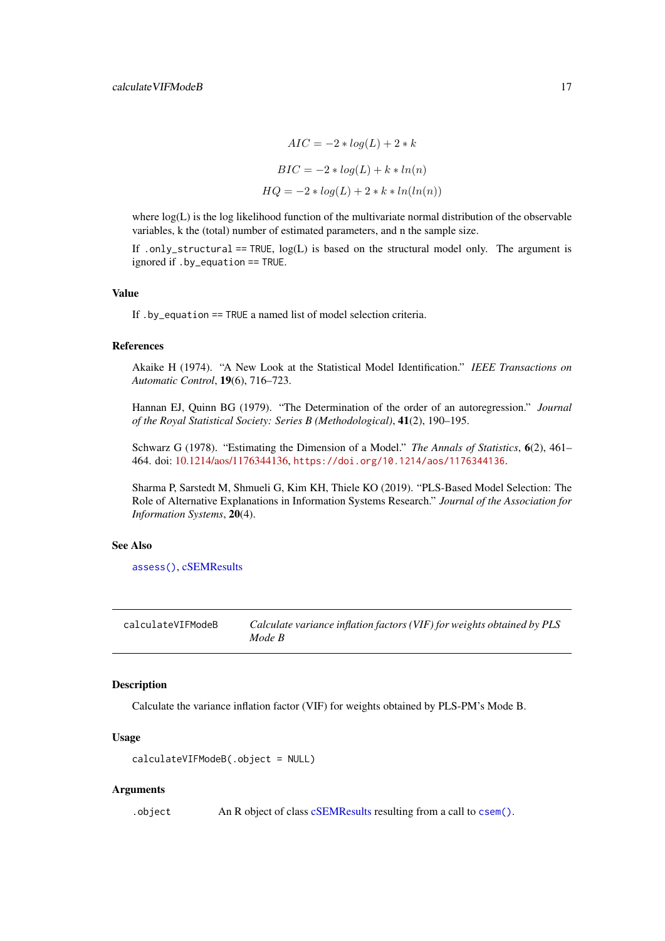$$
AIC = -2 * log(L) + 2 * k
$$

$$
BIC = -2 * log(L) + k * ln(n)
$$

$$
HQ = -2 * log(L) + 2 * k * ln(ln(n))
$$

<span id="page-16-0"></span>where  $log(L)$  is the log likelihood function of the multivariate normal distribution of the observable variables, k the (total) number of estimated parameters, and n the sample size.

If .only\_structural == TRUE,  $log(L)$  is based on the structural model only. The argument is ignored if .by\_equation == TRUE.

#### Value

If .by\_equation == TRUE a named list of model selection criteria.

#### References

Akaike H (1974). "A New Look at the Statistical Model Identification." *IEEE Transactions on Automatic Control*, 19(6), 716–723.

Hannan EJ, Quinn BG (1979). "The Determination of the order of an autoregression." *Journal of the Royal Statistical Society: Series B (Methodological)*, 41(2), 190–195.

Schwarz G (1978). "Estimating the Dimension of a Model." *The Annals of Statistics*, 6(2), 461– 464. doi: [10.1214/aos/1176344136,](https://doi.org/10.1214/aos/1176344136) <https://doi.org/10.1214/aos/1176344136>.

Sharma P, Sarstedt M, Shmueli G, Kim KH, Thiele KO (2019). "PLS-Based Model Selection: The Role of Alternative Explanations in Information Systems Research." *Journal of the Association for Information Systems*, 20(4).

# See Also

[assess\(\)](#page-3-1), [cSEMResults](#page-0-0)

<span id="page-16-1"></span>calculateVIFModeB *Calculate variance inflation factors (VIF) for weights obtained by PLS Mode B*

# Description

Calculate the variance inflation factor (VIF) for weights obtained by PLS-PM's Mode B.

## Usage

```
calculateVIFModeB(.object = NULL)
```
# Arguments

.object An R object of class [cSEMResults](#page-0-0) resulting from a call to [csem\(\)](#page-24-1).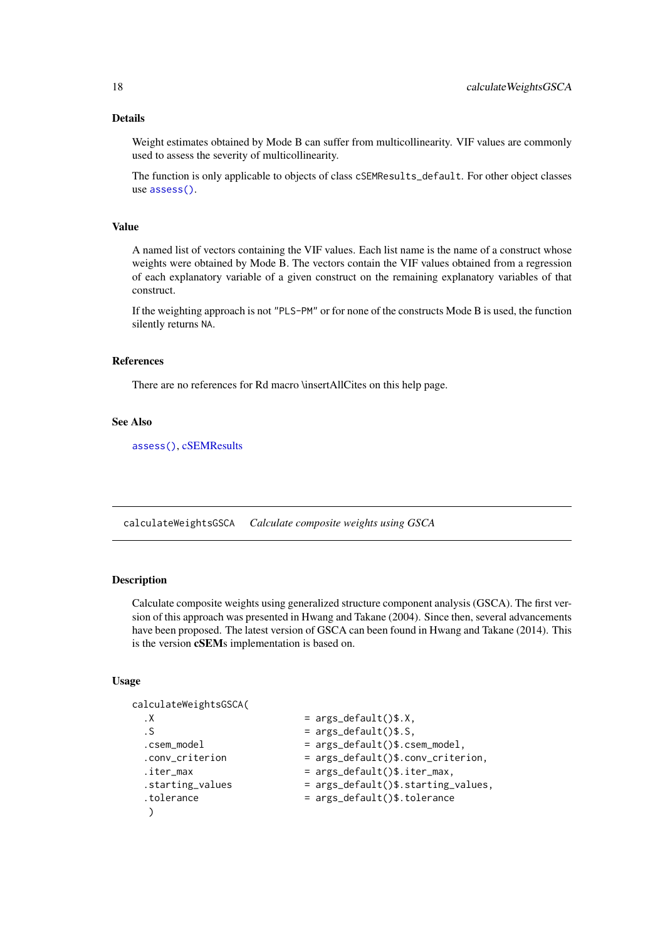#### Details

Weight estimates obtained by Mode B can suffer from multicollinearity. VIF values are commonly used to assess the severity of multicollinearity.

The function is only applicable to objects of class cSEMResults\_default. For other object classes use [assess\(\)](#page-3-1).

# Value

A named list of vectors containing the VIF values. Each list name is the name of a construct whose weights were obtained by Mode B. The vectors contain the VIF values obtained from a regression of each explanatory variable of a given construct on the remaining explanatory variables of that construct.

If the weighting approach is not "PLS-PM" or for none of the constructs Mode B is used, the function silently returns NA.

# References

There are no references for Rd macro \insertAllCites on this help page.

# See Also

[assess\(\)](#page-3-1), [cSEMResults](#page-0-0)

<span id="page-17-1"></span>calculateWeightsGSCA *Calculate composite weights using GSCA*

# Description

Calculate composite weights using generalized structure component analysis (GSCA). The first version of this approach was presented in Hwang and Takane (2004). Since then, several advancements have been proposed. The latest version of GSCA can been found in Hwang and Takane (2014). This is the version cSEMs implementation is based on.

# Usage

calculateWeightsGSCA(  $\overline{X}$  = args\_default()\$.X,  $.$  S  $.$   $\qquad \qquad$  =  $\arg s \det (\del x)$ . S, .csem\_model = args\_default()\$.csem\_model, .conv\_criterion = args\_default()\$.conv\_criterion,  $\text{iter\_max}$  = args\_default()\$.iter\_max, .starting\_values = args\_default()\$.starting\_values, .tolerance = args\_default()\$.tolerance )

<span id="page-17-0"></span>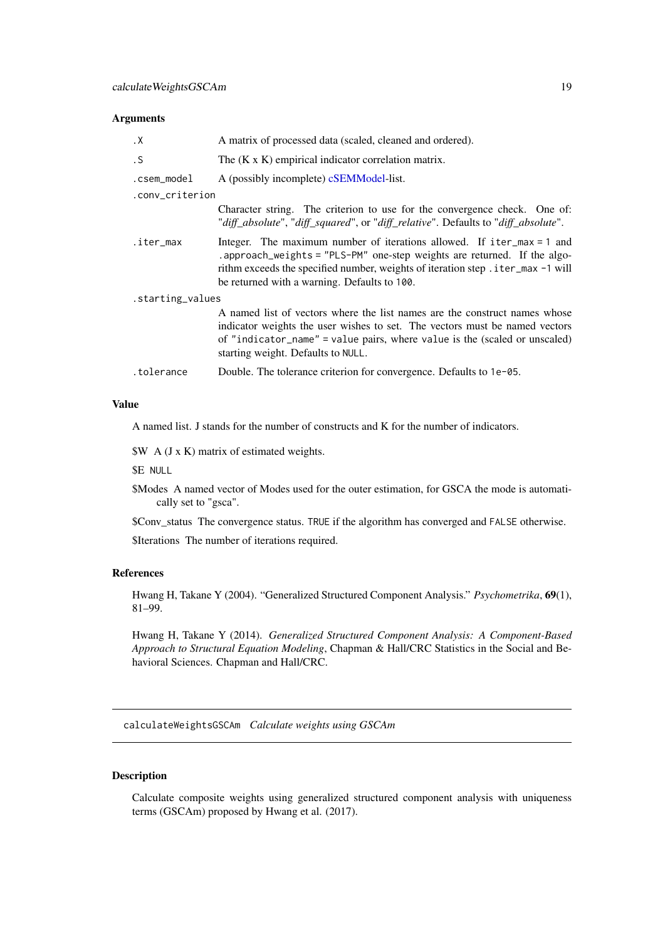# <span id="page-18-0"></span>Arguments

| $\cdot$ X        | A matrix of processed data (scaled, cleaned and ordered).                                                                                                                                                                                                                                |
|------------------|------------------------------------------------------------------------------------------------------------------------------------------------------------------------------------------------------------------------------------------------------------------------------------------|
| $\cdot$ S        | The $(K \times K)$ empirical indicator correlation matrix.                                                                                                                                                                                                                               |
| .csem_model      | A (possibly incomplete) cSEMModel-list.                                                                                                                                                                                                                                                  |
| .conv_criterion  |                                                                                                                                                                                                                                                                                          |
|                  | Character string. The criterion to use for the convergence check. One of:<br>"diff_absolute", "diff_squared", or "diff_relative". Defaults to "diff_absolute".                                                                                                                           |
| .iter_max        | Integer. The maximum number of iterations allowed. If $iter_max = 1$ and<br>.approach_weights = "PLS-PM" one-step weights are returned. If the algo-<br>rithm exceeds the specified number, weights of iteration step . iter_max -1 will<br>be returned with a warning. Defaults to 100. |
| .starting_values |                                                                                                                                                                                                                                                                                          |
|                  | A named list of vectors where the list names are the construct names whose<br>indicator weights the user wishes to set. The vectors must be named vectors<br>of "indicator_name" = value pairs, where value is the (scaled or unscaled)<br>starting weight. Defaults to NULL.            |
| .tolerance       | Double. The tolerance criterion for convergence. Defaults to 1e-05.                                                                                                                                                                                                                      |

#### Value

A named list. J stands for the number of constructs and K for the number of indicators.

\$W A (J x K) matrix of estimated weights.

\$E NULL

\$Modes A named vector of Modes used for the outer estimation, for GSCA the mode is automatically set to "gsca".

\$Conv\_status The convergence status. TRUE if the algorithm has converged and FALSE otherwise.

\$Iterations The number of iterations required.

#### References

Hwang H, Takane Y (2004). "Generalized Structured Component Analysis." *Psychometrika*, 69(1), 81–99.

Hwang H, Takane Y (2014). *Generalized Structured Component Analysis: A Component-Based Approach to Structural Equation Modeling*, Chapman & Hall/CRC Statistics in the Social and Behavioral Sciences. Chapman and Hall/CRC.

<span id="page-18-1"></span>calculateWeightsGSCAm *Calculate weights using GSCAm*

# Description

Calculate composite weights using generalized structured component analysis with uniqueness terms (GSCAm) proposed by Hwang et al. (2017).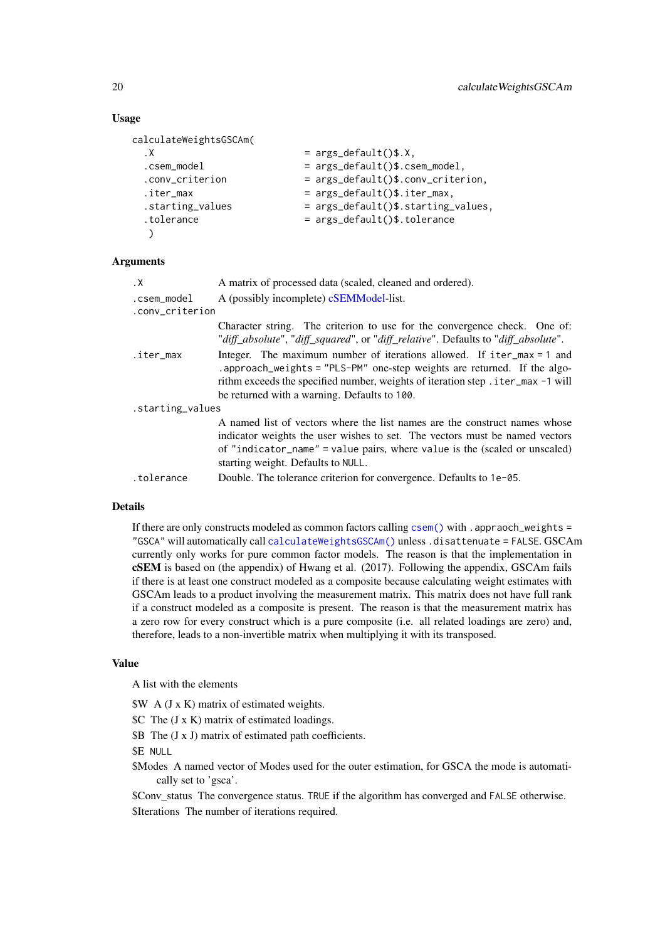# Usage

```
calculateWeightsGSCAm(
 \mathsf{X} = args_default()$.X,
 .csem_model = args_default()$.csem_model,
 .conv_criterion = args_default()$.conv_criterion,
 \text{iter\_max} = args_default()$.iter_max,
 .starting_values = args_default()$.starting_values,
 .tolerance = args_default()$.tolerance
  \lambda
```
# Arguments

| $\cdot$ X        | A matrix of processed data (scaled, cleaned and ordered).                                                                                                                                                                                                                     |
|------------------|-------------------------------------------------------------------------------------------------------------------------------------------------------------------------------------------------------------------------------------------------------------------------------|
| .csem_model      | A (possibly incomplete) cSEMModel-list.                                                                                                                                                                                                                                       |
| .conv_criterion  |                                                                                                                                                                                                                                                                               |
|                  | Character string. The criterion to use for the convergence check. One of:<br>"diff_absolute", "diff_squared", or "diff_relative". Defaults to "diff_absolute".                                                                                                                |
| .iter_max        | Integer. The maximum number of iterations allowed. If $iter_max = 1$ and<br>.approach_weights = "PLS-PM" one-step weights are returned. If the algo-<br>rithm exceeds the specified number, weights of iteration step . iter_max -1 will                                      |
|                  | be returned with a warning. Defaults to 100.                                                                                                                                                                                                                                  |
| .starting_values |                                                                                                                                                                                                                                                                               |
|                  | A named list of vectors where the list names are the construct names whose<br>indicator weights the user wishes to set. The vectors must be named vectors<br>of "indicator_name" = value pairs, where value is the (scaled or unscaled)<br>starting weight. Defaults to NULL. |
| .tolerance       | Double. The tolerance criterion for convergence. Defaults to 1e-05.                                                                                                                                                                                                           |

# Details

If there are only constructs modeled as common factors calling [csem\(\)](#page-24-1) with .appraoch\_weights = "GSCA" will automatically call [calculateWeightsGSCAm\(\)](#page-18-1) unless .disattenuate = FALSE. GSCAm currently only works for pure common factor models. The reason is that the implementation in cSEM is based on (the appendix) of Hwang et al. (2017). Following the appendix, GSCAm fails if there is at least one construct modeled as a composite because calculating weight estimates with GSCAm leads to a product involving the measurement matrix. This matrix does not have full rank if a construct modeled as a composite is present. The reason is that the measurement matrix has a zero row for every construct which is a pure composite (i.e. all related loadings are zero) and, therefore, leads to a non-invertible matrix when multiplying it with its transposed.

#### Value

A list with the elements

\$W A (J x K) matrix of estimated weights.

\$C The (J x K) matrix of estimated loadings.

\$B The (J x J) matrix of estimated path coefficients.

\$E NULL

\$Modes A named vector of Modes used for the outer estimation, for GSCA the mode is automatically set to 'gsca'.

\$Conv\_status The convergence status. TRUE if the algorithm has converged and FALSE otherwise. \$Iterations The number of iterations required.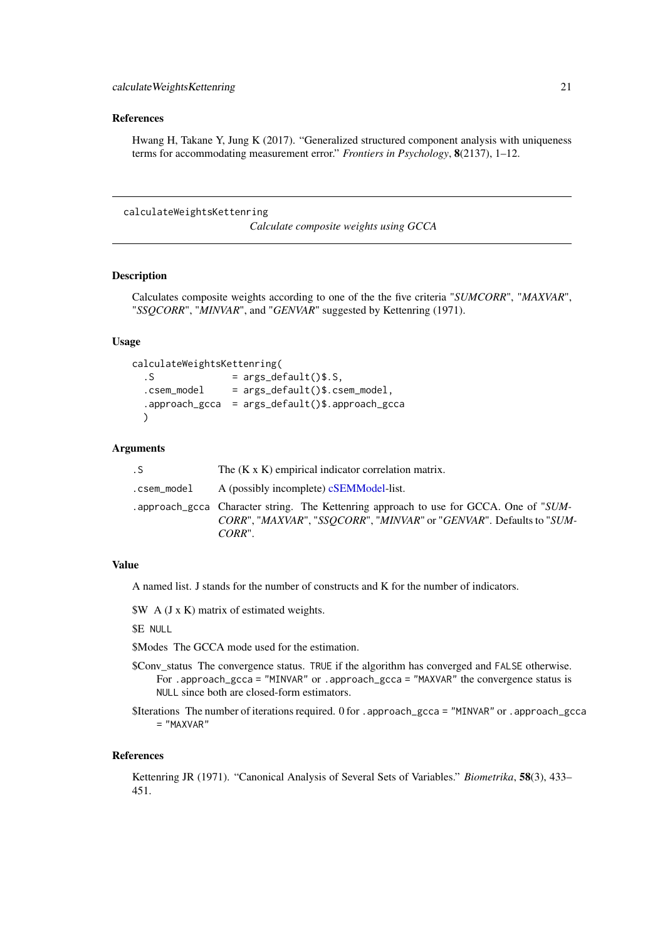#### <span id="page-20-0"></span>References

Hwang H, Takane Y, Jung K (2017). "Generalized structured component analysis with uniqueness terms for accommodating measurement error." *Frontiers in Psychology*, 8(2137), 1–12.

calculateWeightsKettenring

*Calculate composite weights using GCCA*

#### Description

Calculates composite weights according to one of the the five criteria "*SUMCORR*", "*MAXVAR*", "*SSQCORR*", "*MINVAR*", and "*GENVAR*" suggested by Kettenring (1971).

# Usage

```
calculateWeightsKettenring(
  .S = \text{args\_default}()$.S,
  csem_model = args_default()$.csem_model,
  .approach_gcca = args_default()$.approach_gcca
 )
```
## Arguments

| $\cdot$ S   | The $(K \times K)$ empirical indicator correlation matrix.                                                                                                                 |
|-------------|----------------------------------------------------------------------------------------------------------------------------------------------------------------------------|
| .csem_model | A (possibly incomplete) cSEMModel-list.                                                                                                                                    |
|             | . approach_gcca Character string. The Kettenring approach to use for GCCA. One of "SUM-<br>CORR", "MAXVAR", "SSOCORR", "MINVAR" or "GENVAR". Defaults to "SUM-<br>$CORR$ " |

# Value

A named list. J stands for the number of constructs and K for the number of indicators.

\$W A (J x K) matrix of estimated weights.

\$E NULL

- \$Modes The GCCA mode used for the estimation.
- \$Conv\_status The convergence status. TRUE if the algorithm has converged and FALSE otherwise. For .approach\_gcca = "MINVAR" or .approach\_gcca = "MAXVAR" the convergence status is NULL since both are closed-form estimators.
- \$Iterations The number of iterations required. 0 for .approach\_gcca = "MINVAR" or .approach\_gcca = "MAXVAR"

#### References

Kettenring JR (1971). "Canonical Analysis of Several Sets of Variables." *Biometrika*, 58(3), 433– 451.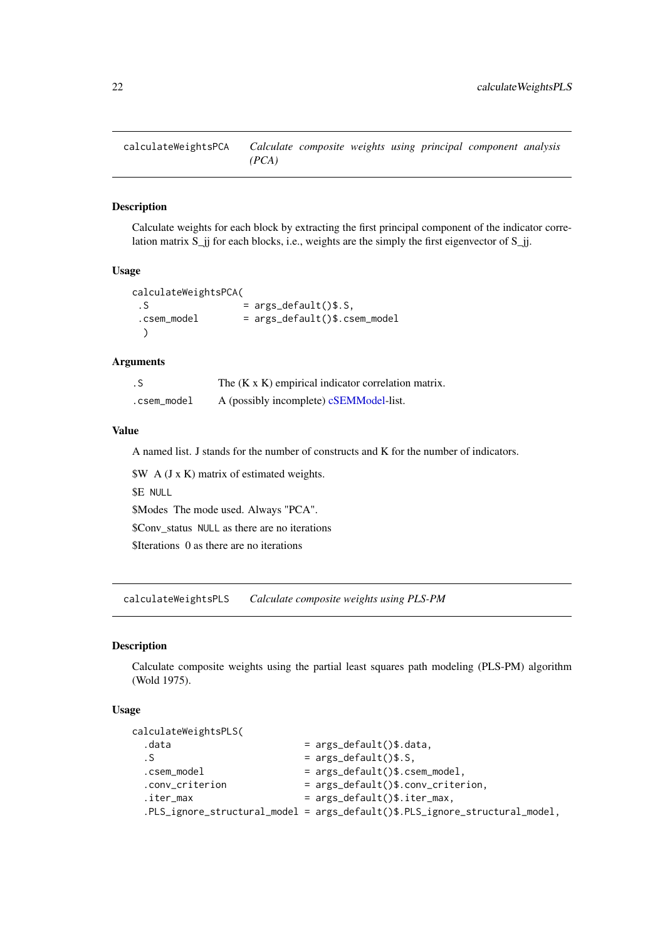<span id="page-21-0"></span>calculateWeightsPCA *Calculate composite weights using principal component analysis (PCA)*

#### Description

Calculate weights for each block by extracting the first principal component of the indicator correlation matrix  $S_{ij}$  for each blocks, i.e., weights are the simply the first eigenvector of  $S_{ij}$ .

#### Usage

```
calculateWeightsPCA(
. S = args\_default()$.S,
 csem_model = args_default()$.csem_model
 )
```
# Arguments

| . S         | The $(K \times K)$ empirical indicator correlation matrix. |
|-------------|------------------------------------------------------------|
| .csem_model | A (possibly incomplete) cSEMModel-list.                    |

# Value

A named list. J stands for the number of constructs and K for the number of indicators.

\$W A (J x K) matrix of estimated weights. \$E NULL \$Modes The mode used. Always "PCA". \$Conv\_status NULL as there are no iterations \$Iterations 0 as there are no iterations

<span id="page-21-1"></span>calculateWeightsPLS *Calculate composite weights using PLS-PM*

#### Description

Calculate composite weights using the partial least squares path modeling (PLS-PM) algorithm (Wold 1975).

# Usage

```
calculateWeightsPLS(
 data = args\_default()$.data,
 . S = \arg s \cdot \text{default}()$.S,
 .csem_model = args_default()$.csem_model,
 .conv_criterion = args_default()$.conv_criterion,
 iter_{max} = args_{default}()$.iter_max,
 .PLS_ignore_structural_model = args_default()$.PLS_ignore_structural_model,
```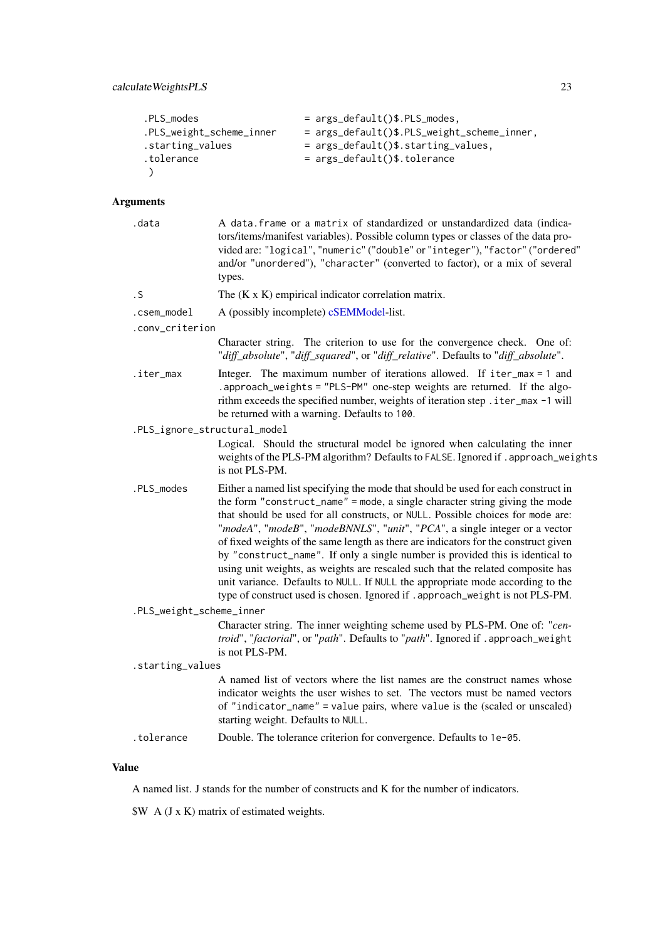| .PLS modes               | $= \arg s_d \text{default}()$ \$.PLS_modes, |
|--------------------------|---------------------------------------------|
| .PLS_weight_scheme_inner | = args_default()\$.PLS_weight_scheme_inner, |
| .starting_values         | $= \arg s_d$ default()\$.starting_values.   |
| .tolerance               | $= \arg s_d \text{default}()$ \$.tolerance  |
|                          |                                             |

# Arguments

| .data                        | A data. frame or a matrix of standardized or unstandardized data (indica-<br>tors/items/manifest variables). Possible column types or classes of the data pro-<br>vided are: "logical", "numeric" ("double" or "integer"), "factor" ("ordered"<br>and/or "unordered"), "character" (converted to factor), or a mix of several<br>types.                                                                                                                                                                                                                                                                                                                                                                                                                         |
|------------------------------|-----------------------------------------------------------------------------------------------------------------------------------------------------------------------------------------------------------------------------------------------------------------------------------------------------------------------------------------------------------------------------------------------------------------------------------------------------------------------------------------------------------------------------------------------------------------------------------------------------------------------------------------------------------------------------------------------------------------------------------------------------------------|
| . S                          | The $(K \times K)$ empirical indicator correlation matrix.                                                                                                                                                                                                                                                                                                                                                                                                                                                                                                                                                                                                                                                                                                      |
| .csem_model                  | A (possibly incomplete) cSEMModel-list.                                                                                                                                                                                                                                                                                                                                                                                                                                                                                                                                                                                                                                                                                                                         |
| .conv_criterion              |                                                                                                                                                                                                                                                                                                                                                                                                                                                                                                                                                                                                                                                                                                                                                                 |
|                              | Character string. The criterion to use for the convergence check. One of:<br>"diff_absolute", "diff_squared", or "diff_relative". Defaults to "diff_absolute".                                                                                                                                                                                                                                                                                                                                                                                                                                                                                                                                                                                                  |
| .iter_max                    | Integer. The maximum number of iterations allowed. If iter_max = 1 and<br>.approach_weights = "PLS-PM" one-step weights are returned. If the algo-<br>rithm exceeds the specified number, weights of iteration step . iter_max -1 will<br>be returned with a warning. Defaults to 100.                                                                                                                                                                                                                                                                                                                                                                                                                                                                          |
| .PLS_ignore_structural_model |                                                                                                                                                                                                                                                                                                                                                                                                                                                                                                                                                                                                                                                                                                                                                                 |
|                              | Logical. Should the structural model be ignored when calculating the inner<br>weights of the PLS-PM algorithm? Defaults to FALSE. Ignored if . approach_weights<br>is not PLS-PM.                                                                                                                                                                                                                                                                                                                                                                                                                                                                                                                                                                               |
| .PLS_modes                   | Either a named list specifying the mode that should be used for each construct in<br>the form "construct_name" = mode, a single character string giving the mode<br>that should be used for all constructs, or NULL. Possible choices for mode are:<br>"modeA", "modeB", "modeBNNLS", "unit", "PCA", a single integer or a vector<br>of fixed weights of the same length as there are indicators for the construct given<br>by "construct_name". If only a single number is provided this is identical to<br>using unit weights, as weights are rescaled such that the related composite has<br>unit variance. Defaults to NULL. If NULL the appropriate mode according to the<br>type of construct used is chosen. Ignored if . approach_weight is not PLS-PM. |
| .PLS_weight_scheme_inner     |                                                                                                                                                                                                                                                                                                                                                                                                                                                                                                                                                                                                                                                                                                                                                                 |
|                              | Character string. The inner weighting scheme used by PLS-PM. One of: "cen-<br>troid", "factorial", or "path". Defaults to "path". Ignored if . approach_weight<br>is not PLS-PM.                                                                                                                                                                                                                                                                                                                                                                                                                                                                                                                                                                                |
| .starting_values             |                                                                                                                                                                                                                                                                                                                                                                                                                                                                                                                                                                                                                                                                                                                                                                 |
|                              | A named list of vectors where the list names are the construct names whose<br>indicator weights the user wishes to set. The vectors must be named vectors<br>of "indicator_name" = value pairs, where value is the (scaled or unscaled)<br>starting weight. Defaults to NULL.                                                                                                                                                                                                                                                                                                                                                                                                                                                                                   |
| .tolerance                   | Double. The tolerance criterion for convergence. Defaults to 1e-05.                                                                                                                                                                                                                                                                                                                                                                                                                                                                                                                                                                                                                                                                                             |
|                              |                                                                                                                                                                                                                                                                                                                                                                                                                                                                                                                                                                                                                                                                                                                                                                 |

# Value

A named list. J stands for the number of constructs and K for the number of indicators.

\$W A (J x K) matrix of estimated weights.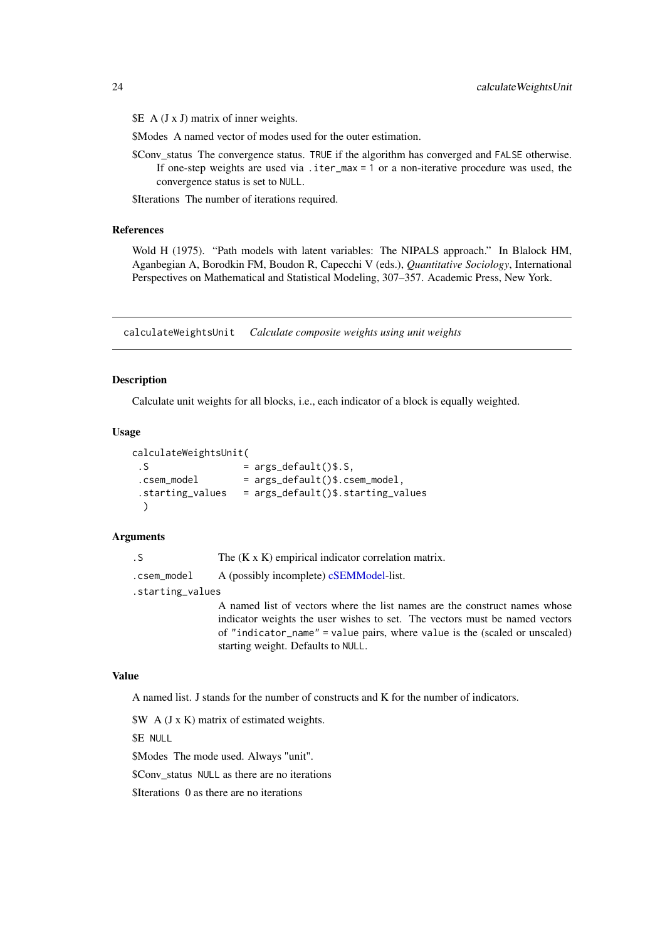<span id="page-23-0"></span> $\&$  A (J x J) matrix of inner weights.

\$Modes A named vector of modes used for the outer estimation.

\$Conv\_status The convergence status. TRUE if the algorithm has converged and FALSE otherwise. If one-step weights are used via .iter\_max = 1 or a non-iterative procedure was used, the convergence status is set to NULL.

\$Iterations The number of iterations required.

# References

Wold H (1975). "Path models with latent variables: The NIPALS approach." In Blalock HM, Aganbegian A, Borodkin FM, Boudon R, Capecchi V (eds.), *Quantitative Sociology*, International Perspectives on Mathematical and Statistical Modeling, 307–357. Academic Press, New York.

calculateWeightsUnit *Calculate composite weights using unit weights*

#### Description

Calculate unit weights for all blocks, i.e., each indicator of a block is equally weighted.

#### Usage

```
calculateWeightsUnit(
.S = args\_default()$.S,
.csem_model = args_default()$.csem_model,
.starting_values = args_default()$.starting_values
 )
```
# Arguments

```
.S The (K x K) empirical indicator correlation matrix.
cSEMModel-list.
.starting_values
               A named list of vectors where the list names are the construct names whose
               indicator weights the user wishes to set. The vectors must be named vectors
               of "indicator_name" = value pairs, where value is the (scaled or unscaled)
```
starting weight. Defaults to NULL.

## Value

A named list. J stands for the number of constructs and K for the number of indicators.

\$W A (J x K) matrix of estimated weights.

\$E NULL

\$Modes The mode used. Always "unit".

\$Conv\_status NULL as there are no iterations

\$Iterations 0 as there are no iterations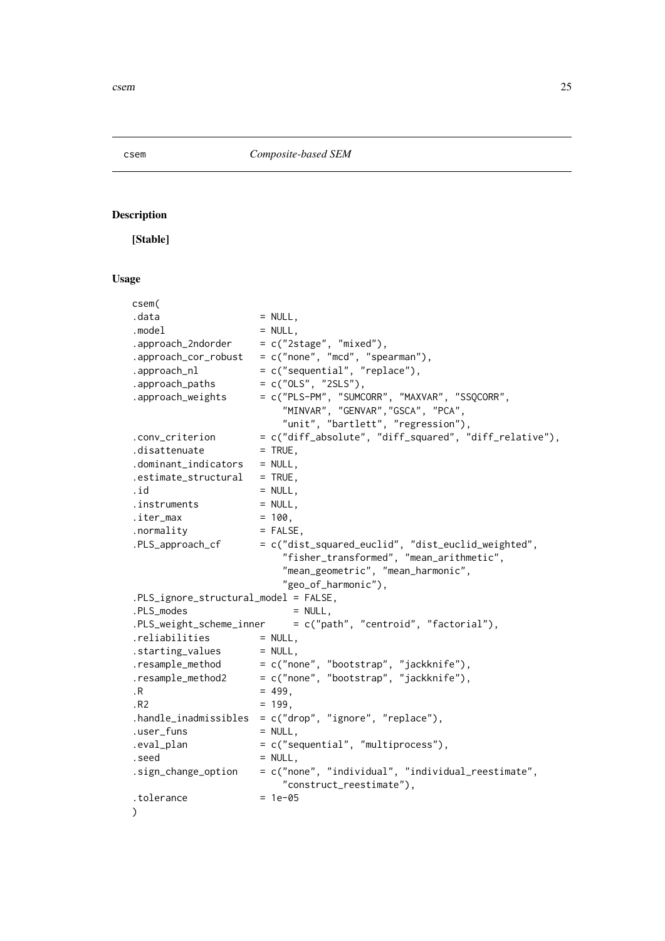<span id="page-24-1"></span><span id="page-24-0"></span>

# Description

[Stable]

# Usage

| csem(                                 |                                                                                |
|---------------------------------------|--------------------------------------------------------------------------------|
| .data                                 | $=$ NULL,                                                                      |
| .model                                | $= NULL,$                                                                      |
| .approach_2ndorder                    | $= c("2stage", "mixed"),$                                                      |
| .approach_cor_robust                  |                                                                                |
| .approach_nl                          | = $c("none", "mcd", "spearman"),$<br>= $c("sequential", "replace"),$           |
| .approach_paths                       | $= c("OLS", "2SLS"),$                                                          |
| .approach_weights                     | = c("PLS-PM", "SUMCORR", "MAXVAR", "SSQCORR",                                  |
|                                       | "MINVAR", "GENVAR", "GSCA", "PCA",                                             |
|                                       | "unit", "bartlett", "regression"),                                             |
| .conv_criterion                       | = c("diff_absolute", "diff_squared", "diff_relative"),                         |
| .disattenuate                         | $=$ TRUE,                                                                      |
| .dominant_indicators                  | $=$ NULL,                                                                      |
| .estimate_structural                  | $=$ TRUE.                                                                      |
| .id                                   | $= NULL,$                                                                      |
| .instruments                          | $=$ NULL,                                                                      |
| .iter_max                             | $= 100$ ,                                                                      |
| .normality                            | $=$ FALSE,                                                                     |
| .PLS_approach_cf                      | = c("dist_squared_euclid", "dist_euclid_weighted",                             |
|                                       | "fisher_transformed", "mean_arithmetic",                                       |
|                                       | "mean_geometric", "mean_harmonic",                                             |
|                                       | "geo_of_harmonic"),                                                            |
| .PLS_ignore_structural_model = FALSE, |                                                                                |
| .PLS_modes                            | $= NULL,$                                                                      |
|                                       | $PLS_weight_scheme_inner = c("path", "centroid", "factorial"),$                |
| .reliabilities                        | $=$ NULL,                                                                      |
| .starting_values                      | $=$ NULL,                                                                      |
| .resample_method                      | = c("none", "bootstrap", "jackknife"),                                         |
| .resample_method2                     | = c("none", "bootstrap", "jackknife"),                                         |
| $\cdot$ R                             | $= 499,$                                                                       |
| .R2                                   | $= 199,$                                                                       |
| .handle_inadmissibles                 | = c("drop", "ignore", "replace"),                                              |
| .user_funs                            | $= NULL,$                                                                      |
| .eval_plan                            | = c("sequential", "multiprocess"),                                             |
| .seed                                 | $= NULL,$                                                                      |
| .sign_change_option                   | = c("none", "individual", "individual_reestimate",<br>"construct_reestimate"), |
| .tolerance                            | $= 1e-05$                                                                      |
| $\mathcal{C}$                         |                                                                                |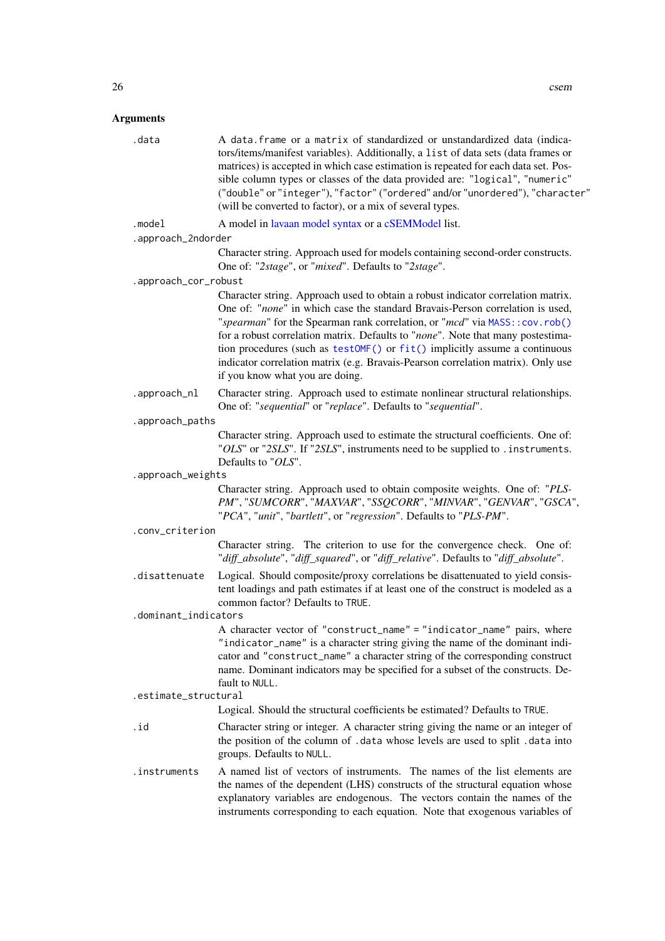## Arguments

| .data  | A data frame or a matrix of standardized or unstandardized data (indica-<br>tors/items/manifest variables). Additionally, a list of data sets (data frames or<br>matrices) is accepted in which case estimation is repeated for each data set. Pos-<br>sible column types or classes of the data provided are: "logical", "numeric"<br>("double" or "integer"), "factor" ("ordered" and/or "unordered"), "character"<br>(will be converted to factor), or a mix of several types. |
|--------|-----------------------------------------------------------------------------------------------------------------------------------------------------------------------------------------------------------------------------------------------------------------------------------------------------------------------------------------------------------------------------------------------------------------------------------------------------------------------------------|
| .model | A model in lavaan model syntax or a cSEMModel list.                                                                                                                                                                                                                                                                                                                                                                                                                               |

.approach\_2ndorder

Character string. Approach used for models containing second-order constructs. One of: "*2stage*", or "*mixed*". Defaults to "*2stage*".

.approach\_cor\_robust

Character string. Approach used to obtain a robust indicator correlation matrix. One of: "*none*" in which case the standard Bravais-Person correlation is used, "*spearman*" for the Spearman rank correlation, or "*mcd*" via [MASS::cov.rob\(\)](#page-0-0) for a robust correlation matrix. Defaults to "*none*". Note that many postestimation procedures (such as [testOMF\(\)](#page-87-1) or [fit\(\)](#page-41-1) implicitly assume a continuous indicator correlation matrix (e.g. Bravais-Pearson correlation matrix). Only use if you know what you are doing.

.approach\_nl Character string. Approach used to estimate nonlinear structural relationships. One of: "*sequential*" or "*replace*". Defaults to "*sequential*".

.approach\_paths

Character string. Approach used to estimate the structural coefficients. One of: "*OLS*" or "*2SLS*". If "*2SLS*", instruments need to be supplied to .instruments. Defaults to "*OLS*".

.approach\_weights

Character string. Approach used to obtain composite weights. One of: "*PLS-PM*", "*SUMCORR*", "*MAXVAR*", "*SSQCORR*", "*MINVAR*", "*GENVAR*", "*GSCA*", "*PCA*", "*unit*", "*bartlett*", or "*regression*". Defaults to "*PLS-PM*".

#### .conv\_criterion

Character string. The criterion to use for the convergence check. One of: "*diff\_absolute*", "*diff\_squared*", or "*diff\_relative*". Defaults to "*diff\_absolute*".

.disattenuate Logical. Should composite/proxy correlations be disattenuated to yield consistent loadings and path estimates if at least one of the construct is modeled as a common factor? Defaults to TRUE.

#### .dominant\_indicators

A character vector of "construct\_name" = "indicator\_name" pairs, where "indicator\_name" is a character string giving the name of the dominant indicator and "construct\_name" a character string of the corresponding construct name. Dominant indicators may be specified for a subset of the constructs. Default to NULL.

#### .estimate\_structural

Logical. Should the structural coefficients be estimated? Defaults to TRUE.

- .id Character string or integer. A character string giving the name or an integer of the position of the column of .data whose levels are used to split .data into groups. Defaults to NULL.
- .instruments A named list of vectors of instruments. The names of the list elements are the names of the dependent (LHS) constructs of the structural equation whose explanatory variables are endogenous. The vectors contain the names of the instruments corresponding to each equation. Note that exogenous variables of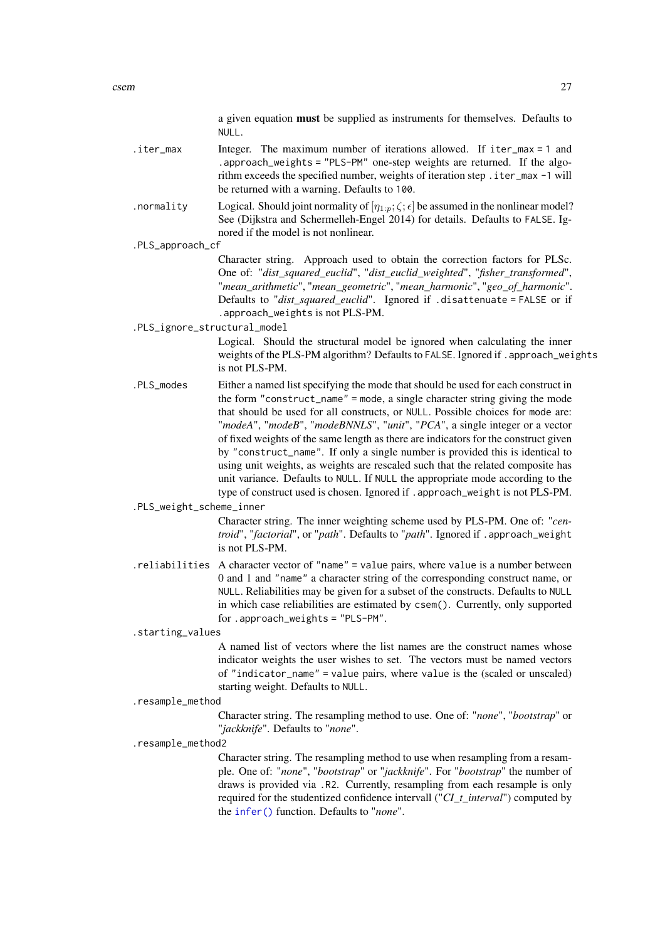a given equation must be supplied as instruments for themselves. Defaults to NULL.

- .iter\_max Integer. The maximum number of iterations allowed. If iter\_max = 1 and .approach\_weights = "PLS-PM" one-step weights are returned. If the algorithm exceeds the specified number, weights of iteration step .iter\_max -1 will be returned with a warning. Defaults to 100.
- . normality Logical. Should joint normality of  $[\eta_{1:n}; \zeta; \epsilon]$  be assumed in the nonlinear model? See (Dijkstra and Schermelleh-Engel 2014) for details. Defaults to FALSE. Ignored if the model is not nonlinear.
- .PLS\_approach\_cf

Character string. Approach used to obtain the correction factors for PLSc. One of: "*dist\_squared\_euclid*", "*dist\_euclid\_weighted*", "*fisher\_transformed*", "*mean\_arithmetic*", "*mean\_geometric*", "*mean\_harmonic*", "*geo\_of\_harmonic*". Defaults to "*dist\_squared\_euclid*". Ignored if .disattenuate = FALSE or if .approach\_weights is not PLS-PM.

.PLS\_ignore\_structural\_model

Logical. Should the structural model be ignored when calculating the inner weights of the PLS-PM algorithm? Defaults to FALSE. Ignored if . approach\_weights is not PLS-PM.

.PLS\_modes Either a named list specifying the mode that should be used for each construct in the form "construct\_name" = mode, a single character string giving the mode that should be used for all constructs, or NULL. Possible choices for mode are: "*modeA*", "*modeB*", "*modeBNNLS*", "*unit*", "*PCA*", a single integer or a vector of fixed weights of the same length as there are indicators for the construct given by "construct\_name". If only a single number is provided this is identical to using unit weights, as weights are rescaled such that the related composite has unit variance. Defaults to NULL. If NULL the appropriate mode according to the type of construct used is chosen. Ignored if .approach\_weight is not PLS-PM.

.PLS\_weight\_scheme\_inner

Character string. The inner weighting scheme used by PLS-PM. One of: "*centroid*", "*factorial*", or "*path*". Defaults to "*path*". Ignored if .approach\_weight is not PLS-PM.

.reliabilities A character vector of "name" = value pairs, where value is a number between 0 and 1 and "name" a character string of the corresponding construct name, or NULL. Reliabilities may be given for a subset of the constructs. Defaults to NULL in which case reliabilities are estimated by csem(). Currently, only supported for .approach\_weights = "PLS-PM".

.starting\_values

A named list of vectors where the list names are the construct names whose indicator weights the user wishes to set. The vectors must be named vectors of "indicator\_name" = value pairs, where value is the (scaled or unscaled) starting weight. Defaults to NULL.

.resample\_method

Character string. The resampling method to use. One of: "*none*", "*bootstrap*" or "*jackknife*". Defaults to "*none*".

.resample\_method2

Character string. The resampling method to use when resampling from a resample. One of: "*none*", "*bootstrap*" or "*jackknife*". For "*bootstrap*" the number of draws is provided via .R2. Currently, resampling from each resample is only required for the studentized confidence intervall ("*CI\_t\_interval*") computed by the [infer\(\)](#page-44-1) function. Defaults to "*none*".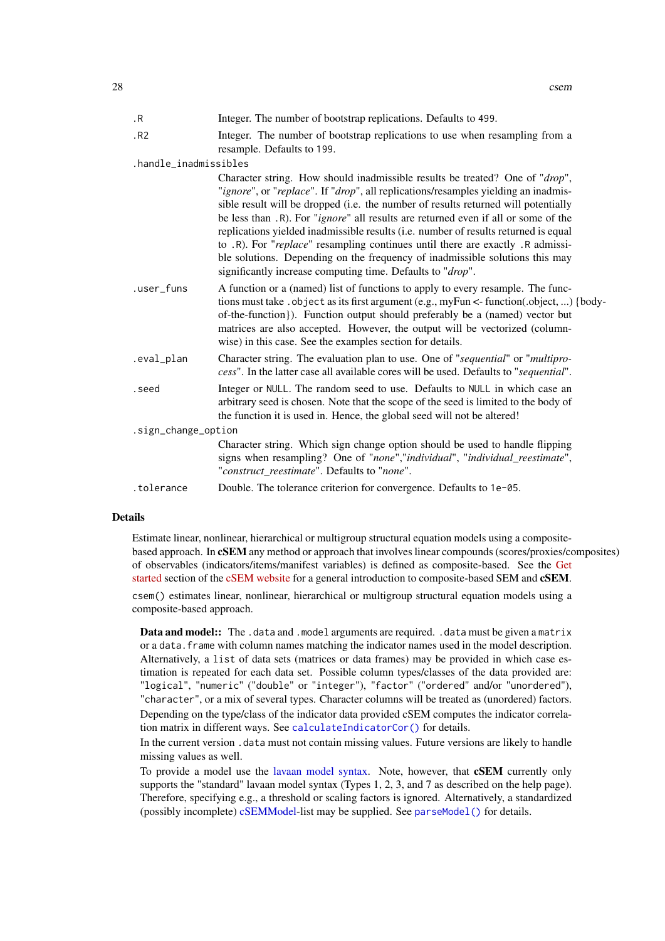| $\cdot$ R             | Integer. The number of bootstrap replications. Defaults to 499.                                                                                                                                                                                                                                                                                                                                                                                                                                                                                                                                                                                                                |
|-----------------------|--------------------------------------------------------------------------------------------------------------------------------------------------------------------------------------------------------------------------------------------------------------------------------------------------------------------------------------------------------------------------------------------------------------------------------------------------------------------------------------------------------------------------------------------------------------------------------------------------------------------------------------------------------------------------------|
|                       |                                                                                                                                                                                                                                                                                                                                                                                                                                                                                                                                                                                                                                                                                |
| .R2                   | Integer. The number of bootstrap replications to use when resampling from a<br>resample. Defaults to 199.                                                                                                                                                                                                                                                                                                                                                                                                                                                                                                                                                                      |
| .handle_inadmissibles |                                                                                                                                                                                                                                                                                                                                                                                                                                                                                                                                                                                                                                                                                |
|                       | Character string. How should inadmissible results be treated? One of "drop",<br>"ignore", or "replace". If "drop", all replications/resamples yielding an inadmis-<br>sible result will be dropped (i.e. the number of results returned will potentially<br>be less than .R). For " <i>ignore</i> " all results are returned even if all or some of the<br>replications yielded inadmissible results (i.e. number of results returned is equal<br>to .R). For "replace" resampling continues until there are exactly .R admissi-<br>ble solutions. Depending on the frequency of inadmissible solutions this may<br>significantly increase computing time. Defaults to "drop". |
| .user_funs            | A function or a (named) list of functions to apply to every resample. The func-<br>tions must take . object as its first argument (e.g., myFun <- function(.object, ) {body-<br>of-the-function}). Function output should preferably be a (named) vector but<br>matrices are also accepted. However, the output will be vectorized (column-<br>wise) in this case. See the examples section for details.                                                                                                                                                                                                                                                                       |
| .eval_plan            | Character string. The evaluation plan to use. One of "sequential" or "multipro-<br>cess". In the latter case all available cores will be used. Defaults to "sequential".                                                                                                                                                                                                                                                                                                                                                                                                                                                                                                       |
| .seed                 | Integer or NULL. The random seed to use. Defaults to NULL in which case an<br>arbitrary seed is chosen. Note that the scope of the seed is limited to the body of<br>the function it is used in. Hence, the global seed will not be altered!                                                                                                                                                                                                                                                                                                                                                                                                                                   |
| .sign_change_option   |                                                                                                                                                                                                                                                                                                                                                                                                                                                                                                                                                                                                                                                                                |
|                       | Character string. Which sign change option should be used to handle flipping<br>signs when resampling? One of "none","individual", "individual_reestimate",<br>"construct reestimate". Defaults to "none".                                                                                                                                                                                                                                                                                                                                                                                                                                                                     |
| .tolerance            | Double. The tolerance criterion for convergence. Defaults to 1e-05.                                                                                                                                                                                                                                                                                                                                                                                                                                                                                                                                                                                                            |

#### Details

Estimate linear, nonlinear, hierarchical or multigroup structural equation models using a compositebased approach. In cSEM any method or approach that involves linear compounds (scores/proxies/composites) of observables (indicators/items/manifest variables) is defined as composite-based. See the [Get](https://m-e-rademaker.github.io/cSEM/articles/cSEM.html) [started](https://m-e-rademaker.github.io/cSEM/articles/cSEM.html) section of the [cSEM website](https://m-e-rademaker.github.io/cSEM/index.html) for a general introduction to composite-based SEM and cSEM.

csem() estimates linear, nonlinear, hierarchical or multigroup structural equation models using a composite-based approach.

Data and model:: The .data and .model arguments are required. .data must be given a matrix or a data.frame with column names matching the indicator names used in the model description. Alternatively, a list of data sets (matrices or data frames) may be provided in which case estimation is repeated for each data set. Possible column types/classes of the data provided are: "logical", "numeric" ("double" or "integer"), "factor" ("ordered" and/or "unordered"), "character", or a mix of several types. Character columns will be treated as (unordered) factors. Depending on the type/class of the indicator data provided cSEM computes the indicator correlation matrix in different ways. See [calculateIndicatorCor\(\)](#page-0-0) for details.

In the current version .data must not contain missing values. Future versions are likely to handle missing values as well.

To provide a model use the [lavaan model syntax.](#page-0-0) Note, however, that **CSEM** currently only supports the "standard" lavaan model syntax (Types 1, 2, 3, and 7 as described on the help page). Therefore, specifying e.g., a threshold or scaling factors is ignored. Alternatively, a standardized (possibly incomplete) [cSEMModel-](#page-0-0)list may be supplied. See [parseModel\(\)](#page-50-1) for details.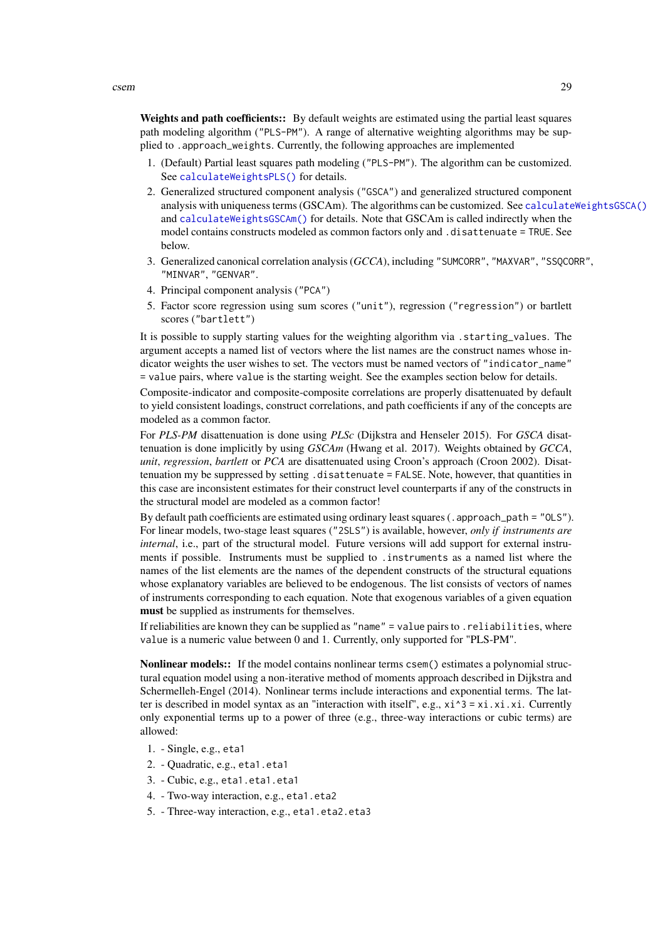Weights and path coefficients:: By default weights are estimated using the partial least squares path modeling algorithm ("PLS-PM"). A range of alternative weighting algorithms may be supplied to .approach\_weights. Currently, the following approaches are implemented

- 1. (Default) Partial least squares path modeling ("PLS-PM"). The algorithm can be customized. See [calculateWeightsPLS\(\)](#page-21-1) for details.
- 2. Generalized structured component analysis ("GSCA") and generalized structured component analysis with uniqueness terms (GSCAm). The algorithms can be customized. See [calculateWeightsGSCA\(\)](#page-17-1) and [calculateWeightsGSCAm\(\)](#page-18-1) for details. Note that GSCAm is called indirectly when the model contains constructs modeled as common factors only and .disattenuate = TRUE. See below.
- 3. Generalized canonical correlation analysis (*GCCA*), including "SUMCORR", "MAXVAR", "SSQCORR", "MINVAR", "GENVAR".
- 4. Principal component analysis ("PCA")
- 5. Factor score regression using sum scores ("unit"), regression ("regression") or bartlett scores ("bartlett")

It is possible to supply starting values for the weighting algorithm via .starting\_values. The argument accepts a named list of vectors where the list names are the construct names whose indicator weights the user wishes to set. The vectors must be named vectors of "indicator name" = value pairs, where value is the starting weight. See the examples section below for details.

Composite-indicator and composite-composite correlations are properly disattenuated by default to yield consistent loadings, construct correlations, and path coefficients if any of the concepts are modeled as a common factor.

For *PLS-PM* disattenuation is done using *PLSc* (Dijkstra and Henseler 2015). For *GSCA* disattenuation is done implicitly by using *GSCAm* (Hwang et al. 2017). Weights obtained by *GCCA*, *unit*, *regression*, *bartlett* or *PCA* are disattenuated using Croon's approach (Croon 2002). Disattenuation my be suppressed by setting .disattenuate = FALSE. Note, however, that quantities in this case are inconsistent estimates for their construct level counterparts if any of the constructs in the structural model are modeled as a common factor!

By default path coefficients are estimated using ordinary least squares (. approach\_path = "0LS"). For linear models, two-stage least squares ("2SLS") is available, however, *only if instruments are internal*, i.e., part of the structural model. Future versions will add support for external instruments if possible. Instruments must be supplied to .instruments as a named list where the names of the list elements are the names of the dependent constructs of the structural equations whose explanatory variables are believed to be endogenous. The list consists of vectors of names of instruments corresponding to each equation. Note that exogenous variables of a given equation must be supplied as instruments for themselves.

If reliabilities are known they can be supplied as "name" = value pairs to .reliabilities, where value is a numeric value between 0 and 1. Currently, only supported for "PLS-PM".

Nonlinear models:: If the model contains nonlinear terms csem() estimates a polynomial structural equation model using a non-iterative method of moments approach described in Dijkstra and Schermelleh-Engel (2014). Nonlinear terms include interactions and exponential terms. The latter is described in model syntax as an "interaction with itself", e.g.,  $x_i^3 = x_i^3$ .xi.xi. Currently only exponential terms up to a power of three (e.g., three-way interactions or cubic terms) are allowed:

- 1. Single, e.g., eta1
- 2. Quadratic, e.g., eta1.eta1
- 3. Cubic, e.g., eta1.eta1.eta1
- 4. Two-way interaction, e.g., eta1.eta2
- 5. Three-way interaction, e.g., eta1.eta2.eta3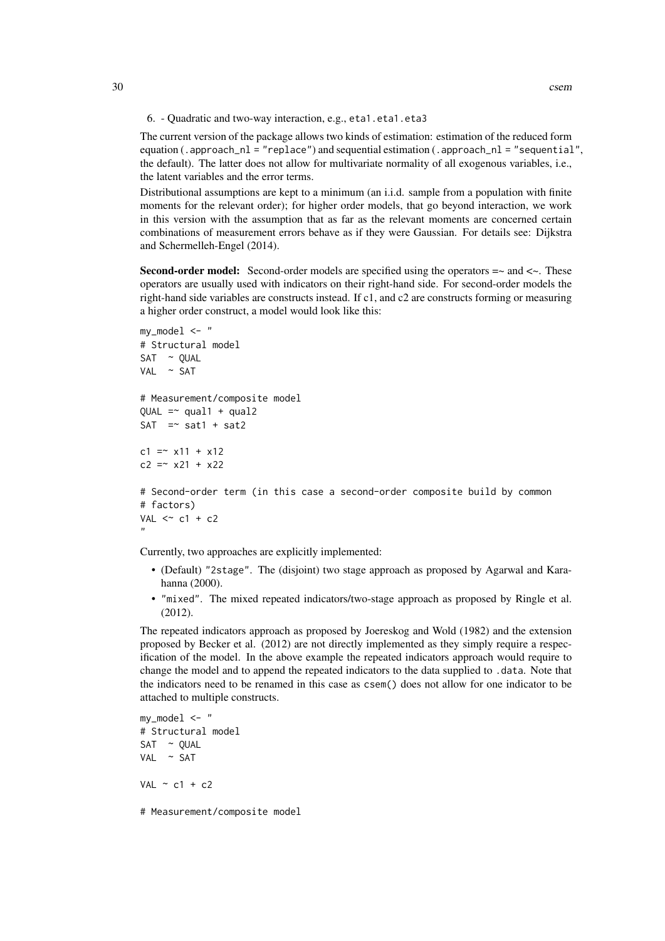The current version of the package allows two kinds of estimation: estimation of the reduced form equation (.approach\_nl = "replace") and sequential estimation (.approach\_nl = "sequential", the default). The latter does not allow for multivariate normality of all exogenous variables, i.e., the latent variables and the error terms.

Distributional assumptions are kept to a minimum (an i.i.d. sample from a population with finite moments for the relevant order); for higher order models, that go beyond interaction, we work in this version with the assumption that as far as the relevant moments are concerned certain combinations of measurement errors behave as if they were Gaussian. For details see: Dijkstra and Schermelleh-Engel (2014).

**Second-order model:** Second-order models are specified using the operators  $=\sim$  and  $\lt\sim$ . These operators are usually used with indicators on their right-hand side. For second-order models the right-hand side variables are constructs instead. If c1, and c2 are constructs forming or measuring a higher order construct, a model would look like this:

```
my_model < - "
# Structural model
SAT \sim QUALVAL ~ SAT
# Measurement/composite model
OUAL = ~aual1 + <u>qual2</u>SAT = sat1 + sat2
c1 = x11 + x12c2 = x21 + x22# Second-order term (in this case a second-order composite build by common
# factors)
VAL \lt\sim c1 + c2
"
```
Currently, two approaches are explicitly implemented:

- (Default) "2stage". The (disjoint) two stage approach as proposed by Agarwal and Karahanna (2000).
- "mixed". The mixed repeated indicators/two-stage approach as proposed by Ringle et al.  $(2012)$

The repeated indicators approach as proposed by Joereskog and Wold (1982) and the extension proposed by Becker et al. (2012) are not directly implemented as they simply require a respecification of the model. In the above example the repeated indicators approach would require to change the model and to append the repeated indicators to the data supplied to .data. Note that the indicators need to be renamed in this case as csem() does not allow for one indicator to be attached to multiple constructs.

```
my_model < - "
# Structural model
SAT ~ QUAL
VAL ~ SAT
VAL \sim c1 + c2
```
# Measurement/composite model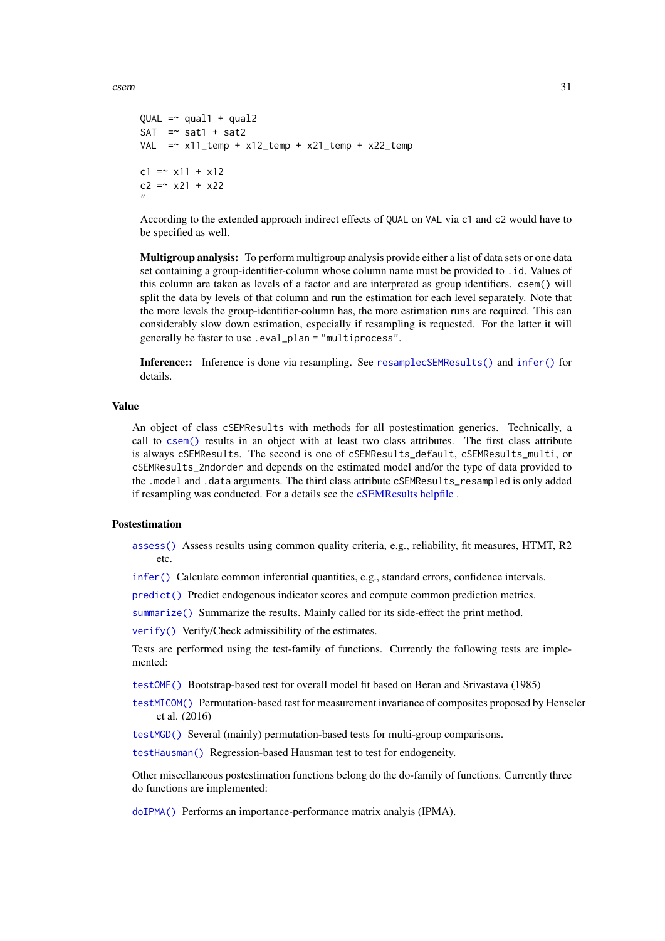csem 31

```
QUAL = \sim qual1 + qual2
SAT = sat1 + sat2
VAL =\sim x11_temp + x12_temp + x21_temp + x22_temp
c1 = x11 + x12c2 = x21 + x22"
```
According to the extended approach indirect effects of QUAL on VAL via c1 and c2 would have to be specified as well.

Multigroup analysis: To perform multigroup analysis provide either a list of data sets or one data set containing a group-identifier-column whose column name must be provided to .id. Values of this column are taken as levels of a factor and are interpreted as group identifiers. csem() will split the data by levels of that column and run the estimation for each level separately. Note that the more levels the group-identifier-column has, the more estimation runs are required. This can considerably slow down estimation, especially if resampling is requested. For the latter it will generally be faster to use .eval\_plan = "multiprocess".

Inference:: Inference is done via resampling. See [resamplecSEMResults\(\)](#page-60-1) and [infer\(\)](#page-44-1) for details.

#### Value

An object of class cSEMResults with methods for all postestimation generics. Technically, a call to [csem\(\)](#page-24-1) results in an object with at least two class attributes. The first class attribute is always cSEMResults. The second is one of cSEMResults\_default, cSEMResults\_multi, or cSEMResults\_2ndorder and depends on the estimated model and/or the type of data provided to the .model and .data arguments. The third class attribute cSEMResults\_resampled is only added if resampling was conducted. For a details see the [cSEMResults helpfile](#page-0-0) .

#### Postestimation

[assess\(\)](#page-3-1) Assess results using common quality criteria, e.g., reliability, fit measures, HTMT, R2 etc.

[infer\(\)](#page-44-1) Calculate common inferential quantities, e.g., standard errors, confidence intervals.

[predict\(\)](#page-55-1) Predict endogenous indicator scores and compute common prediction metrics.

[summarize\(\)](#page-74-1) Summarize the results. Mainly called for its side-effect the print method.

[verify\(\)](#page-91-1) Verify/Check admissibility of the estimates.

Tests are performed using the test-family of functions. Currently the following tests are implemented:

[testOMF\(\)](#page-87-1) Bootstrap-based test for overall model fit based on Beran and Srivastava (1985)

[testMICOM\(\)](#page-85-1) Permutation-based test for measurement invariance of composites proposed by Henseler et al. (2016)

[testMGD\(\)](#page-79-1) Several (mainly) permutation-based tests for multi-group comparisons.

[testHausman\(\)](#page-77-1) Regression-based Hausman test to test for endogeneity.

Other miscellaneous postestimation functions belong do the do-family of functions. Currently three do functions are implemented:

[doIPMA\(\)](#page-37-1) Performs an importance-performance matrix analyis (IPMA).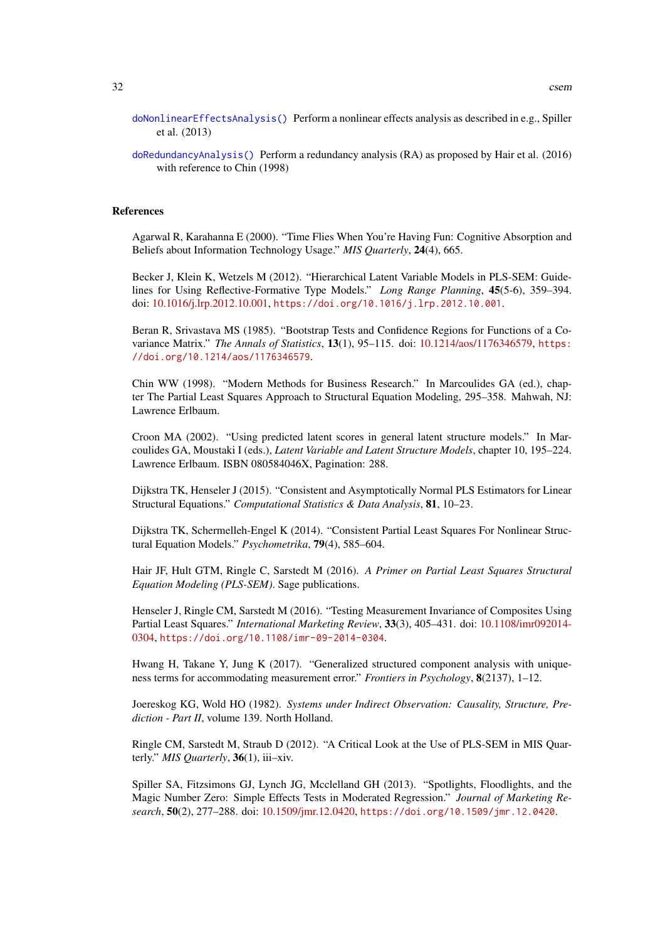- [doNonlinearEffectsAnalysis\(\)](#page-38-1) Perform a nonlinear effects analysis as described in e.g., Spiller et al. (2013)
- [doRedundancyAnalysis\(\)](#page-39-1) Perform a redundancy analysis (RA) as proposed by Hair et al. (2016) with reference to Chin (1998)

#### References

Agarwal R, Karahanna E (2000). "Time Flies When You're Having Fun: Cognitive Absorption and Beliefs about Information Technology Usage." *MIS Quarterly*, 24(4), 665.

Becker J, Klein K, Wetzels M (2012). "Hierarchical Latent Variable Models in PLS-SEM: Guidelines for Using Reflective-Formative Type Models." *Long Range Planning*, 45(5-6), 359–394. doi: [10.1016/j.lrp.2012.10.001,](https://doi.org/10.1016/j.lrp.2012.10.001) <https://doi.org/10.1016/j.lrp.2012.10.001>.

Beran R, Srivastava MS (1985). "Bootstrap Tests and Confidence Regions for Functions of a Covariance Matrix." *The Annals of Statistics*, 13(1), 95–115. doi: [10.1214/aos/1176346579,](https://doi.org/10.1214/aos/1176346579) [https:](https://doi.org/10.1214/aos/1176346579) [//doi.org/10.1214/aos/1176346579](https://doi.org/10.1214/aos/1176346579).

Chin WW (1998). "Modern Methods for Business Research." In Marcoulides GA (ed.), chapter The Partial Least Squares Approach to Structural Equation Modeling, 295–358. Mahwah, NJ: Lawrence Erlbaum.

Croon MA (2002). "Using predicted latent scores in general latent structure models." In Marcoulides GA, Moustaki I (eds.), *Latent Variable and Latent Structure Models*, chapter 10, 195–224. Lawrence Erlbaum. ISBN 080584046X, Pagination: 288.

Dijkstra TK, Henseler J (2015). "Consistent and Asymptotically Normal PLS Estimators for Linear Structural Equations." *Computational Statistics & Data Analysis*, 81, 10–23.

Dijkstra TK, Schermelleh-Engel K (2014). "Consistent Partial Least Squares For Nonlinear Structural Equation Models." *Psychometrika*, 79(4), 585–604.

Hair JF, Hult GTM, Ringle C, Sarstedt M (2016). *A Primer on Partial Least Squares Structural Equation Modeling (PLS-SEM)*. Sage publications.

Henseler J, Ringle CM, Sarstedt M (2016). "Testing Measurement Invariance of Composites Using Partial Least Squares." *International Marketing Review*, 33(3), 405–431. doi: [10.1108/imr092014-](https://doi.org/10.1108/imr-09-2014-0304) [0304,](https://doi.org/10.1108/imr-09-2014-0304) <https://doi.org/10.1108/imr-09-2014-0304>.

Hwang H, Takane Y, Jung K (2017). "Generalized structured component analysis with uniqueness terms for accommodating measurement error." *Frontiers in Psychology*, 8(2137), 1–12.

Joereskog KG, Wold HO (1982). *Systems under Indirect Observation: Causality, Structure, Prediction - Part II*, volume 139. North Holland.

Ringle CM, Sarstedt M, Straub D (2012). "A Critical Look at the Use of PLS-SEM in MIS Quarterly." *MIS Quarterly*, 36(1), iii–xiv.

Spiller SA, Fitzsimons GJ, Lynch JG, Mcclelland GH (2013). "Spotlights, Floodlights, and the Magic Number Zero: Simple Effects Tests in Moderated Regression." *Journal of Marketing Research*, 50(2), 277–288. doi: [10.1509/jmr.12.0420,](https://doi.org/10.1509/jmr.12.0420) <https://doi.org/10.1509/jmr.12.0420>.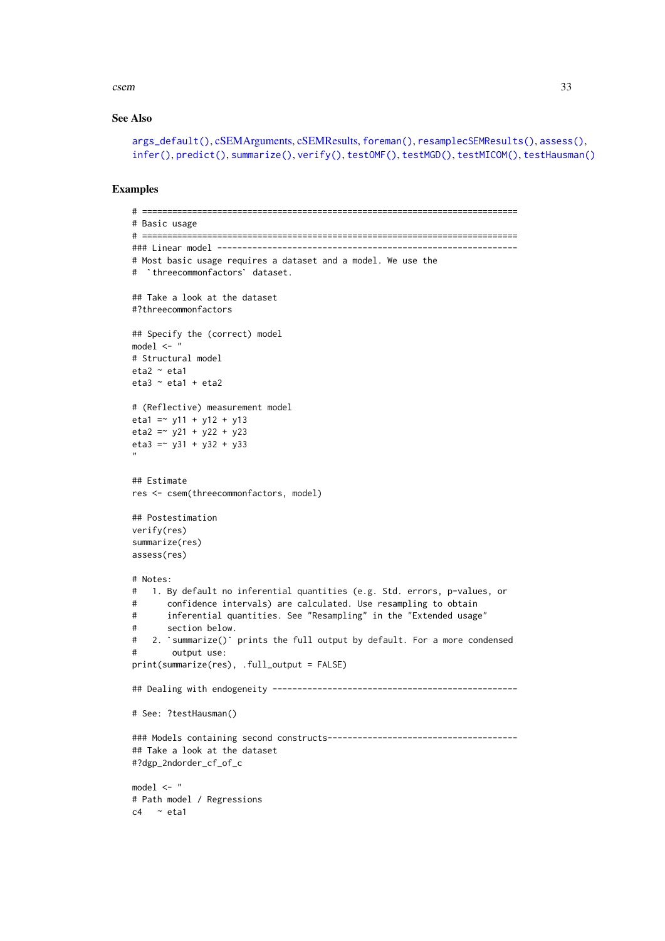csem 33

#### See Also

```
args_default(), cSEMArguments, cSEMResults, foreman(), resamplecSEMResults(), assess(),
infer(), predict(), summarize(), verify(), testOMF(), testMGD(), testMICOM(), testHausman()
```
# Examples

```
# ===========================================================================
# Basic usage
# ===========================================================================
### Linear model ------------------------------------------------------------
# Most basic usage requires a dataset and a model. We use the
# `threecommonfactors` dataset.
## Take a look at the dataset
#?threecommonfactors
## Specify the (correct) model
model \leq - "
# Structural model
eta2 ~ eta1
eta3 \sim eta1 + eta2
# (Reflective) measurement model
eta1 = \times y11 + y12 + y13
eta2 = -y21 + y22 + y23eta3 =~ y31 + y32 + y33
"
## Estimate
res <- csem(threecommonfactors, model)
## Postestimation
verify(res)
summarize(res)
assess(res)
# Notes:
# 1. By default no inferential quantities (e.g. Std. errors, p-values, or
# confidence intervals) are calculated. Use resampling to obtain
# inferential quantities. See "Resampling" in the "Extended usage"
# section below.
# 2. `summarize()` prints the full output by default. For a more condensed
# output use:
print(summarize(res), .full_output = FALSE)
## Dealing with endogeneity -------------------------------------------------
# See: ?testHausman()
### Models containing second constructs--------------------------------------
## Take a look at the dataset
#?dgp_2ndorder_cf_of_c
model <- "
# Path model / Regressions
c4 \sim eta1
```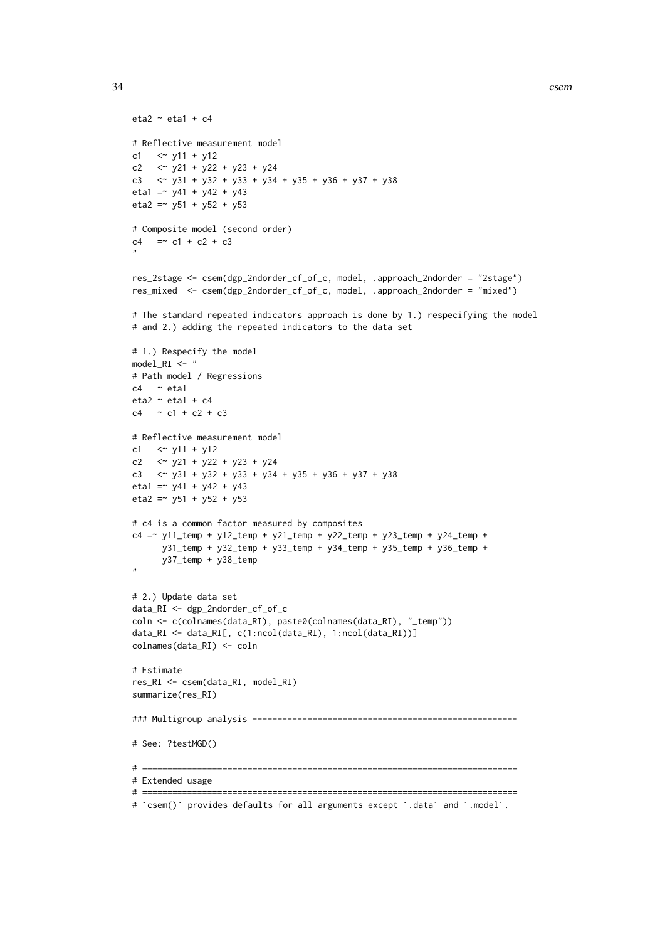```
eta2 \sim eta1 + c4
# Reflective measurement model
c1 \le y11 + y12
c2 \langle x \rangle y21 + y22 + y23 + y24
c3 \langle x \rangle y31 + y32 + y33 + y34 + y35 + y36 + y37 + y38
eta1 = -y41 + y42 + y43eta2 = \sqrt{51} + \sqrt{52} + \sqrt{53}# Composite model (second order)
c4 = c1 + c2 + c3"
res_2stage <- csem(dgp_2ndorder_cf_of_c, model, .approach_2ndorder = "2stage")
res_mixed <- csem(dgp_2ndorder_cf_of_c, model, .approach_2ndorder = "mixed")
# The standard repeated indicators approach is done by 1.) respecifying the model
# and 2.) adding the repeated indicators to the data set
# 1.) Respecify the model
model_RI <- "
# Path model / Regressions
c4 \sim etal
eta2 \sim eta1 + c4
c4 \sim c1 + c2 + c3# Reflective measurement model
c1 <~ y11 + y12
c2 \langle x \rangle y21 + y22 + y23 + y24
c3 \langle \sim y31 + y32 + y33 + y34 + y35 + y36 + y37 + y38
eta1 = v41 + v42 + v43eta2 = \sqrt{51} + \sqrt{52} + \sqrt{53}# c4 is a common factor measured by composites
c4 = v11_temp + y12_temp + y21_temp + y22_temp + y23_temp + y24_temp +
      y31_temp + y32_temp + y33_temp + y34_temp + y35_temp + y36_temp +
      y37_temp + y38_temp
"
# 2.) Update data set
data_RI <- dgp_2ndorder_cf_of_c
coln <- c(colnames(data_RI), paste0(colnames(data_RI), "_temp"))
data_RI <- data_RI[, c(1:ncol(data_RI), 1:ncol(data_RI))]
colnames(data_RI) <- coln
# Estimate
res_RI <- csem(data_RI, model_RI)
summarize(res_RI)
### Multigroup analysis -----------------------------------------------------
# See: ?testMGD()
# ===========================================================================
# Extended usage
# ===========================================================================
# `csem()` provides defaults for all arguments except `.data` and `.model`.
```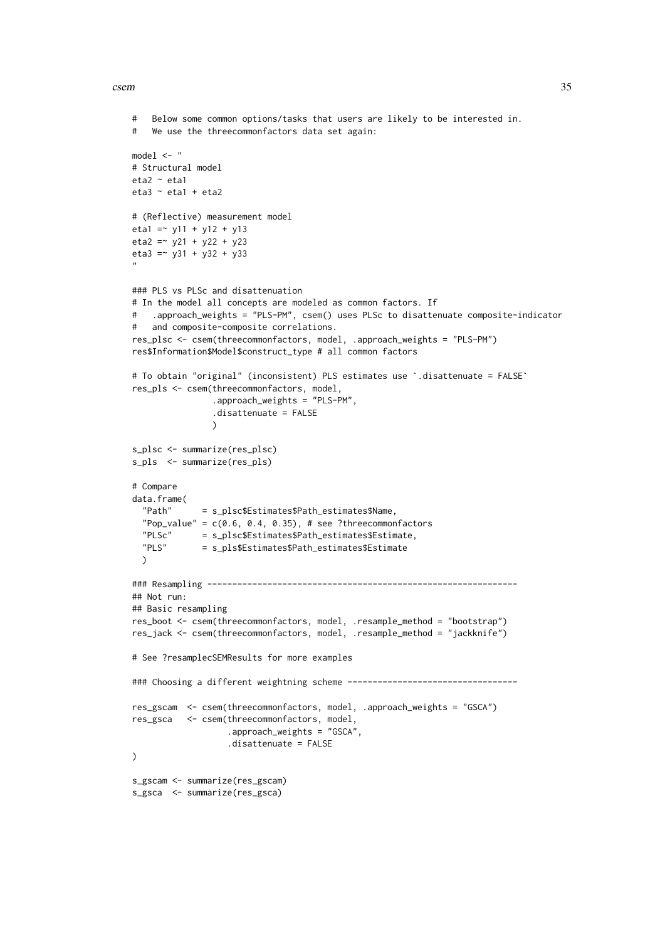#### csem 35

```
# Below some common options/tasks that users are likely to be interested in.
# We use the threecommonfactors data set again:
model \leq - "
# Structural model
eta2 ~ eta1
eta3 \sim eta1 + eta2
# (Reflective) measurement model
eta1 = \times v11 + v12 + v13
eta2 = v21 + v22 + v23eta3 = \times y31 + y32 + y33
"
### PLS vs PLSc and disattenuation
# In the model all concepts are modeled as common factors. If
# .approach_weights = "PLS-PM", csem() uses PLSc to disattenuate composite-indicator
# and composite-composite correlations.
res_plsc <- csem(threecommonfactors, model, .approach_weights = "PLS-PM")
# To obtain "original" (inconsistent) PLS estimates use `.disattenuate = FALSE`
res$Information$Model$construct_type # all common factors
res_pls <- csem(threecommonfactors, model,
                 .approach_weights = "PLS-PM",
                 .disattenuate = FALSE
                 \lambdas_plsc <- summarize(res_plsc)
s_pls <- summarize(res_pls)
# Compare
data.frame(
  "Path" = s_plsc$Estimates$Path_estimates$Name,
  "Pop_value" = c(0.6, 0.4, 0.35), # see ?threecommonfactors
  PLSc'' = s_plsc$Estimates$Path_estimates$Estimate,<br>"Pls" = s pls$Estimates$Path_estimates$Estimate
              = s_pls$Estimates$Path_estimates$Estimate
  \mathcal{L}### Resampling --------------------------------------------------------------
## Not run:
## Basic resampling
res_boot <- csem(threecommonfactors, model, .resample_method = "bootstrap")
res_jack <- csem(threecommonfactors, model, .resample_method = "jackknife")
# See ?resamplecSEMResults for more examples
### Choosing a different weightning scheme ----------------------------------
res_gscam <- csem(threecommonfactors, model, .approach_weights = "GSCA")
res_gsca <- csem(threecommonfactors, model,
                    .approach_weights = "GSCA",
                    .disattenuate = FALSE
\lambdas_gscam <- summarize(res_gscam)
s_gsca <- summarize(res_gsca)
```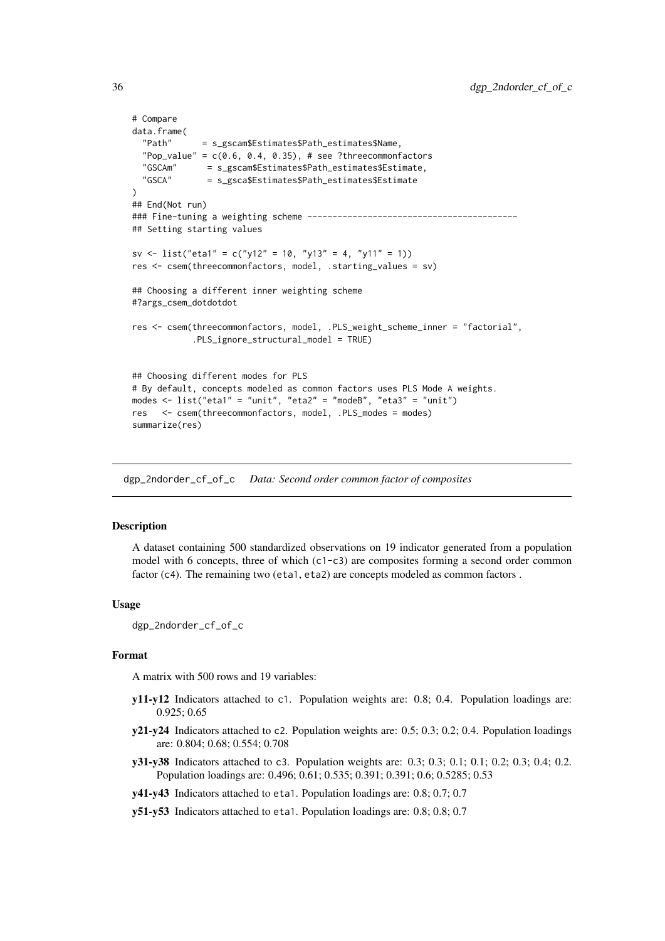```
# Compare
data.frame(
  "Path" = s_gscam$Estimates$Path_estimates$Name,
  "Pop_value" = c(0.6, 0.4, 0.35), # see ?threecommon factors<br/>\n"GSCAm" = s gescam$Estimates$Path_estimates$Estimate,= s_gscam$Estimates$Path_estimates$Estimate,
  "GSCA" = s_gsca$Estimates$Path_estimates$Estimate
)
## End(Not run)
### Fine-tuning a weighting scheme ------------------------------------------
## Setting starting values
sv <- list("eta1" = c("y12" = 10, "y13" = 4, "y11" = 1))
res <- csem(threecommonfactors, model, .starting_values = sv)
## Choosing a different inner weighting scheme
#?args_csem_dotdotdot
res <- csem(threecommonfactors, model, .PLS_weight_scheme_inner = "factorial",
             .PLS_ignore_structural_model = TRUE)
## Choosing different modes for PLS
# By default, concepts modeled as common factors uses PLS Mode A weights.
modes \le list("eta1" = "unit", "eta2" = "modeB", "eta3" = "unit")
res <- csem(threecommonfactors, model, .PLS_modes = modes)
summarize(res)
```
dgp\_2ndorder\_cf\_of\_c *Data: Second order common factor of composites*

#### **Description**

A dataset containing 500 standardized observations on 19 indicator generated from a population model with 6 concepts, three of which (c1-c3) are composites forming a second order common factor (c4). The remaining two (eta1, eta2) are concepts modeled as common factors .

#### Usage

dgp\_2ndorder\_cf\_of\_c

# Format

A matrix with 500 rows and 19 variables:

- y11-y12 Indicators attached to c1. Population weights are: 0.8; 0.4. Population loadings are: 0.925; 0.65
- y21-y24 Indicators attached to c2. Population weights are: 0.5; 0.3; 0.2; 0.4. Population loadings are: 0.804; 0.68; 0.554; 0.708
- y31-y38 Indicators attached to c3. Population weights are: 0.3; 0.3; 0.1; 0.1; 0.2; 0.3; 0.4; 0.2. Population loadings are: 0.496; 0.61; 0.535; 0.391; 0.391; 0.6; 0.5285; 0.53
- y41-y43 Indicators attached to eta1. Population loadings are: 0.8; 0.7; 0.7
- y51-y53 Indicators attached to eta1. Population loadings are: 0.8; 0.8; 0.7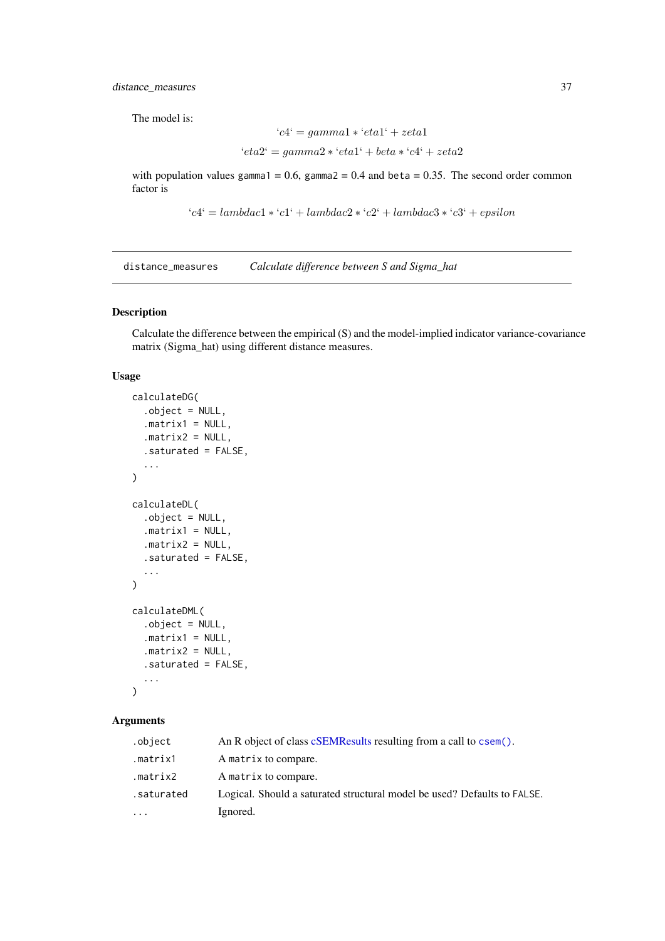The model is:

$$
`c4` = gamma1 * `eta1` + zeta1
$$

$$
`eta2` = gamma2 * `eta1` + beta * `c4` + zeta2
$$

with population values gamma1 = 0.6, gamma2 = 0.4 and beta = 0.35. The second order common factor is

```
`c4` = lambda1*`c1` + lambda2*`c2` + lambda3*`c3` + epsilon
```
distance\_measures *Calculate difference between S and Sigma\_hat*

# Description

Calculate the difference between the empirical (S) and the model-implied indicator variance-covariance matrix (Sigma\_hat) using different distance measures.

# Usage

```
calculateDG(
  .object = NULL,
  .matrix1 = NULL,
  .matrix2 = NULL,
  .saturated = FALSE,
  ...
\lambdacalculateDL(
  .object = NULL,
  .matrix1 = NULL,
  .matrix2 = NULL,
  .saturated = FALSE,
  ...
)
calculateDML(
  .object = NULL,
  .matrix1 = NULL,
  .matrix2 = NULL,
  .saturated = FALSE,
  ...
)
```
#### Arguments

| .object                 | An R object of class cSEMResults resulting from a call to csem().        |
|-------------------------|--------------------------------------------------------------------------|
| .matrix1                | A matrix to compare.                                                     |
| .matrix2                | A matrix to compare.                                                     |
| .saturated              | Logical. Should a saturated structural model be used? Defaults to FALSE. |
| $\cdot$ $\cdot$ $\cdot$ | Ignored.                                                                 |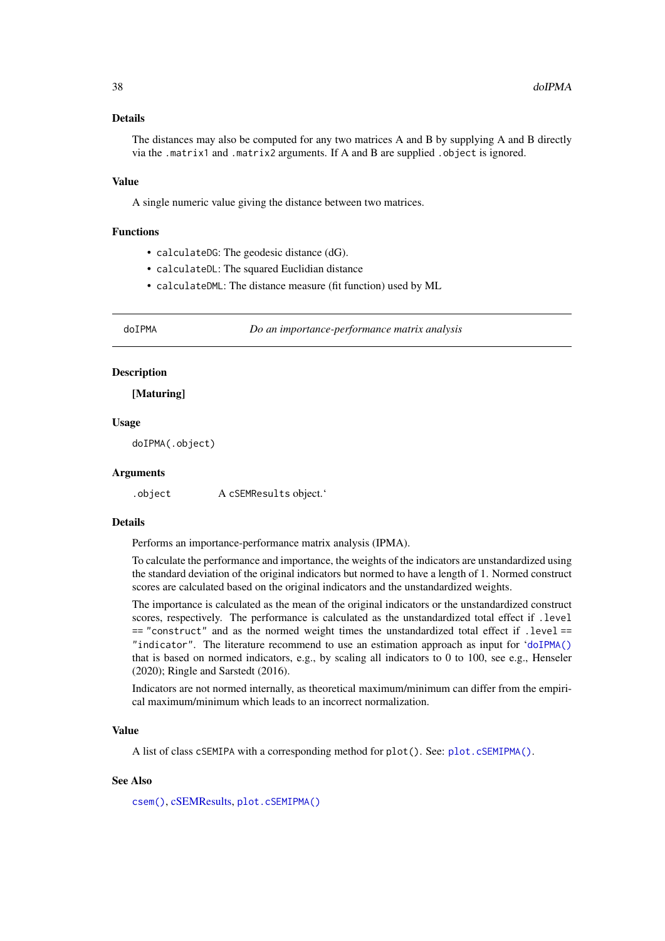### Details

The distances may also be computed for any two matrices A and B by supplying A and B directly via the .matrix1 and .matrix2 arguments. If A and B are supplied .object is ignored.

#### Value

A single numeric value giving the distance between two matrices.

#### Functions

- calculateDG: The geodesic distance (dG).
- calculateDL: The squared Euclidian distance
- calculateDML: The distance measure (fit function) used by ML

<span id="page-37-0"></span>

doIPMA *Do an importance-performance matrix analysis*

### Description

[Maturing]

### Usage

doIPMA(.object)

### Arguments

.object A cSEMResults object.'

## Details

Performs an importance-performance matrix analysis (IPMA).

To calculate the performance and importance, the weights of the indicators are unstandardized using the standard deviation of the original indicators but normed to have a length of 1. Normed construct scores are calculated based on the original indicators and the unstandardized weights.

The importance is calculated as the mean of the original indicators or the unstandardized construct scores, respectively. The performance is calculated as the unstandardized total effect if .level == "construct" and as the normed weight times the unstandardized total effect if .level == "indicator". The literature recommend to use an estimation approach as input for '[doIPMA\(\)](#page-37-0) that is based on normed indicators, e.g., by scaling all indicators to 0 to 100, see e.g., Henseler (2020); Ringle and Sarstedt (2016).

Indicators are not normed internally, as theoretical maximum/minimum can differ from the empirical maximum/minimum which leads to an incorrect normalization.

### Value

A list of class cSEMIPA with a corresponding method for plot(). See: [plot.cSEMIPMA\(\)](#page-52-0).

#### See Also

[csem\(\)](#page-24-0), [cSEMResults,](#page-0-0) [plot.cSEMIPMA\(\)](#page-52-0)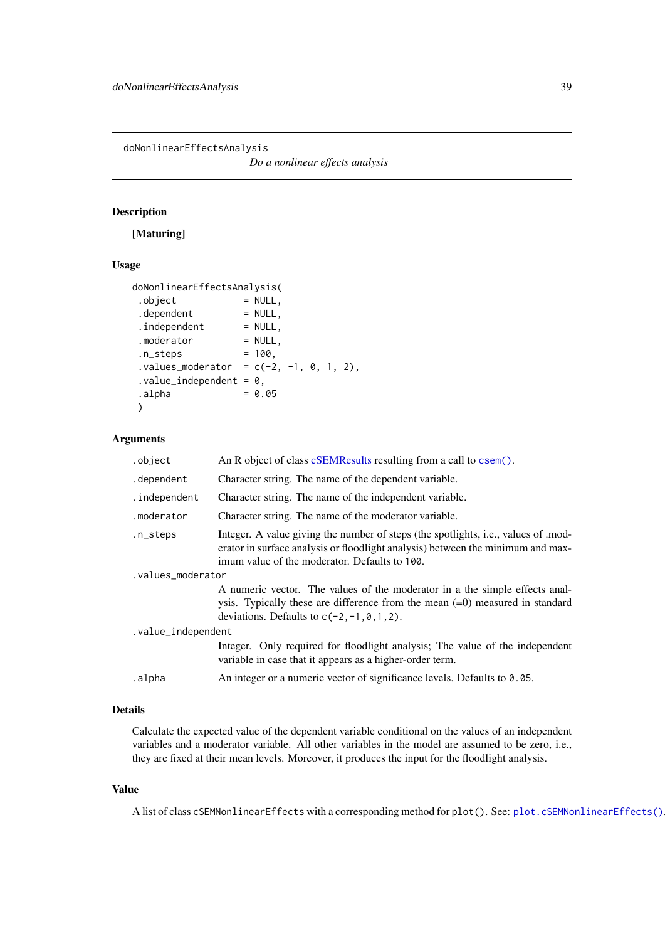<span id="page-38-0"></span>doNonlinearEffectsAnalysis

*Do a nonlinear effects analysis*

# Description

[Maturing]

# Usage

```
doNonlinearEffectsAnalysis(
 . \text{object} = NULL,
.dependent = NULL,<br>.independent = NULL,
 .independent
 .moderator = NULL,
n_{\text{S}} = 100,
 ivalues_model = c(-2, -1, 0, 1, 2),value\_independent = 0,\Boxalpha = 0.05
)
```
## Arguments

| .object            | An R object of class cSEMResults resulting from a call to csem().                                                                                                                                                     |  |
|--------------------|-----------------------------------------------------------------------------------------------------------------------------------------------------------------------------------------------------------------------|--|
| .dependent         | Character string. The name of the dependent variable.                                                                                                                                                                 |  |
| .independent       | Character string. The name of the independent variable.                                                                                                                                                               |  |
| .moderator         | Character string. The name of the moderator variable.                                                                                                                                                                 |  |
| .n_steps           | Integer. A value giving the number of steps (the spotlights, i.e., values of mod-<br>erator in surface analysis or floodlight analysis) between the minimum and max-<br>imum value of the moderator. Defaults to 100. |  |
| .values_moderator  |                                                                                                                                                                                                                       |  |
|                    | A numeric vector. The values of the moderator in a the simple effects anal-<br>ysis. Typically these are difference from the mean $(=0)$ measured in standard<br>deviations. Defaults to $c(-2, -1, 0, 1, 2)$ .       |  |
| .value_independent |                                                                                                                                                                                                                       |  |
|                    | Integer. Only required for floodlight analysis; The value of the independent<br>variable in case that it appears as a higher-order term.                                                                              |  |
| .alpha             | An integer or a numeric vector of significance levels. Defaults to 0.05.                                                                                                                                              |  |

# Details

Calculate the expected value of the dependent variable conditional on the values of an independent variables and a moderator variable. All other variables in the model are assumed to be zero, i.e., they are fixed at their mean levels. Moreover, it produces the input for the floodlight analysis.

## Value

A list of class cSEMNonlinearEffects with a corresponding method for plot(). See: [plot.cSEMNonlinearEffects\(\)](#page-53-0).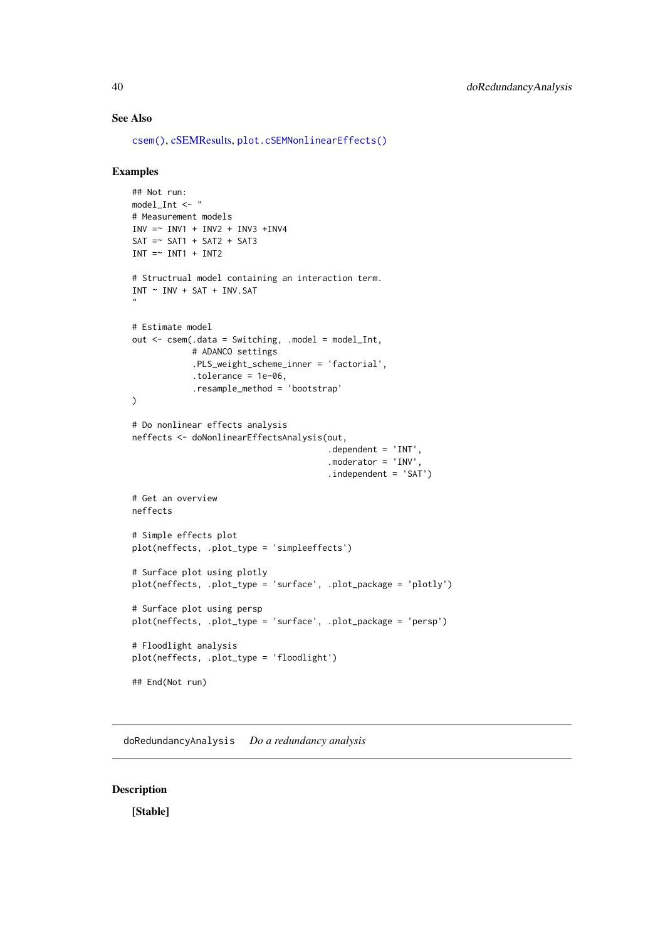### See Also

[csem\(\)](#page-24-0), [cSEMResults,](#page-0-0) [plot.cSEMNonlinearEffects\(\)](#page-53-0)

#### Examples

```
## Not run:
model Int \leq - "
# Measurement models
INV = \sim INVI + INV2 + INV3 + INV4SAT = ~ SAT1 + SAT2 + SAT3INT = ~ INT1 + INT2# Structrual model containing an interaction term.
INT ~NIV ~ + SAT ~ + INV.SAT"
# Estimate model
out <- csem(.data = Switching, .model = model_Int,
            # ADANCO settings
            .PLS_weight_scheme_inner = 'factorial',
            .tolerance = 1e-06,
            .resample_method = 'bootstrap'
)
# Do nonlinear effects analysis
neffects <- doNonlinearEffectsAnalysis(out,
                                        \degree.dependent = 'INT',
                                        .moderator = 'INV',
                                        .independent = 'SAT')
# Get an overview
neffects
# Simple effects plot
plot(neffects, .plot_type = 'simpleeffects')
# Surface plot using plotly
plot(neffects, .plot_type = 'surface', .plot_package = 'plotly')
# Surface plot using persp
plot(neffects, .plot_type = 'surface', .plot_package = 'persp')
# Floodlight analysis
plot(neffects, .plot_type = 'floodlight')
## End(Not run)
```
doRedundancyAnalysis *Do a redundancy analysis*

# Description

[Stable]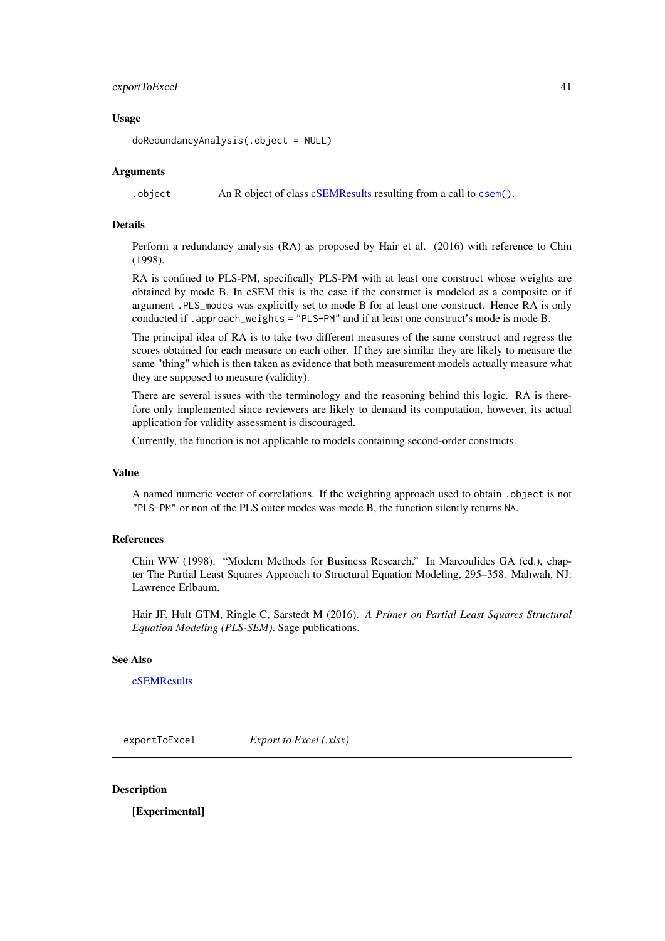#### exportToExcel 41

## Usage

doRedundancyAnalysis(.object = NULL)

#### Arguments

.object An R object of class [cSEMResults](#page-0-0) resulting from a call to [csem\(\)](#page-24-0).

# Details

Perform a redundancy analysis (RA) as proposed by Hair et al. (2016) with reference to Chin (1998).

RA is confined to PLS-PM, specifically PLS-PM with at least one construct whose weights are obtained by mode B. In cSEM this is the case if the construct is modeled as a composite or if argument .PLS\_modes was explicitly set to mode B for at least one construct. Hence RA is only conducted if .approach\_weights = "PLS-PM" and if at least one construct's mode is mode B.

The principal idea of RA is to take two different measures of the same construct and regress the scores obtained for each measure on each other. If they are similar they are likely to measure the same "thing" which is then taken as evidence that both measurement models actually measure what they are supposed to measure (validity).

There are several issues with the terminology and the reasoning behind this logic. RA is therefore only implemented since reviewers are likely to demand its computation, however, its actual application for validity assessment is discouraged.

Currently, the function is not applicable to models containing second-order constructs.

### Value

A named numeric vector of correlations. If the weighting approach used to obtain .object is not "PLS-PM" or non of the PLS outer modes was mode B, the function silently returns NA.

### References

Chin WW (1998). "Modern Methods for Business Research." In Marcoulides GA (ed.), chapter The Partial Least Squares Approach to Structural Equation Modeling, 295–358. Mahwah, NJ: Lawrence Erlbaum.

Hair JF, Hult GTM, Ringle C, Sarstedt M (2016). *A Primer on Partial Least Squares Structural Equation Modeling (PLS-SEM)*. Sage publications.

# See Also

[cSEMResults](#page-0-0)

<span id="page-40-0"></span>exportToExcel *Export to Excel (.xlsx)*

## Description

[Experimental]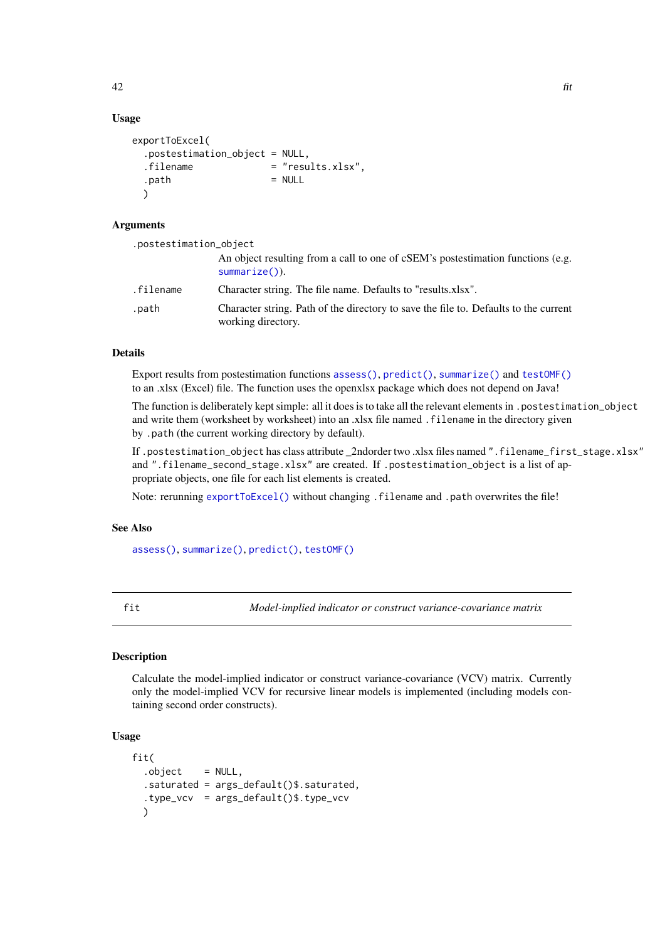# Usage

```
exportToExcel(
 .postestimation_object = NULL,
 .filename = "results.xlsx".
 . \text{path} = NULL
 \lambda
```
## Arguments

| .postestimation_object |                                                                                                            |
|------------------------|------------------------------------------------------------------------------------------------------------|
|                        | An object resulting from a call to one of cSEM's postestimation functions (e.g.<br>$summarize()$ ).        |
| .filename              | Character string. The file name. Defaults to "results.xlsx".                                               |
| .path                  | Character string. Path of the directory to save the file to. Defaults to the current<br>working directory. |

## Details

Export results from postestimation functions [assess\(\)](#page-3-0), [predict\(\)](#page-55-0), [summarize\(\)](#page-74-0) and [testOMF\(\)](#page-87-0) to an .xlsx (Excel) file. The function uses the openxlsx package which does not depend on Java!

The function is deliberately kept simple: all it does is to take all the relevant elements in .postestimation\_object and write them (worksheet by worksheet) into an .xlsx file named .filename in the directory given by .path (the current working directory by default).

If .postestimation\_object has class attribute \_2ndorder two .xlsx files named ".filename\_first\_stage.xlsx" and ".filename\_second\_stage.xlsx" are created. If .postestimation\_object is a list of appropriate objects, one file for each list elements is created.

Note: rerunning [exportToExcel\(\)](#page-40-0) without changing .filename and .path overwrites the file!

## See Also

[assess\(\)](#page-3-0), [summarize\(\)](#page-74-0), [predict\(\)](#page-55-0), [testOMF\(\)](#page-87-0)

fit *Model-implied indicator or construct variance-covariance matrix*

# **Description**

Calculate the model-implied indicator or construct variance-covariance (VCV) matrix. Currently only the model-implied VCV for recursive linear models is implemented (including models containing second order constructs).

## Usage

```
fit(
  .object = NULL,
  .saturated = args_default()$.saturated,
  .type_vcv = args_default()$.type_vcv
 )
```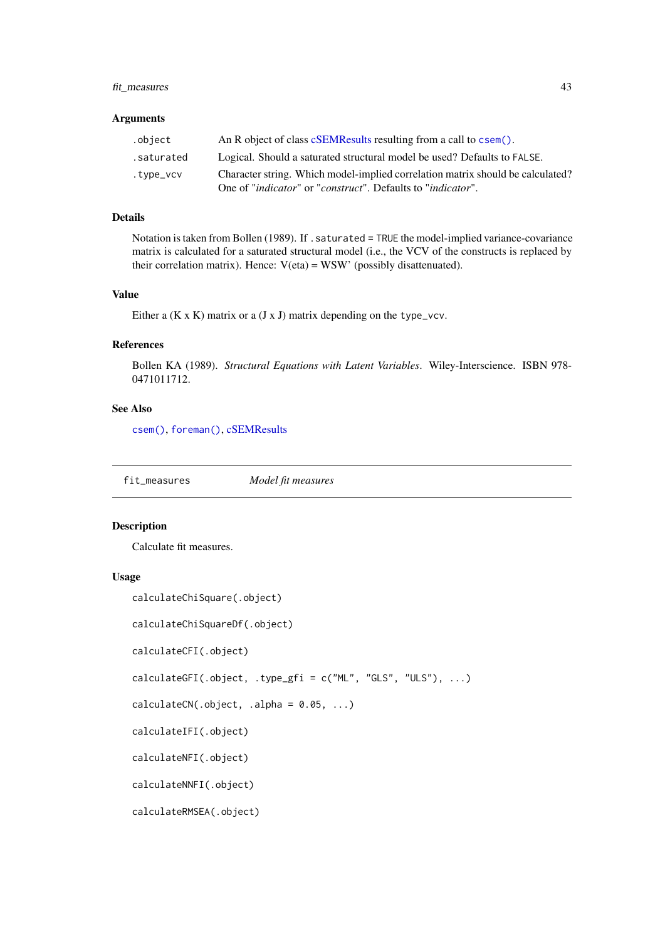#### fit\_measures 43

## Arguments

| .object    | An R object of class cSEMResults resulting from a call to csem().                                                                                                        |
|------------|--------------------------------------------------------------------------------------------------------------------------------------------------------------------------|
| .saturated | Logical. Should a saturated structural model be used? Defaults to FALSE.                                                                                                 |
| .type_vcv  | Character string. Which model-implied correlation matrix should be calculated?<br>One of " <i>indicator</i> " or " <i>construct</i> ". Defaults to " <i>indicator</i> ". |
|            |                                                                                                                                                                          |

# Details

Notation is taken from Bollen (1989). If . saturated = TRUE the model-implied variance-covariance matrix is calculated for a saturated structural model (i.e., the VCV of the constructs is replaced by their correlation matrix). Hence:  $V(\text{eta}) = WSW'$  (possibly disattenuated).

#### Value

Either a  $(K \times K)$  matrix or a  $(J \times J)$  matrix depending on the type\_vcv.

## References

Bollen KA (1989). *Structural Equations with Latent Variables*. Wiley-Interscience. ISBN 978- 0471011712.

# See Also

[csem\(\)](#page-24-0), [foreman\(\)](#page-0-0), [cSEMResults](#page-0-0)

fit\_measures *Model fit measures*

#### Description

Calculate fit measures.

### Usage

```
calculateChiSquare(.object)
```
calculateChiSquareDf(.object)

calculateCFI(.object)

calculateGFI(.object, .type\_gfi = c("ML", "GLS", "ULS"), ...)

 $calculatedCN(.object, .alpha = 0.05, . . .)$ 

calculateIFI(.object)

calculateNFI(.object)

calculateNNFI(.object)

calculateRMSEA(.object)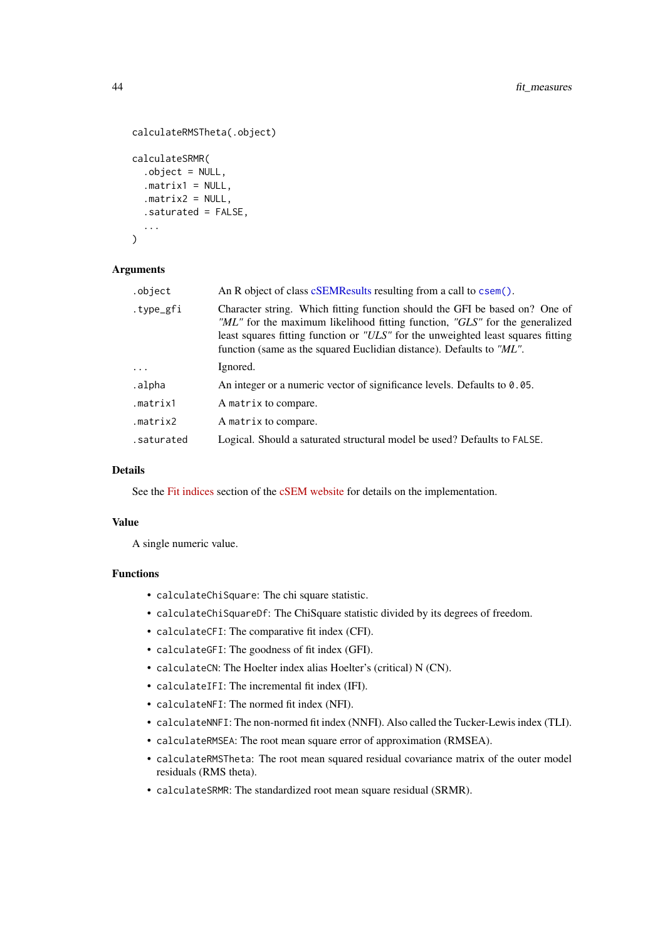```
calculateRMSTheta(.object)
calculateSRMR(
  .object = NULL,
  .matrix1 = NULL,
  .matrix2 = NULL,
  .saturated = FALSE,
  ...
\lambda
```
### Arguments

| .object    | An R object of class cSEMResults resulting from a call to csem().                                                                                                                                                                                                                                                      |
|------------|------------------------------------------------------------------------------------------------------------------------------------------------------------------------------------------------------------------------------------------------------------------------------------------------------------------------|
| .type_gfi  | Character string. Which fitting function should the GFI be based on? One of<br>"ML" for the maximum likelihood fitting function, "GLS" for the generalized<br>least squares fitting function or "ULS" for the unweighted least squares fitting<br>function (same as the squared Euclidian distance). Defaults to "ML". |
| $\cdots$   | Ignored.                                                                                                                                                                                                                                                                                                               |
| .alpha     | An integer or a numeric vector of significance levels. Defaults to $0.05$ .                                                                                                                                                                                                                                            |
| .matrix1   | A matrix to compare.                                                                                                                                                                                                                                                                                                   |
| .matrix2   | A matrix to compare.                                                                                                                                                                                                                                                                                                   |
| .saturated | Logical. Should a saturated structural model be used? Defaults to FALSE.                                                                                                                                                                                                                                               |

### Details

See the [Fit indices](https://m-e-rademaker.github.io/cSEM/articles/Using-assess.html#fit_indices) section of the [cSEM website](https://m-e-rademaker.github.io/cSEM/index.html) for details on the implementation.

### Value

A single numeric value.

## Functions

- calculateChiSquare: The chi square statistic.
- calculateChiSquareDf: The ChiSquare statistic divided by its degrees of freedom.
- calculateCFI: The comparative fit index (CFI).
- calculateGFI: The goodness of fit index (GFI).
- calculateCN: The Hoelter index alias Hoelter's (critical) N (CN).
- calculateIFI: The incremental fit index (IFI).
- calculateNFI: The normed fit index (NFI).
- calculateNNFI: The non-normed fit index (NNFI). Also called the Tucker-Lewis index (TLI).
- calculateRMSEA: The root mean square error of approximation (RMSEA).
- calculateRMSTheta: The root mean squared residual covariance matrix of the outer model residuals (RMS theta).
- calculateSRMR: The standardized root mean square residual (SRMR).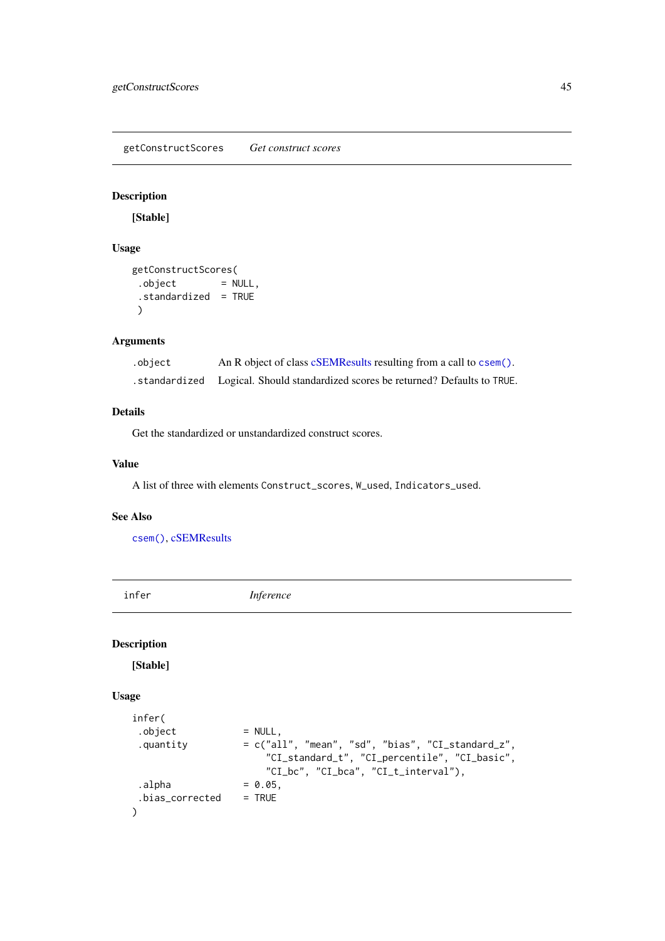getConstructScores *Get construct scores*

# Description

[Stable]

# Usage

```
getConstructScores(
.object = NULL,
 .standardized = TRUE
 )
```
# Arguments

| .object | An R object of class cSEMResults resulting from a call to csem().                 |
|---------|-----------------------------------------------------------------------------------|
|         | . standardized Logical. Should standardized scores be returned? Defaults to TRUE. |

# Details

Get the standardized or unstandardized construct scores.

## Value

A list of three with elements Construct\_scores, W\_used, Indicators\_used.

#### See Also

[csem\(\)](#page-24-0), [cSEMResults](#page-0-0)

<span id="page-44-0"></span>infer *Inference*

# Description

[Stable]

# Usage

```
infer(
. object = NULL,.quantity = c("all", "mean", "sd", "bias", "CI_standard_z",
                     "CI_standard_t", "CI_percentile", "CI_basic",
                     "CI_bc", "CI_bca", "CI_t_interval"),
. alpha = 0.05,
.bias_corrected = TRUE
)
```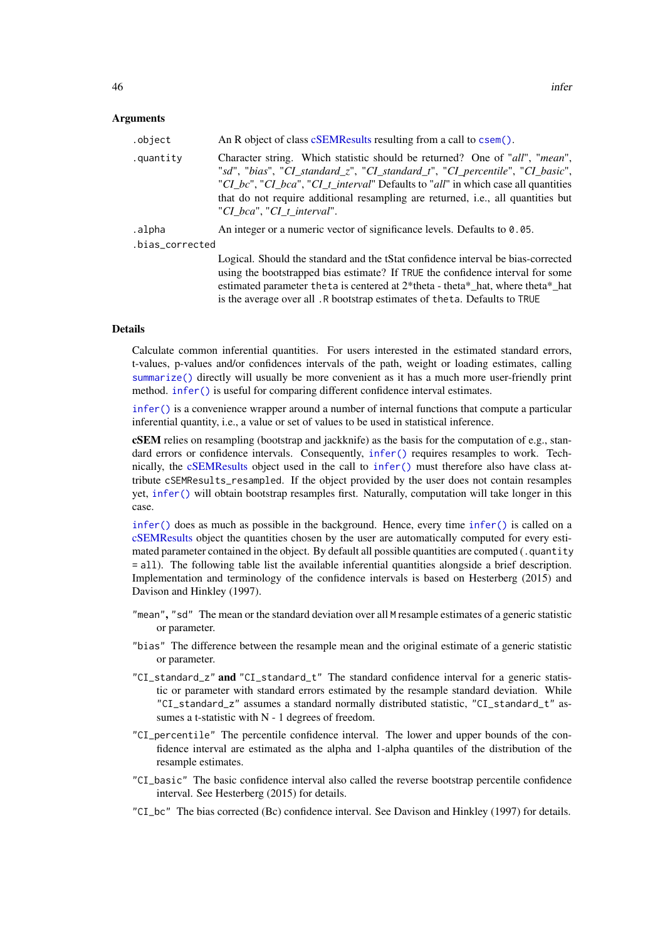## Arguments

| .object         | An R object of class cSEMResults resulting from a call to csem().                                                                                                                                                                                                                                                                                                  |
|-----------------|--------------------------------------------------------------------------------------------------------------------------------------------------------------------------------------------------------------------------------------------------------------------------------------------------------------------------------------------------------------------|
| .quantity       | Character string. Which statistic should be returned? One of "all", "mean",<br>"sd", "bias", "CI_standard_z", "CI_standard_t", "CI_percentile", "CI_basic",<br>"CI_bc", "CI_bca", "CI_t_interval" Defaults to "all" in which case all quantities<br>that do not require additional resampling are returned, i.e., all quantities but<br>"CI bca", "CI t interval". |
| .alpha          | An integer or a numeric vector of significance levels. Defaults to 0.05.                                                                                                                                                                                                                                                                                           |
| .bias_corrected |                                                                                                                                                                                                                                                                                                                                                                    |
|                 | Logical. Should the standard and the tStat confidence interval be bias-corrected<br>using the bootstrapped bias estimate? If TRUE the confidence interval for some<br>estimated parameter the ta is centered at 2*theta - theta*_hat, where theta*_hat                                                                                                             |

#### Details

Calculate common inferential quantities. For users interested in the estimated standard errors, t-values, p-values and/or confidences intervals of the path, weight or loading estimates, calling [summarize\(\)](#page-74-0) directly will usually be more convenient as it has a much more user-friendly print method. [infer\(\)](#page-44-0) is useful for comparing different confidence interval estimates.

is the average over all .R bootstrap estimates of theta. Defaults to TRUE

[infer\(\)](#page-44-0) is a convenience wrapper around a number of internal functions that compute a particular inferential quantity, i.e., a value or set of values to be used in statistical inference.

cSEM relies on resampling (bootstrap and jackknife) as the basis for the computation of e.g., standard errors or confidence intervals. Consequently, [infer\(\)](#page-44-0) requires resamples to work. Technically, the [cSEMResults](#page-0-0) object used in the call to [infer\(\)](#page-44-0) must therefore also have class attribute cSEMResults\_resampled. If the object provided by the user does not contain resamples yet, [infer\(\)](#page-44-0) will obtain bootstrap resamples first. Naturally, computation will take longer in this case.

[infer\(\)](#page-44-0) does as much as possible in the background. Hence, every time [infer\(\)](#page-44-0) is called on a [cSEMResults](#page-0-0) object the quantities chosen by the user are automatically computed for every estimated parameter contained in the object. By default all possible quantities are computed (.quantity = all). The following table list the available inferential quantities alongside a brief description. Implementation and terminology of the confidence intervals is based on Hesterberg (2015) and Davison and Hinkley (1997).

- "mean", "sd" The mean or the standard deviation over all M resample estimates of a generic statistic or parameter.
- "bias" The difference between the resample mean and the original estimate of a generic statistic or parameter.
- "CI\_standard\_z" and "CI\_standard\_t" The standard confidence interval for a generic statistic or parameter with standard errors estimated by the resample standard deviation. While "CI\_standard\_z" assumes a standard normally distributed statistic, "CI\_standard\_t" assumes a t-statistic with  $N - 1$  degrees of freedom.
- "CI\_percentile" The percentile confidence interval. The lower and upper bounds of the confidence interval are estimated as the alpha and 1-alpha quantiles of the distribution of the resample estimates.
- "CI\_basic" The basic confidence interval also called the reverse bootstrap percentile confidence interval. See Hesterberg (2015) for details.
- "CI\_bc" The bias corrected (Bc) confidence interval. See Davison and Hinkley (1997) for details.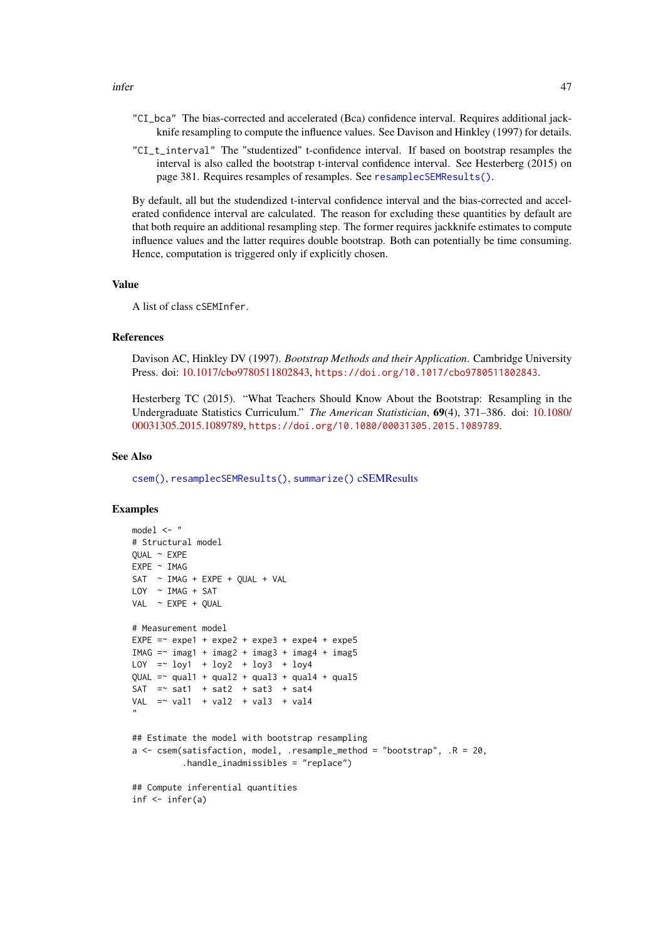- "CI\_bca" The bias-corrected and accelerated (Bca) confidence interval. Requires additional jackknife resampling to compute the influence values. See Davison and Hinkley (1997) for details.
- "CI\_t\_interval" The "studentized" t-confidence interval. If based on bootstrap resamples the interval is also called the bootstrap t-interval confidence interval. See Hesterberg (2015) on page 381. Requires resamples of resamples. See [resamplecSEMResults\(\)](#page-60-0).

By default, all but the studendized t-interval confidence interval and the bias-corrected and accelerated confidence interval are calculated. The reason for excluding these quantities by default are that both require an additional resampling step. The former requires jackknife estimates to compute influence values and the latter requires double bootstrap. Both can potentially be time consuming. Hence, computation is triggered only if explicitly chosen.

#### Value

A list of class cSEMInfer.

## References

Davison AC, Hinkley DV (1997). *Bootstrap Methods and their Application*. Cambridge University Press. doi: [10.1017/cbo9780511802843,](https://doi.org/10.1017/cbo9780511802843) <https://doi.org/10.1017/cbo9780511802843>.

Hesterberg TC (2015). "What Teachers Should Know About the Bootstrap: Resampling in the Undergraduate Statistics Curriculum." *The American Statistician*, 69(4), 371–386. doi: [10.1080/](https://doi.org/10.1080/00031305.2015.1089789) [00031305.2015.1089789,](https://doi.org/10.1080/00031305.2015.1089789) <https://doi.org/10.1080/00031305.2015.1089789>.

#### See Also

[csem\(\)](#page-24-0), [resamplecSEMResults\(\)](#page-60-0), [summarize\(\)](#page-74-0) [cSEMResults](#page-0-0)

## Examples

```
model <- "
# Structural model
QUAL \sim EXPE
EXPE ~ IMAG
SAT ~ IMAG + EXPE + QUAL + VAL
LOY ~ IMAG + SAT
VAL ~ EXPE + QUAL
# Measurement model
EXPE = \infty expe1 + expe2 + expe3 + expe4 + expe5
IMAG = \sim imag1 + imag2 + imag3 + imag4 + imag5LOY = V log1 + log2 + log3 + log4QUAL =\sim qual1 + qual2 + qual3 + qual4 + qual5
SAT = sat1 + sat2 + sat3 + sat4
VAL = val1 + val2 + val3 + val4
"
## Estimate the model with bootstrap resampling
a \leq csem(satisfaction, model, .resample_method = "bootstrap", .R = 20,
          .handle_inadmissibles = "replace")
## Compute inferential quantities
inf <- infer(a)
```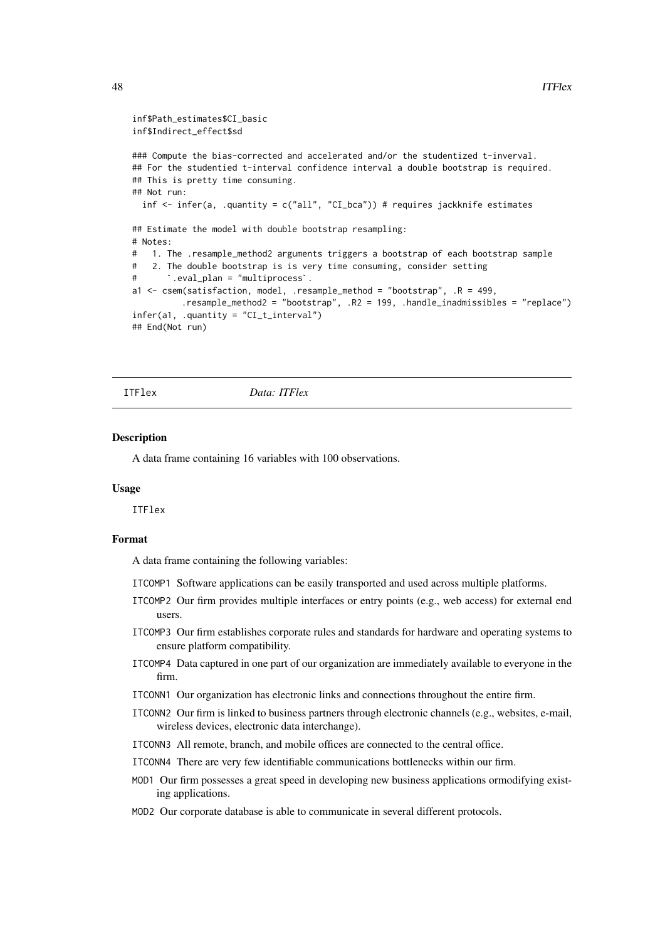```
inf$Path_estimates$CI_basic
inf$Indirect_effect$sd
### Compute the bias-corrected and accelerated and/or the studentized t-inverval.
## For the studentied t-interval confidence interval a double bootstrap is required.
## This is pretty time consuming.
## Not run:
  inf \le infer(a, .quantity = c("all", "CI_bca")) # requires jackknife estimates
## Estimate the model with double bootstrap resampling:
# Notes:
# 1. The .resample_method2 arguments triggers a bootstrap of each bootstrap sample
# 2. The double bootstrap is is very time consuming, consider setting
# Notes:<br># 1. The .resample_method2 argumen<br># 2. The double bootstrap is is ve<br># `.eval_plan = "multiprocess`.
a1 <- csem(satisfaction, model, .resample_method = "bootstrap", .R = 499,
           .resample_method2 = "bootstrap", .R2 = 199, .handle_inadmissibles = "replace")
infer(a1, .quantity = "CI_t_interval")
## End(Not run)
```
ITFlex *Data: ITFlex*

### Description

A data frame containing 16 variables with 100 observations.

#### Usage

ITFlex

#### Format

A data frame containing the following variables:

- ITCOMP1 Software applications can be easily transported and used across multiple platforms.
- ITCOMP2 Our firm provides multiple interfaces or entry points (e.g., web access) for external end users.
- ITCOMP3 Our firm establishes corporate rules and standards for hardware and operating systems to ensure platform compatibility.
- ITCOMP4 Data captured in one part of our organization are immediately available to everyone in the firm.
- ITCONN1 Our organization has electronic links and connections throughout the entire firm.
- ITCONN2 Our firm is linked to business partners through electronic channels (e.g., websites, e-mail, wireless devices, electronic data interchange).
- ITCONN3 All remote, branch, and mobile offices are connected to the central office.
- ITCONN4 There are very few identifiable communications bottlenecks within our firm.
- MOD1 Our firm possesses a great speed in developing new business applications ormodifying existing applications.
- MOD2 Our corporate database is able to communicate in several different protocols.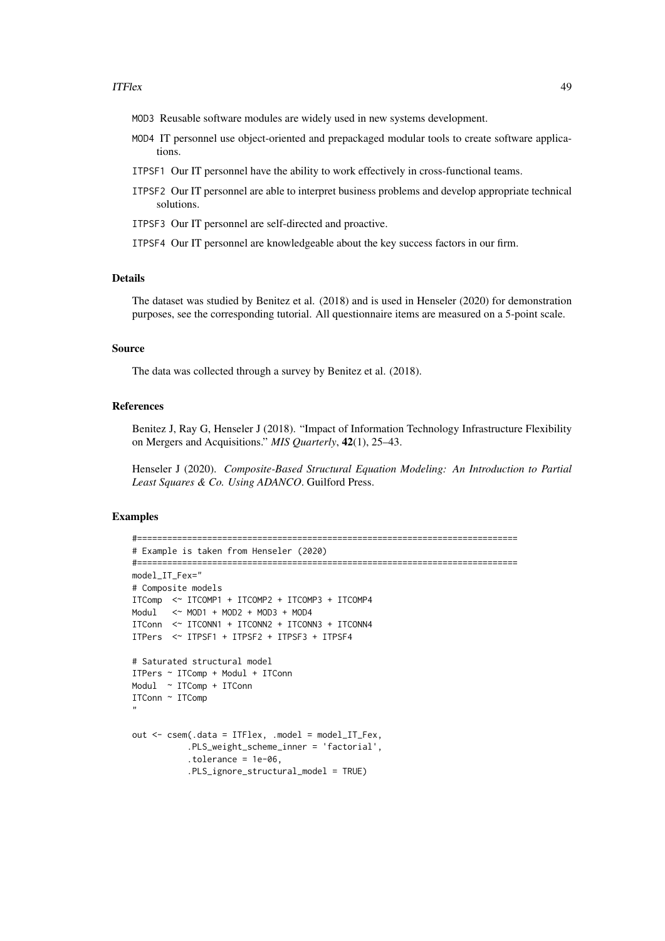#### ITFlex 49

- MOD3 Reusable software modules are widely used in new systems development.
- MOD4 IT personnel use object-oriented and prepackaged modular tools to create software applications.
- ITPSF1 Our IT personnel have the ability to work effectively in cross-functional teams.
- ITPSF2 Our IT personnel are able to interpret business problems and develop appropriate technical solutions.
- ITPSF3 Our IT personnel are self-directed and proactive.
- ITPSF4 Our IT personnel are knowledgeable about the key success factors in our firm.

# Details

The dataset was studied by Benitez et al. (2018) and is used in Henseler (2020) for demonstration purposes, see the corresponding tutorial. All questionnaire items are measured on a 5-point scale.

## Source

The data was collected through a survey by Benitez et al. (2018).

# References

Benitez J, Ray G, Henseler J (2018). "Impact of Information Technology Infrastructure Flexibility on Mergers and Acquisitions." *MIS Quarterly*, 42(1), 25–43.

Henseler J (2020). *Composite-Based Structural Equation Modeling: An Introduction to Partial Least Squares & Co. Using ADANCO*. Guilford Press.

#### Examples

```
#============================================================================
# Example is taken from Henseler (2020)
#============================================================================
model_IT_Fex="
# Composite models
ITComp <~ ITCOMP1 + ITCOMP2 + ITCOMP3 + ITCOMP4
Modul <~ MOD1 + MOD2 + MOD3 + MOD4
ITConn <~ ITCONN1 + ITCONN2 + ITCONN3 + ITCONN4
ITPers <~ ITPSF1 + ITPSF2 + ITPSF3 + ITPSF4
# Saturated structural model
ITPers ~ ITComp + Modul + ITConn
Modul ~ ITComp + ITConn
ITConn ~ ITComp
"
out <- csem(.data = ITFlex, .model = model_IT_Fex,
           .PLS_weight_scheme_inner = 'factorial',
           .tolerance = 1e-06,
           .PLS_ignore_structural_model = TRUE)
```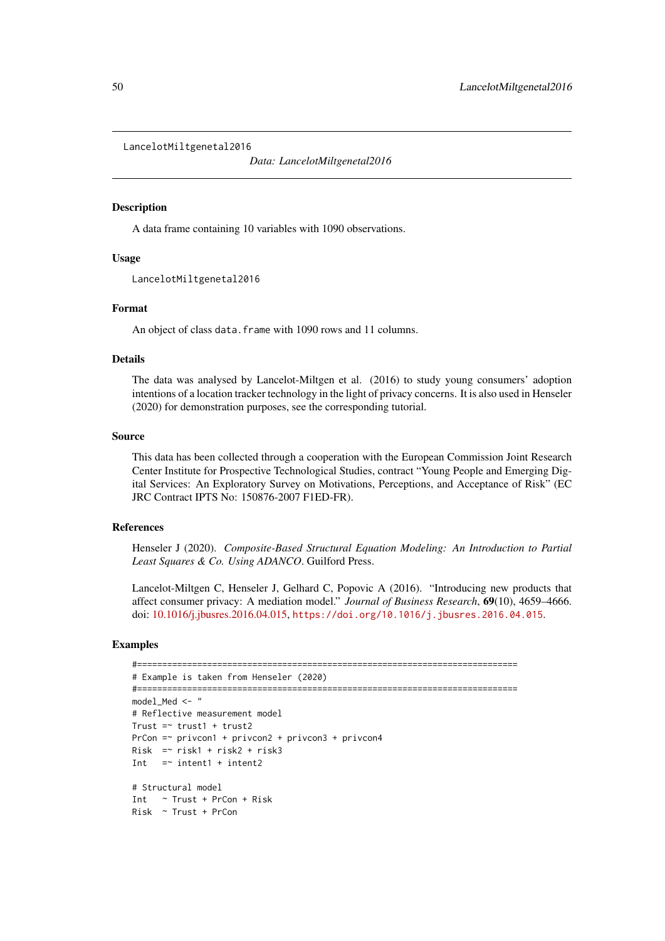LancelotMiltgenetal2016

*Data: LancelotMiltgenetal2016*

## Description

A data frame containing 10 variables with 1090 observations.

## Usage

LancelotMiltgenetal2016

## Format

An object of class data. frame with 1090 rows and 11 columns.

## Details

The data was analysed by Lancelot-Miltgen et al. (2016) to study young consumers' adoption intentions of a location tracker technology in the light of privacy concerns. It is also used in Henseler (2020) for demonstration purposes, see the corresponding tutorial.

## Source

This data has been collected through a cooperation with the European Commission Joint Research Center Institute for Prospective Technological Studies, contract "Young People and Emerging Digital Services: An Exploratory Survey on Motivations, Perceptions, and Acceptance of Risk" (EC JRC Contract IPTS No: 150876-2007 F1ED-FR).

## References

Henseler J (2020). *Composite-Based Structural Equation Modeling: An Introduction to Partial Least Squares & Co. Using ADANCO*. Guilford Press.

Lancelot-Miltgen C, Henseler J, Gelhard C, Popovic A (2016). "Introducing new products that affect consumer privacy: A mediation model." *Journal of Business Research*, 69(10), 4659–4666. doi: [10.1016/j.jbusres.2016.04.015,](https://doi.org/10.1016/j.jbusres.2016.04.015) <https://doi.org/10.1016/j.jbusres.2016.04.015>.

## Examples

```
#============================================================================
# Example is taken from Henseler (2020)
#============================================================================
model_Med <- "
# Reflective measurement model
Trust = trust1 + trust2
PrCon =~ privcon1 + privcon2 + privcon3 + privcon4
Risk =~ risk1 + risk2 + risk3
Int = \sim intent1 + intent2
# Structural model
Int ~ Trust + PrCon + Risk
Risk ~ Trust + PrCon
```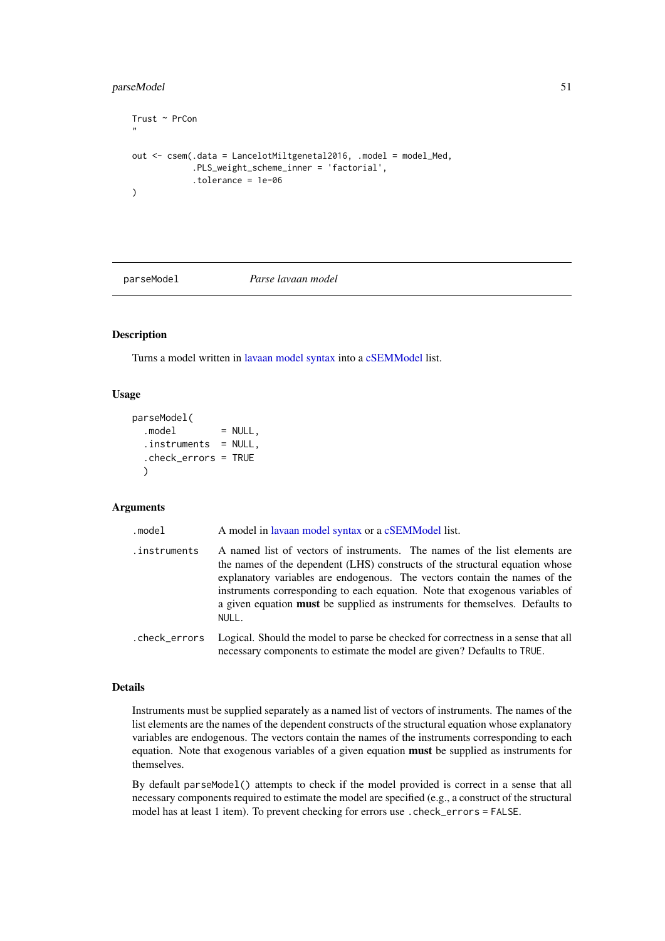## parseModel 51

```
Trust ~ PrCon
"
out <- csem(.data = LancelotMiltgenetal2016, .model = model_Med,
            .PLS_weight_scheme_inner = 'factorial',
            .tolerance = 1e-06
)
```
<span id="page-50-0"></span>

parseModel *Parse lavaan model*

# Description

Turns a model written in [lavaan model syntax](#page-0-0) into a [cSEMModel](#page-0-0) list.

#### Usage

```
parseModel(
  model = NULL,
  . instruments = NULL,
  .check_errors = TRUE
  \lambda
```
### Arguments

```
lavaan model syntaxcSEMModel list.
.instruments A named list of vectors of instruments. The names of the list elements are
                the names of the dependent (LHS) constructs of the structural equation whose
                explanatory variables are endogenous. The vectors contain the names of the
                instruments corresponding to each equation. Note that exogenous variables of
                a given equation must be supplied as instruments for themselves. Defaults to
                NULL.
.check_errors Logical. Should the model to parse be checked for correctness in a sense that all
                necessary components to estimate the model are given? Defaults to TRUE.
```
## Details

Instruments must be supplied separately as a named list of vectors of instruments. The names of the list elements are the names of the dependent constructs of the structural equation whose explanatory variables are endogenous. The vectors contain the names of the instruments corresponding to each equation. Note that exogenous variables of a given equation must be supplied as instruments for themselves.

By default parseModel() attempts to check if the model provided is correct in a sense that all necessary components required to estimate the model are specified (e.g., a construct of the structural model has at least 1 item). To prevent checking for errors use .check\_errors = FALSE.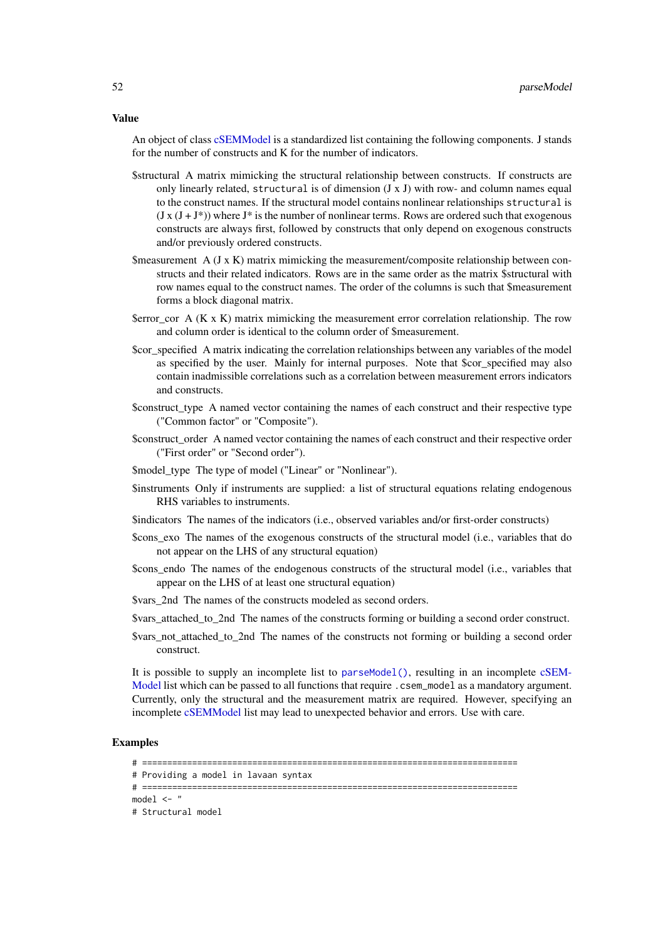Value

An object of class [cSEMModel](#page-0-0) is a standardized list containing the following components. J stands for the number of constructs and K for the number of indicators.

- \$structural A matrix mimicking the structural relationship between constructs. If constructs are only linearly related, structural is of dimension  $(J \times J)$  with row- and column names equal to the construct names. If the structural model contains nonlinear relationships structural is  $(J \times (J + J^*))$  where  $J^*$  is the number of nonlinear terms. Rows are ordered such that exogenous constructs are always first, followed by constructs that only depend on exogenous constructs and/or previously ordered constructs.
- \$measurement  $A$  (J x K) matrix mimicking the measurement/composite relationship between constructs and their related indicators. Rows are in the same order as the matrix \$structural with row names equal to the construct names. The order of the columns is such that \$measurement forms a block diagonal matrix.
- $\text{ServerCor } A (K \times K)$  matrix mimicking the measurement error correlation relationship. The row and column order is identical to the column order of \$measurement.
- \$cor specified A matrix indicating the correlation relationships between any variables of the model as specified by the user. Mainly for internal purposes. Note that \$cor specified may also contain inadmissible correlations such as a correlation between measurement errors indicators and constructs.
- \$construct\_type A named vector containing the names of each construct and their respective type ("Common factor" or "Composite").
- \$construct\_order A named vector containing the names of each construct and their respective order ("First order" or "Second order").
- \$model\_type The type of model ("Linear" or "Nonlinear").
- \$instruments Only if instruments are supplied: a list of structural equations relating endogenous RHS variables to instruments.
- \$indicators The names of the indicators (i.e., observed variables and/or first-order constructs)
- \$cons\_exo The names of the exogenous constructs of the structural model (i.e., variables that do not appear on the LHS of any structural equation)
- \$cons\_endo The names of the endogenous constructs of the structural model (i.e., variables that appear on the LHS of at least one structural equation)
- \$vars\_2nd The names of the constructs modeled as second orders.
- \$vars\_attached\_to\_2nd The names of the constructs forming or building a second order construct.
- \$vars\_not\_attached\_to\_2nd The names of the constructs not forming or building a second order construct.

It is possible to supply an incomplete list to [parseModel\(\)](#page-50-0), resulting in an incomplete [cSEM-](#page-0-0)[Model](#page-0-0) list which can be passed to all functions that require .csem\_model as a mandatory argument. Currently, only the structural and the measurement matrix are required. However, specifying an incomplete [cSEMModel](#page-0-0) list may lead to unexpected behavior and errors. Use with care.

## Examples

<sup># ===========================================================================</sup>

<sup>#</sup> Providing a model in lavaan syntax

<sup># ===========================================================================</sup>  $model < -$  "

<sup>#</sup> Structural model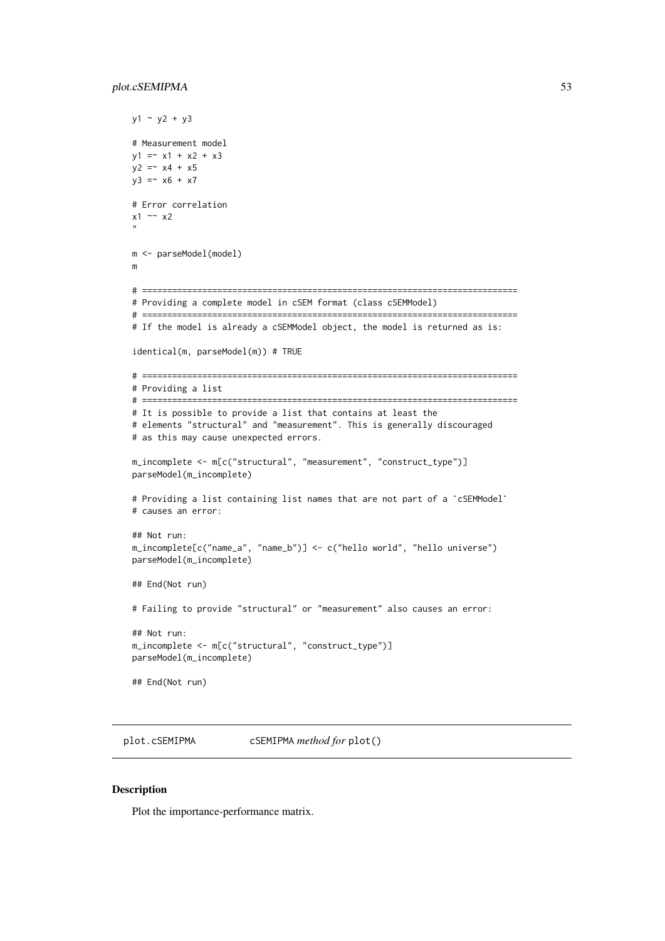#### plot.cSEMIPMA 53

```
y1 - y2 + y3# Measurement model
y1 = x1 + x2 + x3y2 = x4 + x5y3 = x6 + x7# Error correlation
x1 \sim x2"
m <- parseModel(model)
m
# ===========================================================================
# Providing a complete model in cSEM format (class cSEMModel)
# ===========================================================================
# If the model is already a cSEMModel object, the model is returned as is:
identical(m, parseModel(m)) # TRUE
# ===========================================================================
# Providing a list
# ===========================================================================
# It is possible to provide a list that contains at least the
# elements "structural" and "measurement". This is generally discouraged
# as this may cause unexpected errors.
m_incomplete <- m[c("structural", "measurement", "construct_type")]
parseModel(m_incomplete)
# Providing a list containing list names that are not part of a `cSEMModel`
# causes an error:
## Not run:
m_incomplete[c("name_a", "name_b")] <- c("hello world", "hello universe")
parseModel(m_incomplete)
## End(Not run)
# Failing to provide "structural" or "measurement" also causes an error:
## Not run:
m_incomplete <- m[c("structural", "construct_type")]
parseModel(m_incomplete)
## End(Not run)
```
<span id="page-52-0"></span>plot.cSEMIPMA cSEMIPMA *method for* plot()

### Description

Plot the importance-performance matrix.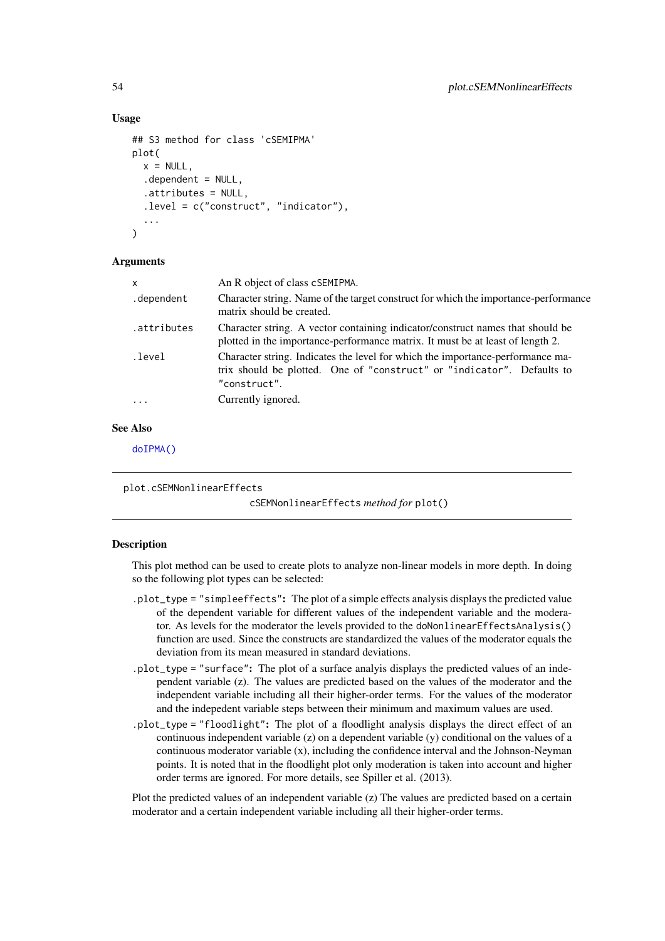### Usage

```
## S3 method for class 'cSEMIPMA'
plot(
  x = NULL,dependent = NULL,.attributes = NULL,
  .level = c("construct", "indicator"),
  ...
\lambda
```
### Arguments

| x           | An R object of class cSEMIPMA.                                                                                                                                           |
|-------------|--------------------------------------------------------------------------------------------------------------------------------------------------------------------------|
| .dependent  | Character string. Name of the target construct for which the importance-performance<br>matrix should be created.                                                         |
| .attributes | Character string. A vector containing indicator/construct names that should be<br>plotted in the importance-performance matrix. It must be at least of length 2.         |
| .level      | Character string. Indicates the level for which the importance-performance ma-<br>trix should be plotted. One of "construct" or "indicator". Defaults to<br>"construct". |
| $\ddots$ .  | Currently ignored.                                                                                                                                                       |
|             |                                                                                                                                                                          |

# See Also

[doIPMA\(\)](#page-37-0)

<span id="page-53-0"></span>plot.cSEMNonlinearEffects

cSEMNonlinearEffects *method for* plot()

## Description

This plot method can be used to create plots to analyze non-linear models in more depth. In doing so the following plot types can be selected:

- .plot\_type = "simpleeffects": The plot of a simple effects analysis displays the predicted value of the dependent variable for different values of the independent variable and the moderator. As levels for the moderator the levels provided to the doNonlinearEffectsAnalysis() function are used. Since the constructs are standardized the values of the moderator equals the deviation from its mean measured in standard deviations.
- .plot\_type = "surface": The plot of a surface analyis displays the predicted values of an independent variable (z). The values are predicted based on the values of the moderator and the independent variable including all their higher-order terms. For the values of the moderator and the indepedent variable steps between their minimum and maximum values are used.
- .plot\_type = "floodlight": The plot of a floodlight analysis displays the direct effect of an continuous independent variable (z) on a dependent variable (y) conditional on the values of a continuous moderator variable (x), including the confidence interval and the Johnson-Neyman points. It is noted that in the floodlight plot only moderation is taken into account and higher order terms are ignored. For more details, see Spiller et al. (2013).

Plot the predicted values of an independent variable (z) The values are predicted based on a certain moderator and a certain independent variable including all their higher-order terms.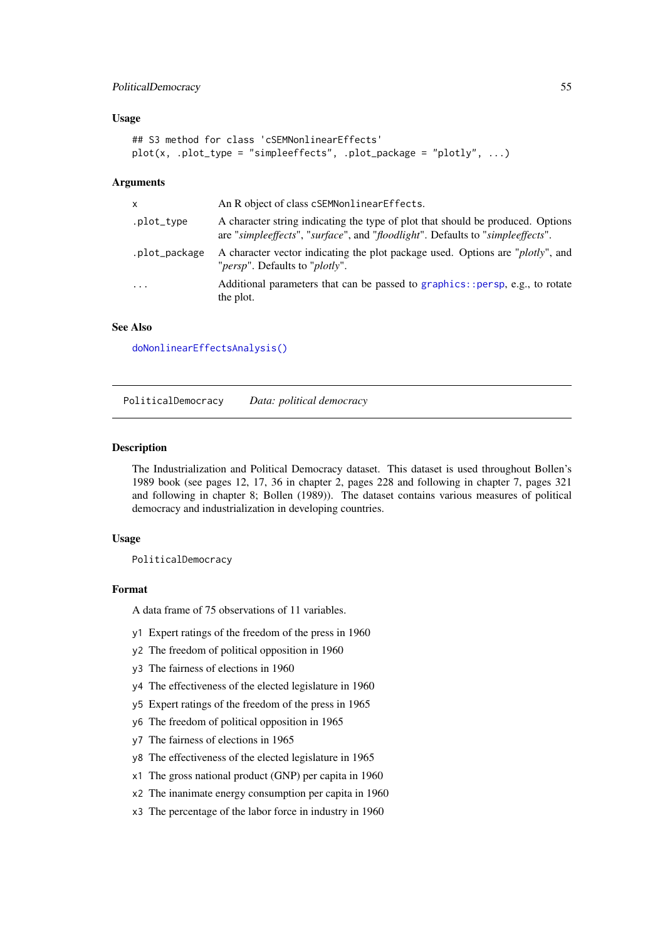#### PoliticalDemocracy 55

### Usage

```
## S3 method for class 'cSEMNonlinearEffects'
plot(x, .plot_type = "simpleeffects", .plot_package = "plotly", ...)
```
## Arguments

| X             | An R object of class cSEMNonlinearEffects.                                                                                                                        |
|---------------|-------------------------------------------------------------------------------------------------------------------------------------------------------------------|
| .plot_type    | A character string indicating the type of plot that should be produced. Options<br>are "simpleeffects", "surface", and "floodlight". Defaults to "simpleeffects". |
| .plot_package | A character vector indicating the plot package used. Options are " <i>plotly</i> ", and<br>" <i>persp</i> ". Defaults to " <i>plotly</i> ".                       |
| $\cdots$      | Additional parameters that can be passed to graphics::persp, e.g., to rotate<br>the plot.                                                                         |

## See Also

[doNonlinearEffectsAnalysis\(\)](#page-38-0)

PoliticalDemocracy *Data: political democracy*

#### Description

The Industrialization and Political Democracy dataset. This dataset is used throughout Bollen's 1989 book (see pages 12, 17, 36 in chapter 2, pages 228 and following in chapter 7, pages 321 and following in chapter 8; Bollen (1989)). The dataset contains various measures of political democracy and industrialization in developing countries.

### Usage

PoliticalDemocracy

#### Format

A data frame of 75 observations of 11 variables.

- y1 Expert ratings of the freedom of the press in 1960
- y2 The freedom of political opposition in 1960
- y3 The fairness of elections in 1960
- y4 The effectiveness of the elected legislature in 1960
- y5 Expert ratings of the freedom of the press in 1965
- y6 The freedom of political opposition in 1965
- y7 The fairness of elections in 1965
- y8 The effectiveness of the elected legislature in 1965
- x1 The gross national product (GNP) per capita in 1960
- x2 The inanimate energy consumption per capita in 1960
- x3 The percentage of the labor force in industry in 1960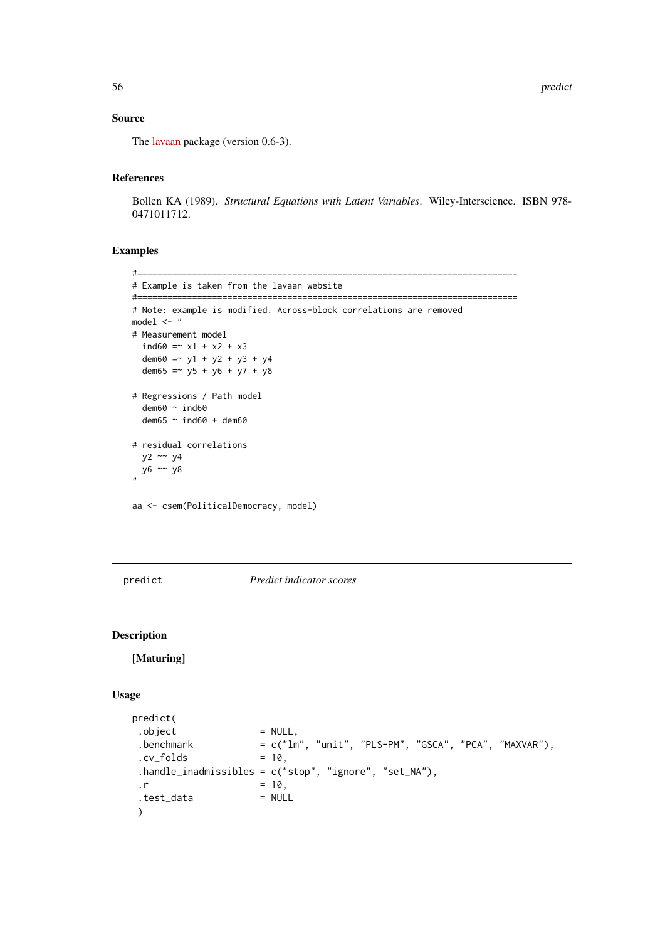### Source

The [lavaan](https://lavaan.ugent.be/) package (version 0.6-3).

## References

Bollen KA (1989). *Structural Equations with Latent Variables*. Wiley-Interscience. ISBN 978- 0471011712.

## Examples

```
#============================================================================
# Example is taken from the lavaan website
#============================================================================
# Note: example is modified. Across-block correlations are removed
model <- "
# Measurement model
  ind60 = x1 + x2 + x3dem60 = -y1 + y2 + y3 + y4dem65 = -y5 + y6 + y7 + y8# Regressions / Path model
  dem60 ~ ind60
  dem65 ~ ind60 + dem60
# residual correlations
 y2 \sim y4y6 ~~ y8
"
aa <- csem(PoliticalDemocracy, model)
```
<span id="page-55-0"></span>predict *Predict indicator scores*

### Description

[Maturing]

# Usage

```
predict(
. \text{object} = NULL,
 \text{Lbenchmark} = c("lm", "unit", "PLS-PM", "GSCA", "PCA", "MAXVAR"),cv_folds = 10,
 .handle_inadmissibles = c("stop", "ignore", "set_NA"),
. r = 10,.test_data = NULL
\mathcal{L}
```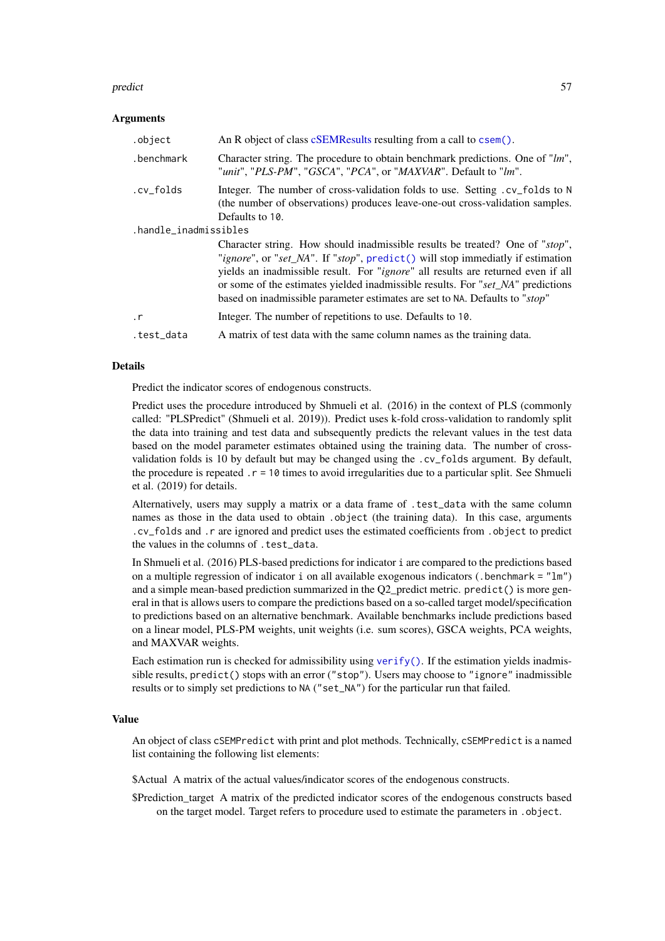#### predict 57

## Arguments

| .object               | An R object of class cSEMResults resulting from a call to csem().                                                                                                                                                                                                                                                                                                                                                             |  |
|-----------------------|-------------------------------------------------------------------------------------------------------------------------------------------------------------------------------------------------------------------------------------------------------------------------------------------------------------------------------------------------------------------------------------------------------------------------------|--|
| .benchmark            | Character string. The procedure to obtain benchmark predictions. One of "lm",<br>"unit", "PLS-PM", "GSCA", "PCA", or "MAXVAR". Default to "lm".                                                                                                                                                                                                                                                                               |  |
| .cv_folds             | Integer. The number of cross-validation folds to use. Setting . cv_folds to N<br>(the number of observations) produces leave-one-out cross-validation samples.<br>Defaults to 10.                                                                                                                                                                                                                                             |  |
| .handle_inadmissibles |                                                                                                                                                                                                                                                                                                                                                                                                                               |  |
|                       | Character string. How should inadmissible results be treated? One of "stop",<br>"ignore", or "set_NA". If "stop", predict() will stop immediatly if estimation<br>yields an inadmissible result. For " <i>ignore</i> " all results are returned even if all<br>or some of the estimates yielded inadmissible results. For "set_NA" predictions<br>based on inadmissible parameter estimates are set to NA. Defaults to "stop" |  |
| $\cdot$ r             | Integer. The number of repetitions to use. Defaults to 10.                                                                                                                                                                                                                                                                                                                                                                    |  |
| .test_data            | A matrix of test data with the same column names as the training data.                                                                                                                                                                                                                                                                                                                                                        |  |

### Details

Predict the indicator scores of endogenous constructs.

Predict uses the procedure introduced by Shmueli et al. (2016) in the context of PLS (commonly called: "PLSPredict" (Shmueli et al. 2019)). Predict uses k-fold cross-validation to randomly split the data into training and test data and subsequently predicts the relevant values in the test data based on the model parameter estimates obtained using the training data. The number of crossvalidation folds is 10 by default but may be changed using the .cv\_folds argument. By default, the procedure is repeated  $\cdot$  r = 10 times to avoid irregularities due to a particular split. See Shmueli et al. (2019) for details.

Alternatively, users may supply a matrix or a data frame of .test\_data with the same column names as those in the data used to obtain .object (the training data). In this case, arguments .cv\_folds and .r are ignored and predict uses the estimated coefficients from .object to predict the values in the columns of .test\_data.

In Shmueli et al. (2016) PLS-based predictions for indicator i are compared to the predictions based on a multiple regression of indicator i on all available exogenous indicators (.benchmark =  $"lm"$ ) and a simple mean-based prediction summarized in the Q2\_predict metric. predict() is more general in that is allows users to compare the predictions based on a so-called target model/specification to predictions based on an alternative benchmark. Available benchmarks include predictions based on a linear model, PLS-PM weights, unit weights (i.e. sum scores), GSCA weights, PCA weights, and MAXVAR weights.

Each estimation run is checked for admissibility using [verify\(\)](#page-91-0). If the estimation yields inadmissible results, predict() stops with an error ("stop"). Users may choose to "ignore" inadmissible results or to simply set predictions to NA ("set\_NA") for the particular run that failed.

## Value

An object of class cSEMPredict with print and plot methods. Technically, cSEMPredict is a named list containing the following list elements:

\$Actual A matrix of the actual values/indicator scores of the endogenous constructs.

\$Prediction\_target A matrix of the predicted indicator scores of the endogenous constructs based on the target model. Target refers to procedure used to estimate the parameters in . object.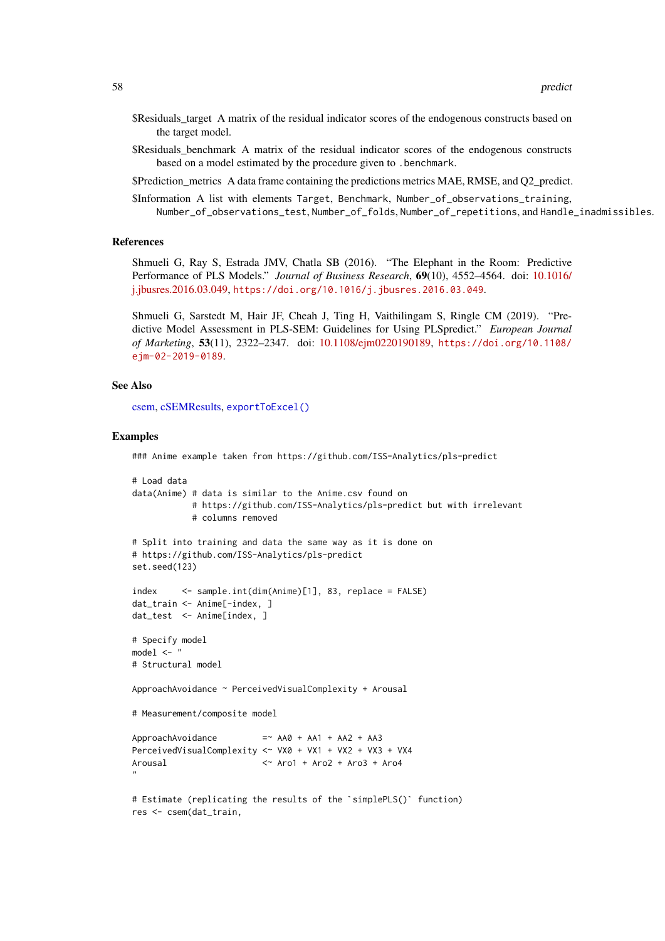- \$Residuals target A matrix of the residual indicator scores of the endogenous constructs based on the target model.
- \$Residuals\_benchmark A matrix of the residual indicator scores of the endogenous constructs based on a model estimated by the procedure given to .benchmark.
- \$Prediction\_metrics A data frame containing the predictions metrics MAE, RMSE, and Q2\_predict.
- \$Information A list with elements Target, Benchmark, Number\_of\_observations\_training, Number\_of\_observations\_test, Number\_of\_folds, Number\_of\_repetitions, and Handle\_inadmissibles.

### References

Shmueli G, Ray S, Estrada JMV, Chatla SB (2016). "The Elephant in the Room: Predictive Performance of PLS Models." *Journal of Business Research*, 69(10), 4552–4564. doi: [10.1016/](https://doi.org/10.1016/j.jbusres.2016.03.049) [j.jbusres.2016.03.049,](https://doi.org/10.1016/j.jbusres.2016.03.049) <https://doi.org/10.1016/j.jbusres.2016.03.049>.

Shmueli G, Sarstedt M, Hair JF, Cheah J, Ting H, Vaithilingam S, Ringle CM (2019). "Predictive Model Assessment in PLS-SEM: Guidelines for Using PLSpredict." *European Journal of Marketing*, 53(11), 2322–2347. doi: [10.1108/ejm0220190189,](https://doi.org/10.1108/ejm-02-2019-0189) [https://doi.org/10.1108/](https://doi.org/10.1108/ejm-02-2019-0189) [ejm-02-2019-0189](https://doi.org/10.1108/ejm-02-2019-0189).

## See Also

[csem,](#page-24-0) [cSEMResults,](#page-0-0) [exportToExcel\(\)](#page-40-0)

## Examples

```
### Anime example taken from https://github.com/ISS-Analytics/pls-predict
```

```
# Load data
data(Anime) # data is similar to the Anime.csv found on
           # https://github.com/ISS-Analytics/pls-predict but with irrelevant
           # columns removed
# Split into training and data the same way as it is done on
# https://github.com/ISS-Analytics/pls-predict
set.seed(123)
index <- sample.int(dim(Anime)[1], 83, replace = FALSE)
dat_train <- Anime[-index, ]
dat_test <- Anime[index, ]
# Specify model
model \leq - "
# Structural model
ApproachAvoidance ~ PerceivedVisualComplexity + Arousal
# Measurement/composite model
ApproachAvoidance = \sim AA0 + AA1 + AA2 + AA3
PerceivedVisualComplexity <~ VX0 + VX1 + VX2 + VX3 + VX4
Arousal <~ Aro1 + Aro2 + Aro3 + Aro4
"
# Estimate (replicating the results of the `simplePLS()` function)
res <- csem(dat_train,
```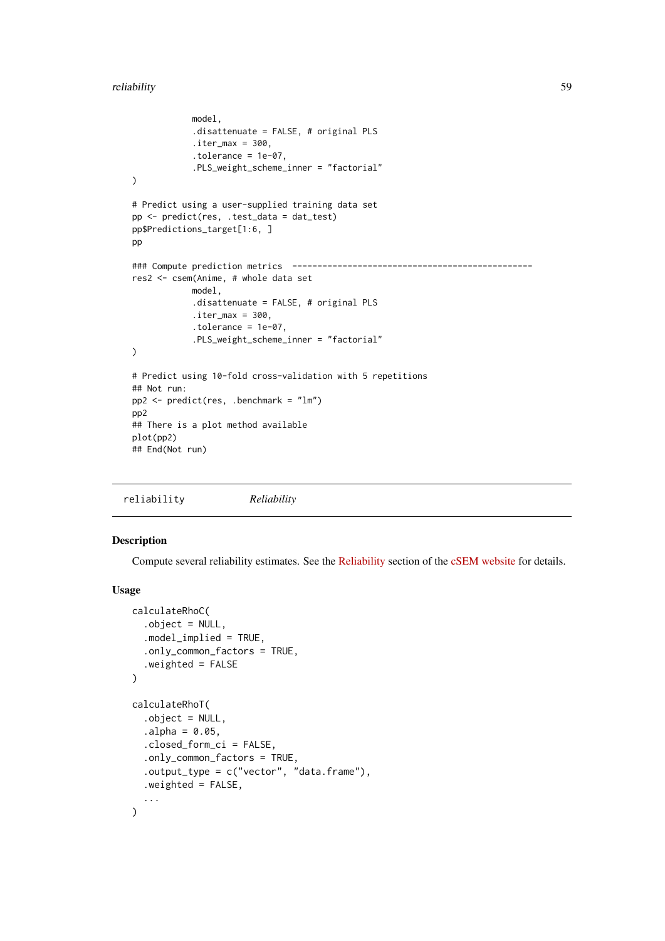#### reliability 59

```
model,
            .disattenuate = FALSE, # original PLS
            .iter\_max = 300,.tolerance = 1e-07,
            .PLS_weight_scheme_inner = "factorial"
\lambda# Predict using a user-supplied training data set
pp <- predict(res, .test_data = dat_test)
pp$Predictions_target[1:6, ]
pp
### Compute prediction metrics ------------------------------------------------
res2 <- csem(Anime, # whole data set
           model,
            .disattenuate = FALSE, # original PLS
            iter_max = 300,
            .tolerance = 1e-07,
            .PLS_weight_scheme_inner = "factorial"
)
# Predict using 10-fold cross-validation with 5 repetitions
## Not run:
pp2 <- predict(res, .benchmark = "lm")
pp2
## There is a plot method available
plot(pp2)
## End(Not run)
```

```
reliability Reliability
```
## Description

Compute several reliability estimates. See the [Reliability](https://m-e-rademaker.github.io/cSEM/articles/Using-assess.html#reliability) section of the [cSEM website](https://m-e-rademaker.github.io/cSEM/index.html) for details.

### Usage

```
calculateRhoC(
  .object = NULL,
  .model_implied = TRUE,
  .only_common_factors = TRUE,
  .weighted = FALSE
\lambdacalculateRhoT(
  .object = NULL,
  a1pha = 0.05,
  .closed_form_ci = FALSE,
  .only_common_factors = TRUE,
  .output_type = c("vector", "data-frame"),.weighted = FALSE,
  ...
\lambda
```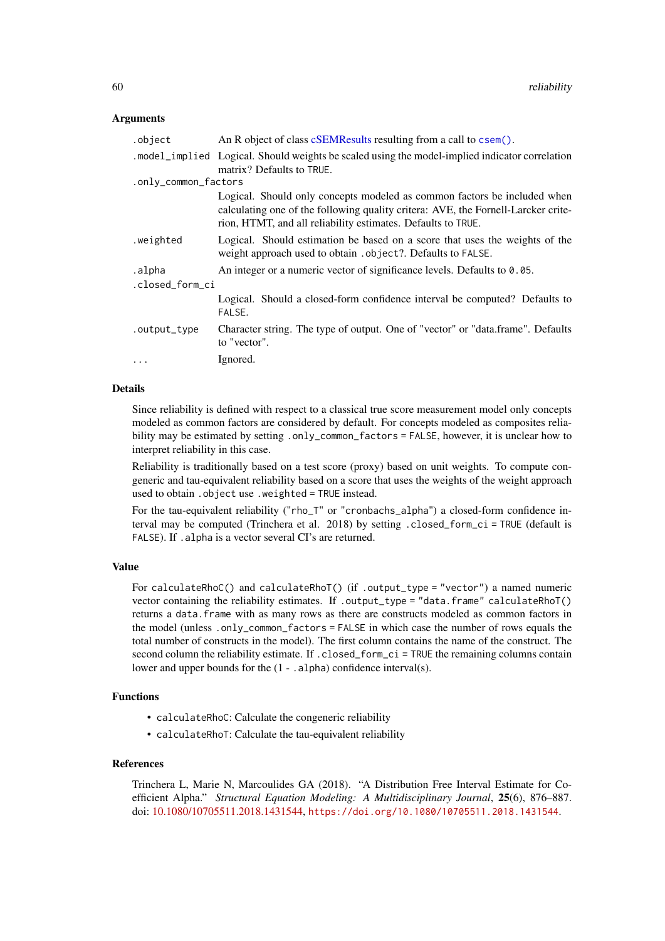## Arguments

| .object              | An R object of class cSEMResults resulting from a call to csem().                                                                                                                                                             |  |
|----------------------|-------------------------------------------------------------------------------------------------------------------------------------------------------------------------------------------------------------------------------|--|
|                      | . model_implied Logical. Should weights be scaled using the model-implied indicator correlation<br>matrix? Defaults to TRUE.                                                                                                  |  |
| .only_common_factors |                                                                                                                                                                                                                               |  |
|                      | Logical. Should only concepts modeled as common factors be included when<br>calculating one of the following quality critera: AVE, the Fornell-Larcker crite-<br>rion, HTMT, and all reliability estimates. Defaults to TRUE. |  |
| .weighted            | Logical. Should estimation be based on a score that uses the weights of the<br>weight approach used to obtain . object?. Defaults to FALSE.                                                                                   |  |
| .alpha               | An integer or a numeric vector of significance levels. Defaults to 0.05.                                                                                                                                                      |  |
| .closed_form_ci      |                                                                                                                                                                                                                               |  |
|                      | Logical. Should a closed-form confidence interval be computed? Defaults to<br>FALSE.                                                                                                                                          |  |
| .output_type         | Character string. The type of output. One of "vector" or "data.frame". Defaults<br>to "vector".                                                                                                                               |  |
| .                    | Ignored.                                                                                                                                                                                                                      |  |
|                      |                                                                                                                                                                                                                               |  |

### Details

Since reliability is defined with respect to a classical true score measurement model only concepts modeled as common factors are considered by default. For concepts modeled as composites reliability may be estimated by setting .only\_common\_factors = FALSE, however, it is unclear how to interpret reliability in this case.

Reliability is traditionally based on a test score (proxy) based on unit weights. To compute congeneric and tau-equivalent reliability based on a score that uses the weights of the weight approach used to obtain .object use .weighted = TRUE instead.

For the tau-equivalent reliability ("rho\_T" or "cronbachs\_alpha") a closed-form confidence interval may be computed (Trinchera et al. 2018) by setting .closed\_form\_ci = TRUE (default is FALSE). If .alpha is a vector several CI's are returned.

## Value

For calculateRhoC() and calculateRhoT() (if .output\_type = "vector") a named numeric vector containing the reliability estimates. If .output\_type = "data.frame" calculateRhoT() returns a data.frame with as many rows as there are constructs modeled as common factors in the model (unless .only\_common\_factors = FALSE in which case the number of rows equals the total number of constructs in the model). The first column contains the name of the construct. The second column the reliability estimate. If .closed\_form\_ci = TRUE the remaining columns contain lower and upper bounds for the  $(1 - .\text{alpha})$  confidence interval(s).

## Functions

- calculateRhoC: Calculate the congeneric reliability
- calculateRhoT: Calculate the tau-equivalent reliability

# References

Trinchera L, Marie N, Marcoulides GA (2018). "A Distribution Free Interval Estimate for Coefficient Alpha." *Structural Equation Modeling: A Multidisciplinary Journal*, 25(6), 876–887. doi: [10.1080/10705511.2018.1431544,](https://doi.org/10.1080/10705511.2018.1431544) <https://doi.org/10.1080/10705511.2018.1431544>.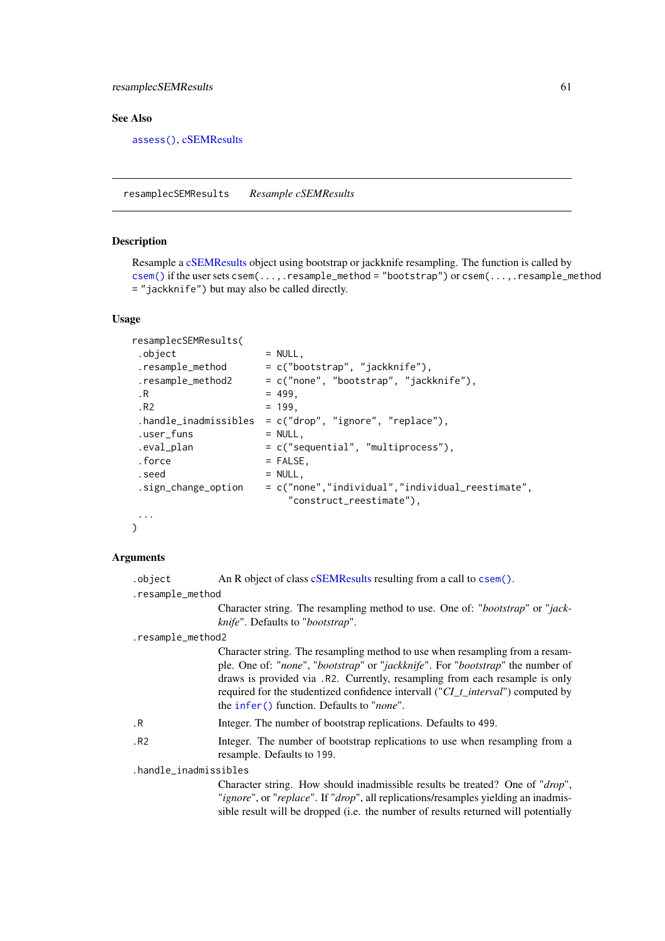#### resamplecSEMResults 61

### See Also

[assess\(\)](#page-3-0), [cSEMResults](#page-0-0)

<span id="page-60-0"></span>resamplecSEMResults *Resample cSEMResults*

### **Description**

Resample a [cSEMResults](#page-0-0) object using bootstrap or jackknife resampling. The function is called by [csem\(\)](#page-24-0) if the user sets csem(...,.resample\_method = "bootstrap") or csem(...,.resample\_method = "jackknife") but may also be called directly.

#### Usage

```
resamplecSEMResults(
. \text{object} = NULL,
resample\_method = c("bootstrap", "jackknife"),.resample_method2 = c("none", "bootstrap", "jackknife"),
\,.R = 499..R2 = 199.handle_inadmissibles = c("drop", "ignore", "replace"),
.user_funs = NULL,
.eval_plan = c("sequential", "multiprocess"),
.force = FALSE,
. \text{seed} = NULL,
.sign_change_option = c("none","individual","individual_reestimate",
                       "construct_reestimate"),
 ...
\lambda
```
#### Arguments

.object An R object of class [cSEMResults](#page-0-0) resulting from a call to [csem\(\)](#page-24-0).

.resample\_method

Character string. The resampling method to use. One of: "*bootstrap*" or "*jackknife*". Defaults to "*bootstrap*".

#### .resample\_method2

Character string. The resampling method to use when resampling from a resample. One of: "*none*", "*bootstrap*" or "*jackknife*". For "*bootstrap*" the number of draws is provided via .R2. Currently, resampling from each resample is only required for the studentized confidence intervall ("*CI\_t\_interval*") computed by the [infer\(\)](#page-44-0) function. Defaults to "*none*".

- .R Integer. The number of bootstrap replications. Defaults to 499.
- .R2 Integer. The number of bootstrap replications to use when resampling from a resample. Defaults to 199.

.handle\_inadmissibles

Character string. How should inadmissible results be treated? One of "*drop*", "*ignore*", or "*replace*". If "*drop*", all replications/resamples yielding an inadmissible result will be dropped (i.e. the number of results returned will potentially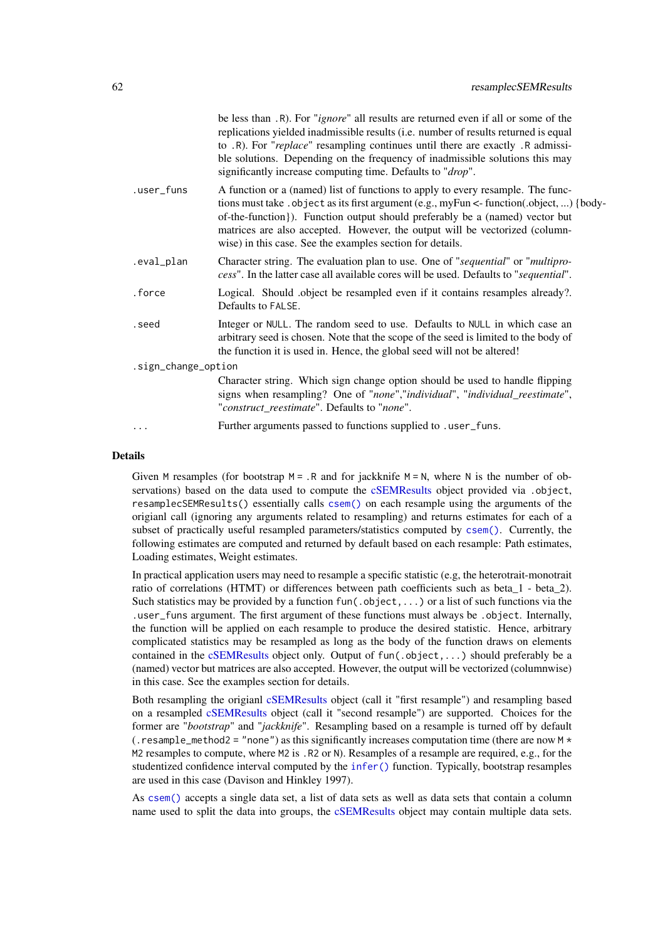|                     | be less than .R). For " <i>ignore</i> " all results are returned even if all or some of the<br>replications yielded inadmissible results (i.e. number of results returned is equal<br>to .R). For "replace" resampling continues until there are exactly .R admissi-<br>ble solutions. Depending on the frequency of inadmissible solutions this may<br>significantly increase computing time. Defaults to " <i>drop</i> ". |  |
|---------------------|-----------------------------------------------------------------------------------------------------------------------------------------------------------------------------------------------------------------------------------------------------------------------------------------------------------------------------------------------------------------------------------------------------------------------------|--|
| .user_funs          | A function or a (named) list of functions to apply to every resample. The func-<br>tions must take . object as its first argument (e.g., myFun <- function(.object, ) {body-<br>of-the-function}). Function output should preferably be a (named) vector but<br>matrices are also accepted. However, the output will be vectorized (column-<br>wise) in this case. See the examples section for details.                    |  |
| .eval_plan          | Character string. The evaluation plan to use. One of "sequential" or "multipro-<br>cess". In the latter case all available cores will be used. Defaults to "sequential".                                                                                                                                                                                                                                                    |  |
| .force              | Logical. Should object be resampled even if it contains resamples already?.<br>Defaults to FALSE.                                                                                                                                                                                                                                                                                                                           |  |
| .seed               | Integer or NULL. The random seed to use. Defaults to NULL in which case an<br>arbitrary seed is chosen. Note that the scope of the seed is limited to the body of<br>the function it is used in. Hence, the global seed will not be altered!                                                                                                                                                                                |  |
| .sign_change_option |                                                                                                                                                                                                                                                                                                                                                                                                                             |  |
|                     | Character string. Which sign change option should be used to handle flipping<br>signs when resampling? One of "none","individual", "individual_reestimate",<br>"construct_reestimate". Defaults to "none".                                                                                                                                                                                                                  |  |
|                     | Further arguments passed to functions supplied to .user_funs.                                                                                                                                                                                                                                                                                                                                                               |  |

### Details

Given M resamples (for bootstrap  $M = R$  and for jackknife  $M = N$ , where N is the number of observations) based on the data used to compute the [cSEMResults](#page-0-0) object provided via .object, resamplecSEMResults() essentially calls [csem\(\)](#page-24-0) on each resample using the arguments of the origianl call (ignoring any arguments related to resampling) and returns estimates for each of a subset of practically useful resampled parameters/statistics computed by [csem\(\)](#page-24-0). Currently, the following estimates are computed and returned by default based on each resample: Path estimates, Loading estimates, Weight estimates.

In practical application users may need to resample a specific statistic (e.g, the heterotrait-monotrait ratio of correlations (HTMT) or differences between path coefficients such as beta\_1 - beta\_2). Such statistics may be provided by a function fun(.object,...) or a list of such functions via the .user\_funs argument. The first argument of these functions must always be .object. Internally, the function will be applied on each resample to produce the desired statistic. Hence, arbitrary complicated statistics may be resampled as long as the body of the function draws on elements contained in the [cSEMResults](#page-0-0) object only. Output of  $fun(.object, \ldots)$  should preferably be a (named) vector but matrices are also accepted. However, the output will be vectorized (columnwise) in this case. See the examples section for details.

Both resampling the origianl [cSEMResults](#page-0-0) object (call it "first resample") and resampling based on a resampled [cSEMResults](#page-0-0) object (call it "second resample") are supported. Choices for the former are "*bootstrap*" and "*jackknife*". Resampling based on a resample is turned off by default (. resample\_method2 = "none") as this significantly increases computation time (there are now  $M \star$ M2 resamples to compute, where M2 is . R2 or N). Resamples of a resample are required, e.g., for the studentized confidence interval computed by the [infer\(\)](#page-44-0) function. Typically, bootstrap resamples are used in this case (Davison and Hinkley 1997).

As [csem\(\)](#page-24-0) accepts a single data set, a list of data sets as well as data sets that contain a column name used to split the data into groups, the [cSEMResults](#page-0-0) object may contain multiple data sets.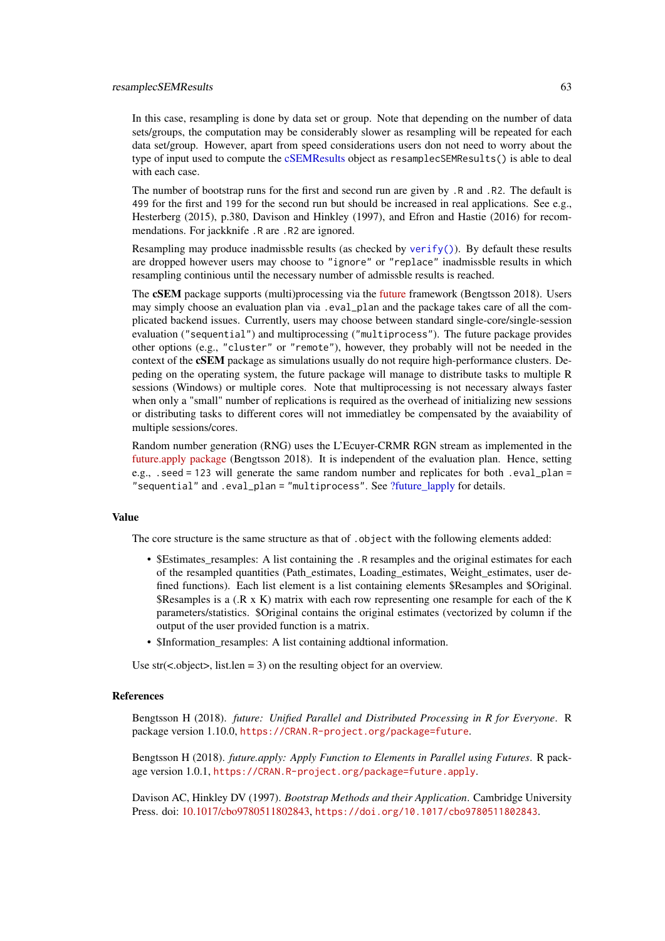### resamplecSEMResults 63

In this case, resampling is done by data set or group. Note that depending on the number of data sets/groups, the computation may be considerably slower as resampling will be repeated for each data set/group. However, apart from speed considerations users don not need to worry about the type of input used to compute the [cSEMResults](#page-0-0) object as resamplecSEMResults() is able to deal with each case.

The number of bootstrap runs for the first and second run are given by .R and .R2. The default is 499 for the first and 199 for the second run but should be increased in real applications. See e.g., Hesterberg (2015), p.380, Davison and Hinkley (1997), and Efron and Hastie (2016) for recommendations. For jackknife .R are .R2 are ignored.

Resampling may produce inadmissble results (as checked by [verify\(\)](#page-91-0)). By default these results are dropped however users may choose to "ignore" or "replace" inadmissble results in which resampling continious until the necessary number of admissble results is reached.

The cSEM package supports (multi)processing via the [future](https://github.com/HenrikBengtsson/future) framework (Bengtsson 2018). Users may simply choose an evaluation plan via . eval\_plan and the package takes care of all the complicated backend issues. Currently, users may choose between standard single-core/single-session evaluation ("sequential") and multiprocessing ("multiprocess"). The future package provides other options (e.g., "cluster" or "remote"), however, they probably will not be needed in the context of the cSEM package as simulations usually do not require high-performance clusters. Depeding on the operating system, the future package will manage to distribute tasks to multiple R sessions (Windows) or multiple cores. Note that multiprocessing is not necessary always faster when only a "small" number of replications is required as the overhead of initializing new sessions or distributing tasks to different cores will not immediatley be compensated by the avaiability of multiple sessions/cores.

Random number generation (RNG) uses the L'Ecuyer-CRMR RGN stream as implemented in the [future.apply package](https://github.com/HenrikBengtsson/future.apply) (Bengtsson 2018). It is independent of the evaluation plan. Hence, setting e.g., . seed = 123 will generate the same random number and replicates for both . eval plan = "sequential" and .eval plan = "multiprocess". See ?future lapply for details.

#### Value

The core structure is the same structure as that of . object with the following elements added:

- \$Estimates\_resamples: A list containing the .R resamples and the original estimates for each of the resampled quantities (Path\_estimates, Loading\_estimates, Weight\_estimates, user defined functions). Each list element is a list containing elements \$Resamples and \$Original. \$Resamples is a  $(R \times K)$  matrix with each row representing one resample for each of the K parameters/statistics. \$Original contains the original estimates (vectorized by column if the output of the user provided function is a matrix.
- \$Information\_resamples: A list containing addtional information.

Use  $str(<sub>0</sub> object)$ , list.len = 3) on the resulting object for an overview.

#### References

Bengtsson H (2018). *future: Unified Parallel and Distributed Processing in R for Everyone*. R package version 1.10.0, <https://CRAN.R-project.org/package=future>.

Bengtsson H (2018). *future.apply: Apply Function to Elements in Parallel using Futures*. R package version 1.0.1, <https://CRAN.R-project.org/package=future.apply>.

Davison AC, Hinkley DV (1997). *Bootstrap Methods and their Application*. Cambridge University Press. doi: [10.1017/cbo9780511802843,](https://doi.org/10.1017/cbo9780511802843) <https://doi.org/10.1017/cbo9780511802843>.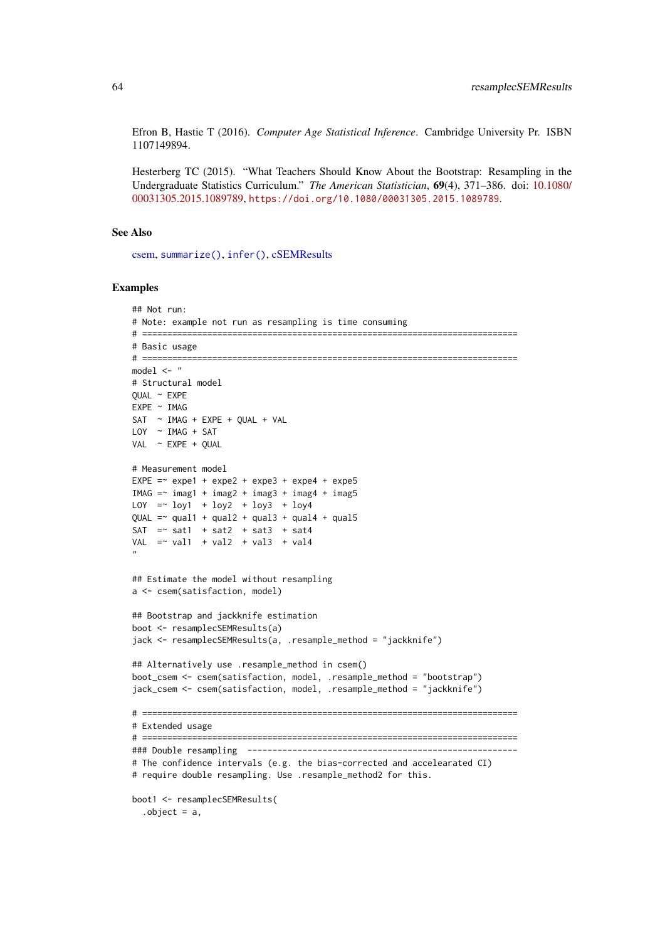Efron B, Hastie T (2016). *Computer Age Statistical Inference*. Cambridge University Pr. ISBN 1107149894.

Hesterberg TC (2015). "What Teachers Should Know About the Bootstrap: Resampling in the Undergraduate Statistics Curriculum." *The American Statistician*, 69(4), 371–386. doi: [10.1080/](https://doi.org/10.1080/00031305.2015.1089789) [00031305.2015.1089789,](https://doi.org/10.1080/00031305.2015.1089789) <https://doi.org/10.1080/00031305.2015.1089789>.

## See Also

[csem,](#page-24-0) [summarize\(\)](#page-74-0), [infer\(\)](#page-44-0), [cSEMResults](#page-0-0)

#### Examples

```
## Not run:
# Note: example not run as resampling is time consuming
# ===========================================================================
# Basic usage
# ===========================================================================
model <- "
# Structural model
QUAL ~ EXPE
EXPE ~ IMAG
SAT ~ IMAG + EXPE + QUAL + VAL
LOY \sim IMAG + SATVAL ~ EXPE + QUAL
# Measurement model
EXPE =\sim expe1 + expe2 + expe3 + expe4 + expe5
IMAG = ~ image1 + image2 + image3 + image4 + image5LOY = V log1 + log2 + log3 + log4QUAL = \gamma qual1 + qual2 + qual3 + qual4 + qual5
SAT = sat1 + sat2 + sat3 + sat4
VAL = val1 + val2 + val3 + val4
"
## Estimate the model without resampling
a <- csem(satisfaction, model)
## Bootstrap and jackknife estimation
boot <- resamplecSEMResults(a)
jack <- resamplecSEMResults(a, .resample_method = "jackknife")
## Alternatively use .resample_method in csem()
boot_csem <- csem(satisfaction, model, .resample_method = "bootstrap")
jack_csem <- csem(satisfaction, model, .resample_method = "jackknife")
# ===========================================================================
# Extended usage
# ===========================================================================
### Double resampling ------------------------------------------------------
# The confidence intervals (e.g. the bias-corrected and accelearated CI)
# require double resampling. Use .resample_method2 for this.
boot1 <- resamplecSEMResults(
  .object = a,
```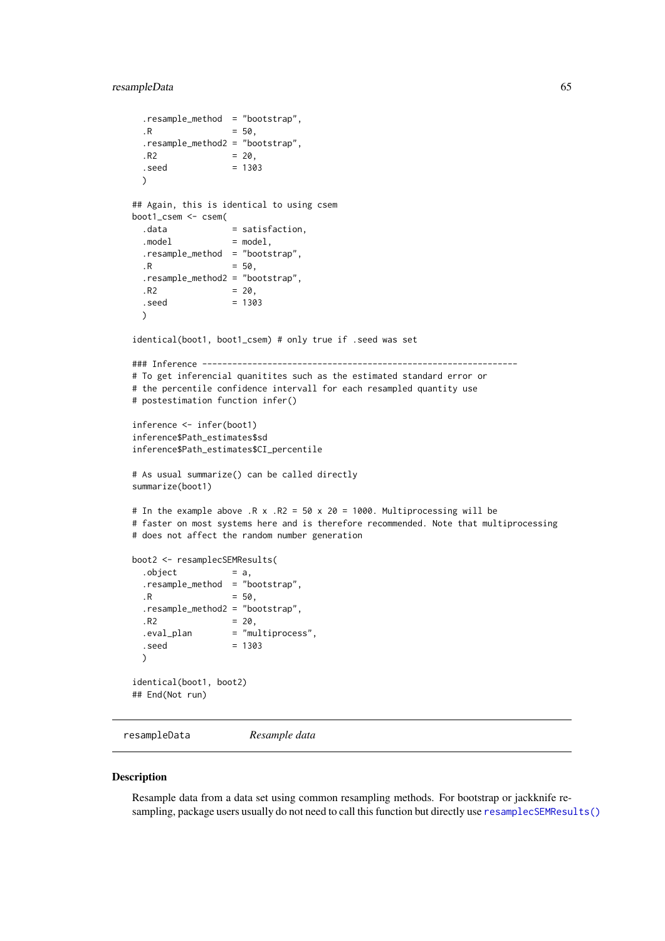### resampleData 65

```
.resample_method = "bootstrap",
  \,.R = 50..resample_method2 = "bootstrap",
  .R2 = 20,. \text{seed} = 1303
  \lambda## Again, this is identical to using csem
boot1_csem <- csem(
  .data = satisfaction,
  model = model,
 .resample_method = "bootstrap",
 R = 50,
  .resample_method2 = "bootstrap",
  ,R2 = 20.
  .seed = 1303
  \mathcal{L}identical(boot1, boot1_csem) # only true if .seed was set
### Inference ---------------------------------------------------------------
# To get inferencial quanitites such as the estimated standard error or
# the percentile confidence intervall for each resampled quantity use
# postestimation function infer()
inference <- infer(boot1)
inference$Path_estimates$sd
inference$Path_estimates$CI_percentile
# As usual summarize() can be called directly
summarize(boot1)
# In the example above .R \times R2 = 50 \times 20 = 1000. Multiprocessing will be
# faster on most systems here and is therefore recommended. Note that multiprocessing
# does not affect the random number generation
boot2 <- resamplecSEMResults(
  . object = a,.resample_method = "bootstrap",
  .R = 50,.resample_method2 = "bootstrap",
  ,R2 = 20,
  .eval_plan = "multiprocess",
  . \text{seed} = 1303
  \lambdaidentical(boot1, boot2)
## End(Not run)
```
resampleData *Resample data*

#### Description

Resample data from a data set using common resampling methods. For bootstrap or jackknife resampling, package users usually do not need to call this function but directly use [resamplecSEMResults\(\)](#page-60-0)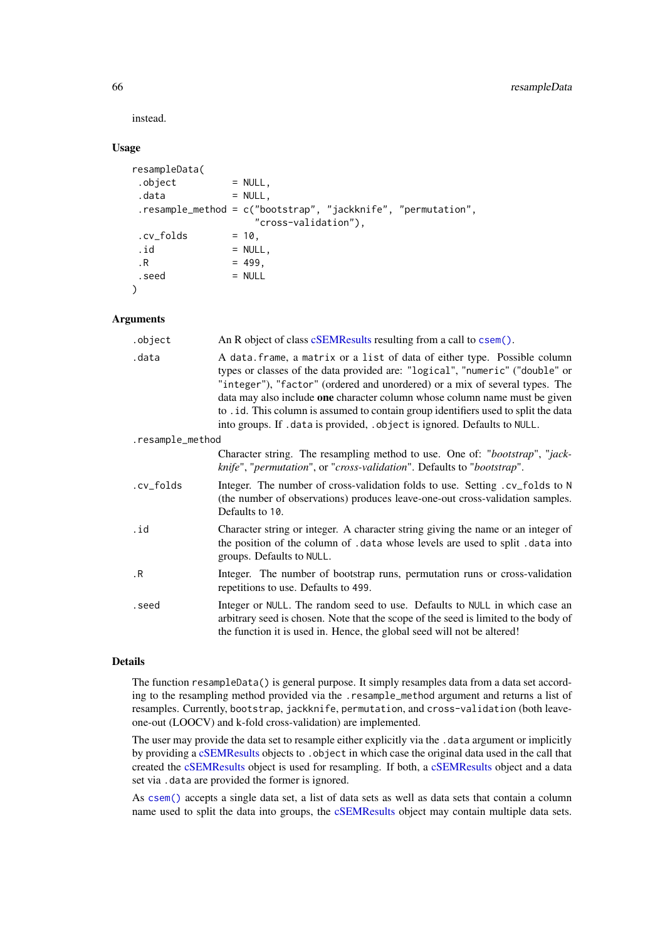instead.

# Usage

| resampleData( |                                                                 |  |
|---------------|-----------------------------------------------------------------|--|
| .object       | $= NULL,$                                                       |  |
| .data         | $= NULL,$                                                       |  |
|               | .resample_method = $c("bootstrap", "jackknife", "permutation",$ |  |
|               | "cross-validation"),                                            |  |
| .cv folds     | $= 10.$                                                         |  |
| .id           | $= NULL,$                                                       |  |
| $\cdot$ R     | $= 499.$                                                        |  |
| .seed         | $= NULL$                                                        |  |
|               |                                                                 |  |

### Arguments

| .object          | An R object of class cSEMResults resulting from a call to csem().                                                                                                                                                                                                                                                                                                                                                                                                                           |
|------------------|---------------------------------------------------------------------------------------------------------------------------------------------------------------------------------------------------------------------------------------------------------------------------------------------------------------------------------------------------------------------------------------------------------------------------------------------------------------------------------------------|
| .data            | A data. frame, a matrix or a list of data of either type. Possible column<br>types or classes of the data provided are: "logical", "numeric" ("double" or<br>"integer"), "factor" (ordered and unordered) or a mix of several types. The<br>data may also include one character column whose column name must be given<br>to . id. This column is assumed to contain group identifiers used to split the data<br>into groups. If . data is provided, . object is ignored. Defaults to NULL. |
| .resample_method |                                                                                                                                                                                                                                                                                                                                                                                                                                                                                             |
|                  | Character string. The resampling method to use. One of: "bootstrap", "jack-<br>knife", "permutation", or "cross-validation". Defaults to "bootstrap".                                                                                                                                                                                                                                                                                                                                       |
| .cv_folds        | Integer. The number of cross-validation folds to use. Setting . cv_folds to N<br>(the number of observations) produces leave-one-out cross-validation samples.<br>Defaults to 10.                                                                                                                                                                                                                                                                                                           |
| .id              | Character string or integer. A character string giving the name or an integer of<br>the position of the column of .data whose levels are used to split .data into<br>groups. Defaults to NULL.                                                                                                                                                                                                                                                                                              |
| $\cdot$ R        | Integer. The number of bootstrap runs, permutation runs or cross-validation<br>repetitions to use. Defaults to 499.                                                                                                                                                                                                                                                                                                                                                                         |
| .seed            | Integer or NULL. The random seed to use. Defaults to NULL in which case an<br>arbitrary seed is chosen. Note that the scope of the seed is limited to the body of<br>the function it is used in. Hence, the global seed will not be altered!                                                                                                                                                                                                                                                |

## Details

The function resampleData() is general purpose. It simply resamples data from a data set according to the resampling method provided via the .resample\_method argument and returns a list of resamples. Currently, bootstrap, jackknife, permutation, and cross-validation (both leaveone-out (LOOCV) and k-fold cross-validation) are implemented.

The user may provide the data set to resample either explicitly via the .data argument or implicitly by providing a [cSEMResults](#page-0-0) objects to . object in which case the original data used in the call that created the [cSEMResults](#page-0-0) object is used for resampling. If both, a [cSEMResults](#page-0-0) object and a data set via .data are provided the former is ignored.

As [csem\(\)](#page-24-0) accepts a single data set, a list of data sets as well as data sets that contain a column name used to split the data into groups, the [cSEMResults](#page-0-0) object may contain multiple data sets.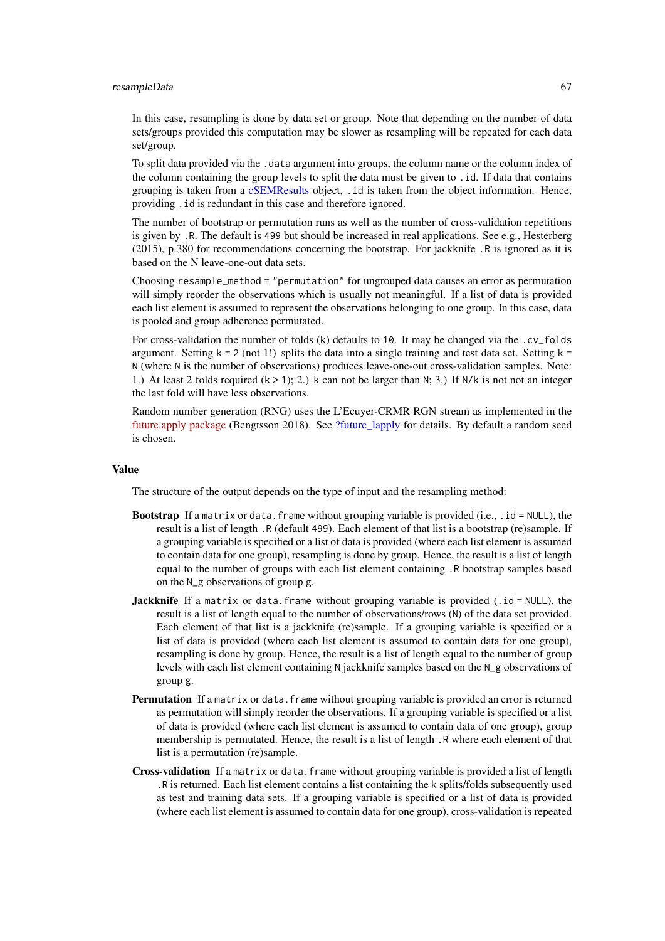### resampleData 67

In this case, resampling is done by data set or group. Note that depending on the number of data sets/groups provided this computation may be slower as resampling will be repeated for each data set/group.

To split data provided via the .data argument into groups, the column name or the column index of the column containing the group levels to split the data must be given to .id. If data that contains grouping is taken from a [cSEMResults](#page-0-0) object, .id is taken from the object information. Hence, providing .id is redundant in this case and therefore ignored.

The number of bootstrap or permutation runs as well as the number of cross-validation repetitions is given by .R. The default is 499 but should be increased in real applications. See e.g., Hesterberg (2015), p.380 for recommendations concerning the bootstrap. For jackknife .R is ignored as it is based on the N leave-one-out data sets.

Choosing resample\_method = "permutation" for ungrouped data causes an error as permutation will simply reorder the observations which is usually not meaningful. If a list of data is provided each list element is assumed to represent the observations belonging to one group. In this case, data is pooled and group adherence permutated.

For cross-validation the number of folds (k) defaults to 10. It may be changed via the .cv\_folds argument. Setting  $k = 2$  (not 1!) splits the data into a single training and test data set. Setting  $k =$ N (where N is the number of observations) produces leave-one-out cross-validation samples. Note: 1.) At least 2 folds required  $(k > 1)$ ; 2.) k can not be larger than N; 3.) If N/k is not not an integer the last fold will have less observations.

Random number generation (RNG) uses the L'Ecuyer-CRMR RGN stream as implemented in the [future.apply package](https://github.com/HenrikBengtsson/future.apply) (Bengtsson 2018). See [?future\\_lapply](#page-0-0) for details. By default a random seed is chosen.

#### Value

The structure of the output depends on the type of input and the resampling method:

- **Bootstrap** If a matrix or data. frame without grouping variable is provided (i.e., .  $id = NULL$ ), the result is a list of length .R (default 499). Each element of that list is a bootstrap (re)sample. If a grouping variable is specified or a list of data is provided (where each list element is assumed to contain data for one group), resampling is done by group. Hence, the result is a list of length equal to the number of groups with each list element containing .R bootstrap samples based on the N\_g observations of group g.
- **Jackknife** If a matrix or data. frame without grouping variable is provided (.id = NULL), the result is a list of length equal to the number of observations/rows (N) of the data set provided. Each element of that list is a jackknife (re)sample. If a grouping variable is specified or a list of data is provided (where each list element is assumed to contain data for one group), resampling is done by group. Hence, the result is a list of length equal to the number of group levels with each list element containing N jackknife samples based on the N\_g observations of group g.
- Permutation If a matrix or data. frame without grouping variable is provided an error is returned as permutation will simply reorder the observations. If a grouping variable is specified or a list of data is provided (where each list element is assumed to contain data of one group), group membership is permutated. Hence, the result is a list of length .R where each element of that list is a permutation (re)sample.
- Cross-validation If a matrix or data. frame without grouping variable is provided a list of length .R is returned. Each list element contains a list containing the k splits/folds subsequently used as test and training data sets. If a grouping variable is specified or a list of data is provided (where each list element is assumed to contain data for one group), cross-validation is repeated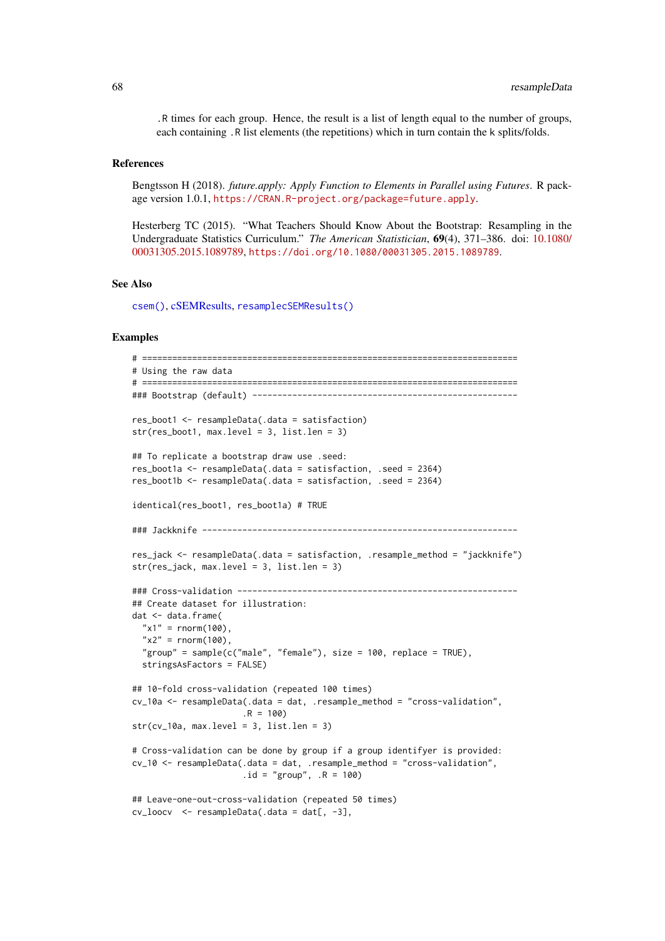.R times for each group. Hence, the result is a list of length equal to the number of groups, each containing .R list elements (the repetitions) which in turn contain the k splits/folds.

### References

Bengtsson H (2018). *future.apply: Apply Function to Elements in Parallel using Futures*. R package version 1.0.1, <https://CRAN.R-project.org/package=future.apply>.

Hesterberg TC (2015). "What Teachers Should Know About the Bootstrap: Resampling in the Undergraduate Statistics Curriculum." *The American Statistician*, 69(4), 371–386. doi: [10.1080/](https://doi.org/10.1080/00031305.2015.1089789) [00031305.2015.1089789,](https://doi.org/10.1080/00031305.2015.1089789) <https://doi.org/10.1080/00031305.2015.1089789>.

### See Also

[csem\(\)](#page-24-0), [cSEMResults,](#page-0-0) [resamplecSEMResults\(\)](#page-60-0)

## Examples

```
# ===========================================================================
# Using the raw data
# ===========================================================================
### Bootstrap (default) -----------------------------------------------------
res_boot1 <- resampleData(.data = satisfaction)
str(res_boot1, max.level = 3, list.len = 3)
## To replicate a bootstrap draw use .seed:
res_boot1a <- resampleData(.data = satisfaction, .seed = 2364)
res_boot1b <- resampleData(.data = satisfaction, .seed = 2364)
identical(res_boot1, res_boot1a) # TRUE
### Jackknife ---------------------------------------------------------------
res_jack <- resampleData(.data = satisfaction, .resample_method = "jackknife")
str(res_jack, max.level = 3, list.len = 3)
### Cross-validation --------------------------------------------------------
## Create dataset for illustration:
dat <- data.frame(
  "x1" = rnorm(100),
  "x2" = rnorm(100),
  "group" = sample(c("male", "female"), size = 100, replace = TRUE),
  stringsAsFactors = FALSE)
## 10-fold cross-validation (repeated 100 times)
cv_10a <- resampleData(.data = dat, .resample_method = "cross-validation",
                      .R = 100)
str(cv_10a, max.level = 3, list.len = 3)# Cross-validation can be done by group if a group identifyer is provided:
cv_10 <- resampleData(.data = dat, .resample_method = "cross-validation",
                      .id = "group", .R = 100)
## Leave-one-out-cross-validation (repeated 50 times)
cv\_loocv <- resampleData(.data = dat[, -3],
```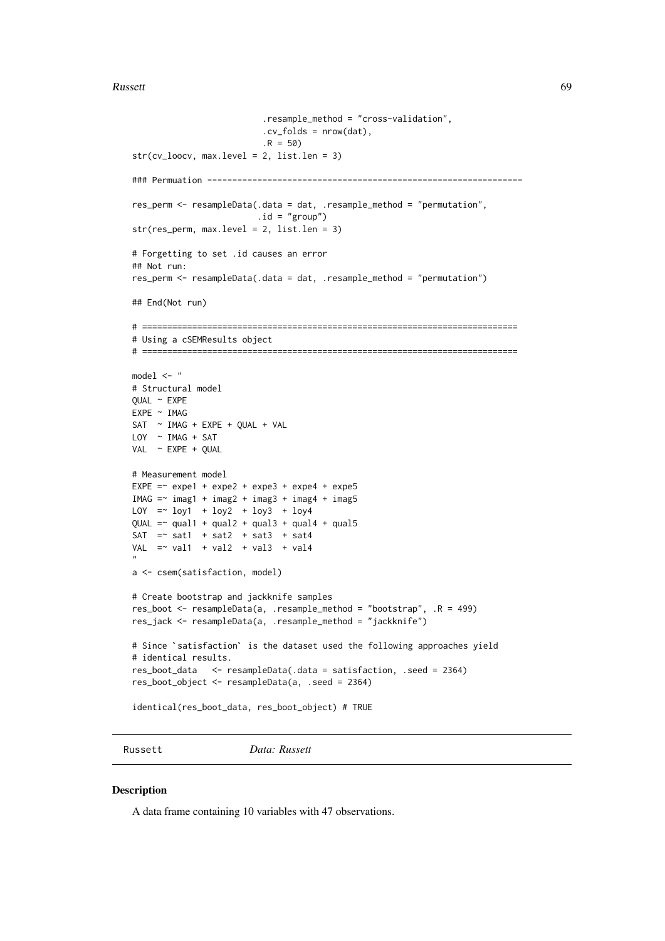#### Russett 69 km i 1999 ble større storte ble storte ble storte ble storte ble storte ble storte ble storte ble s

```
.resample_method = "cross-validation",
                            cv_folds = nrow(data),
                            .R = 50str(cv_loocv, max.level = 2, list.len = 3)
### Permuation ---------------------------------------------------------------
res_perm <- resampleData(.data = dat, .resample_method = "permutation",
                          .id = "group")str(res_perm, max.level = 2, list.len = 3)
# Forgetting to set .id causes an error
## Not run:
res_perm <- resampleData(.data = dat, .resample_method = "permutation")
## End(Not run)
# ===========================================================================
# Using a cSEMResults object
# ===========================================================================
model <- "
# Structural model
QUAL ~ EXPE
EXPE ~ IMAG
SAT \sim IMAG + EXPE + QUAL + VALLOY ~ IMAG + SAT
VAL ~ EXPE + QUAL
# Measurement model
EXPE = \infty expe1 + expe2 + expe3 + expe4 + expe5
IMAG = \frac{1}{2} imag1 + imag2 + imag3 + imag4 + imag5
LOY = ~ 10y1 + 10y2 + 10y3 + 10y4QUAL = \gamma qual1 + qual2 + qual3 + qual4 + qual5
SAT = sat1 + sat2 + sat3 + sat4
VAL = val1 + val2 + val3 + val4
"
a <- csem(satisfaction, model)
# Create bootstrap and jackknife samples
res_boot <- resampleData(a, .resample_method = "bootstrap", .R = 499)
# Since `satisfaction` is the dataset used the following approaches yield
res_jack <- resampleData(a, .resample_method = "jackknife")
# identical results.
res_boot_data <- resampleData(.data = satisfaction, .seed = 2364)
res_boot_object <- resampleData(a, .seed = 2364)
identical(res_boot_data, res_boot_object) # TRUE
```
Russett *Data: Russett*

#### Description

A data frame containing 10 variables with 47 observations.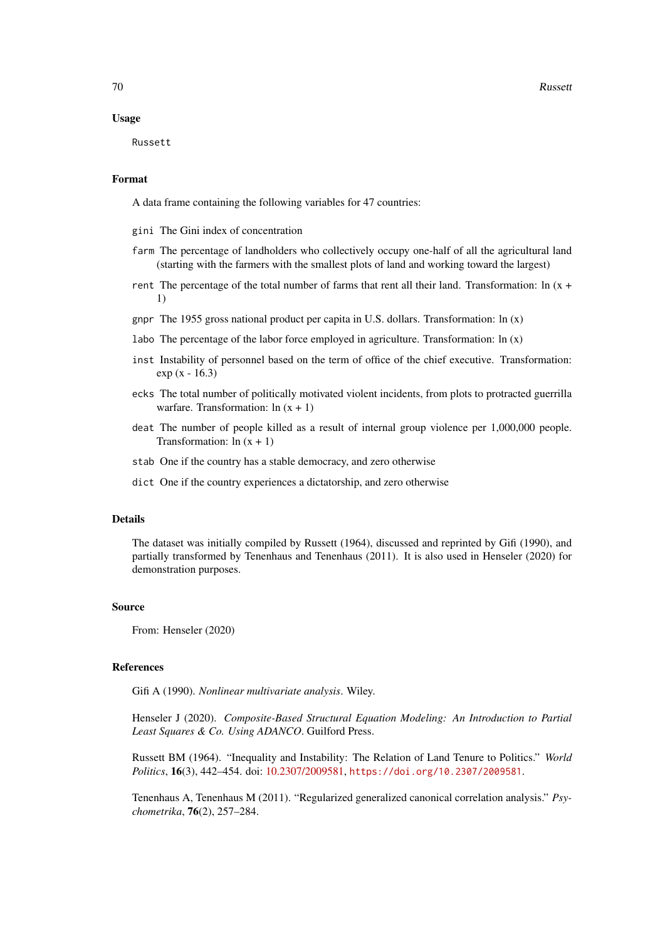70 Russett Russett and the United States of the United States and the United States of the United States of the United States and the United States of the United States of the United States and the United States of the Uni

### Usage

Russett

### Format

A data frame containing the following variables for 47 countries:

gini The Gini index of concentration

- farm The percentage of landholders who collectively occupy one-half of all the agricultural land (starting with the farmers with the smallest plots of land and working toward the largest)
- rent The percentage of the total number of farms that rent all their land. Transformation:  $\ln(x + \frac{1}{x})$ 1)
- gnpr The 1955 gross national product per capita in U.S. dollars. Transformation:  $\ln(x)$
- labo The percentage of the labor force employed in agriculture. Transformation:  $\ln(x)$
- inst Instability of personnel based on the term of office of the chief executive. Transformation: exp (x - 16.3)
- ecks The total number of politically motivated violent incidents, from plots to protracted guerrilla warfare. Transformation:  $\ln(x + 1)$
- deat The number of people killed as a result of internal group violence per 1,000,000 people. Transformation:  $ln(x + 1)$
- stab One if the country has a stable democracy, and zero otherwise
- dict One if the country experiences a dictatorship, and zero otherwise

## Details

The dataset was initially compiled by Russett (1964), discussed and reprinted by Gifi (1990), and partially transformed by Tenenhaus and Tenenhaus (2011). It is also used in Henseler (2020) for demonstration purposes.

## Source

From: Henseler (2020)

#### References

Gifi A (1990). *Nonlinear multivariate analysis*. Wiley.

Henseler J (2020). *Composite-Based Structural Equation Modeling: An Introduction to Partial Least Squares & Co. Using ADANCO*. Guilford Press.

Russett BM (1964). "Inequality and Instability: The Relation of Land Tenure to Politics." *World Politics*, 16(3), 442–454. doi: [10.2307/2009581,](https://doi.org/10.2307/2009581) <https://doi.org/10.2307/2009581>.

Tenenhaus A, Tenenhaus M (2011). "Regularized generalized canonical correlation analysis." *Psychometrika*, 76(2), 257–284.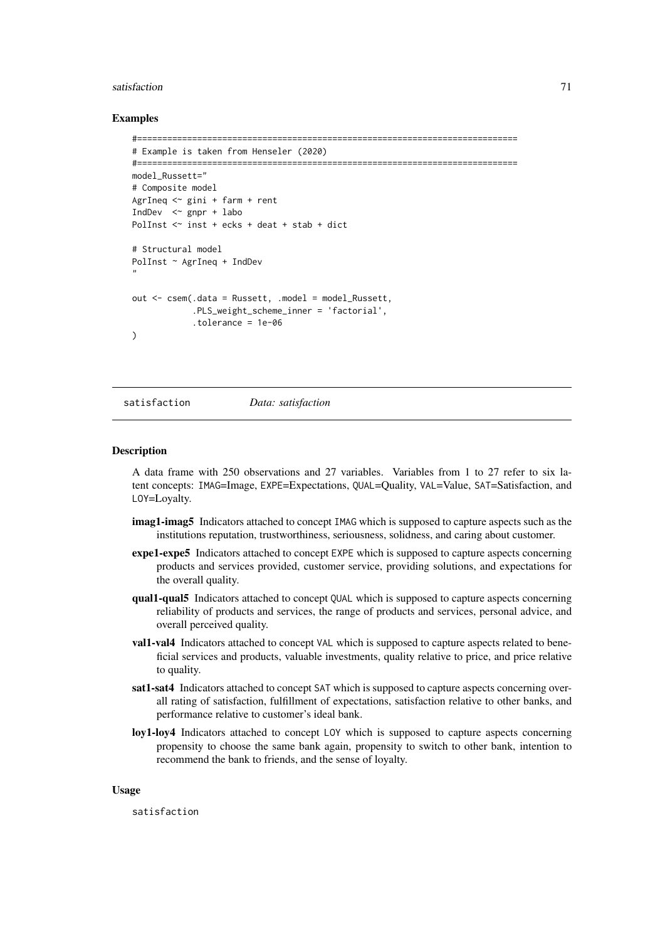## satisfaction 71

### Examples

```
#============================================================================
# Example is taken from Henseler (2020)
#============================================================================
model_Russett="
# Composite model
AgrIneq <~ gini + farm + rent
IndDev <~ gnpr + labo
PolInst <~ inst + ecks + deat + stab + dict
# Structural model
PolInst ~ AgrIneq + IndDev
"
out <- csem(.data = Russett, .model = model_Russett,
            .PLS_weight_scheme_inner = 'factorial',
            .tolerance = 1e-06
)
```
satisfaction *Data: satisfaction*

#### Description

A data frame with 250 observations and 27 variables. Variables from 1 to 27 refer to six latent concepts: IMAG=Image, EXPE=Expectations, QUAL=Quality, VAL=Value, SAT=Satisfaction, and LOY=Loyalty.

- imag1-imag5 Indicators attached to concept IMAG which is supposed to capture aspects such as the institutions reputation, trustworthiness, seriousness, solidness, and caring about customer.
- expe1-expe5 Indicators attached to concept EXPE which is supposed to capture aspects concerning products and services provided, customer service, providing solutions, and expectations for the overall quality.
- qual1-qual5 Indicators attached to concept QUAL which is supposed to capture aspects concerning reliability of products and services, the range of products and services, personal advice, and overall perceived quality.
- val1-val4 Indicators attached to concept VAL which is supposed to capture aspects related to beneficial services and products, valuable investments, quality relative to price, and price relative to quality.
- sat1-sat4 Indicators attached to concept SAT which is supposed to capture aspects concerning overall rating of satisfaction, fulfillment of expectations, satisfaction relative to other banks, and performance relative to customer's ideal bank.
- loy1-loy4 Indicators attached to concept LOY which is supposed to capture aspects concerning propensity to choose the same bank again, propensity to switch to other bank, intention to recommend the bank to friends, and the sense of loyalty.

## Usage

satisfaction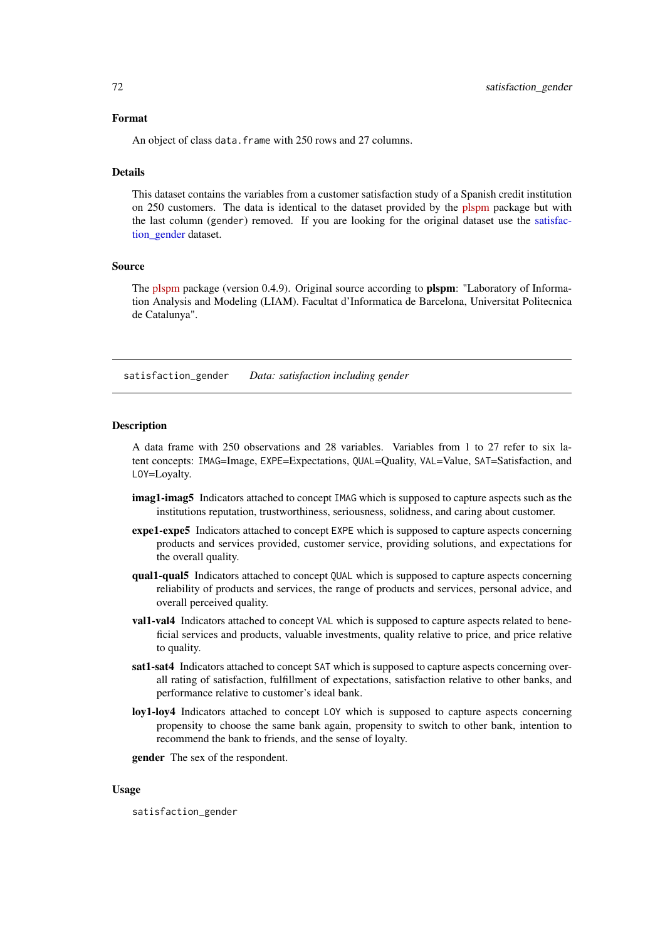### Format

An object of class data. frame with 250 rows and 27 columns.

#### Details

This dataset contains the variables from a customer satisfaction study of a Spanish credit institution on 250 customers. The data is identical to the dataset provided by the [plspm](https://github.com/gastonstat/plspm) package but with the last column (gender) removed. If you are looking for the original dataset use the [satisfac](#page-71-0)[tion\\_gender](#page-71-0) dataset.

### Source

The [plspm](https://github.com/gastonstat/plspm) package (version 0.4.9). Original source according to plspm: "Laboratory of Information Analysis and Modeling (LIAM). Facultat d'Informatica de Barcelona, Universitat Politecnica de Catalunya".

<span id="page-71-0"></span>satisfaction\_gender *Data: satisfaction including gender*

#### **Description**

A data frame with 250 observations and 28 variables. Variables from 1 to 27 refer to six latent concepts: IMAG=Image, EXPE=Expectations, QUAL=Quality, VAL=Value, SAT=Satisfaction, and LOY=Loyalty.

- imag1-imag5 Indicators attached to concept IMAG which is supposed to capture aspects such as the institutions reputation, trustworthiness, seriousness, solidness, and caring about customer.
- expe1-expe5 Indicators attached to concept EXPE which is supposed to capture aspects concerning products and services provided, customer service, providing solutions, and expectations for the overall quality.
- qual1-qual5 Indicators attached to concept QUAL which is supposed to capture aspects concerning reliability of products and services, the range of products and services, personal advice, and overall perceived quality.
- val1-val4 Indicators attached to concept VAL which is supposed to capture aspects related to beneficial services and products, valuable investments, quality relative to price, and price relative to quality.
- sat1-sat4 Indicators attached to concept SAT which is supposed to capture aspects concerning overall rating of satisfaction, fulfillment of expectations, satisfaction relative to other banks, and performance relative to customer's ideal bank.
- loy1-loy4 Indicators attached to concept LOY which is supposed to capture aspects concerning propensity to choose the same bank again, propensity to switch to other bank, intention to recommend the bank to friends, and the sense of loyalty.

gender The sex of the respondent.

# Usage

satisfaction\_gender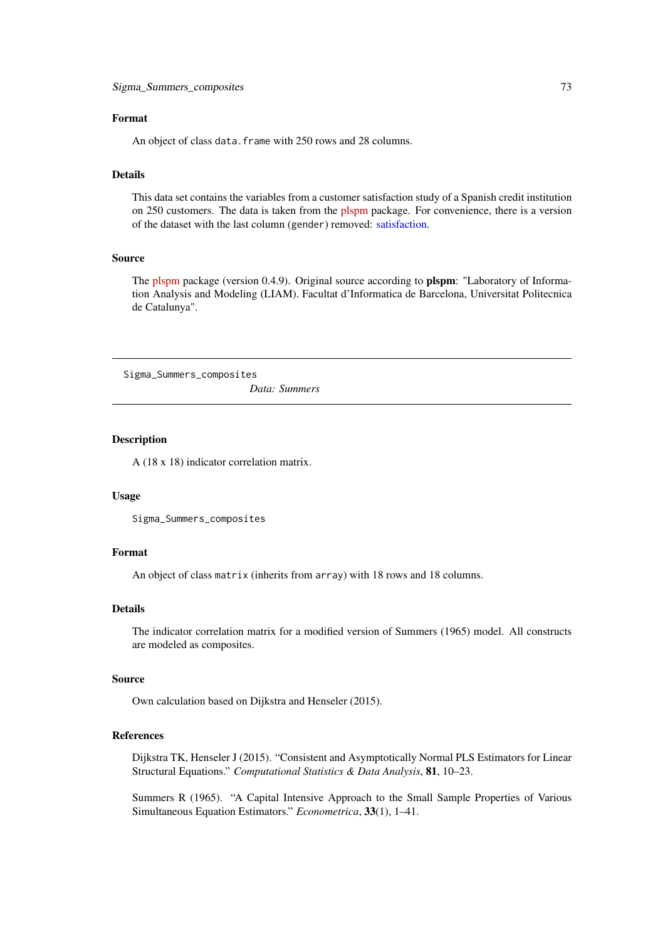#### <span id="page-72-0"></span>Format

An object of class data. frame with 250 rows and 28 columns.

#### Details

This data set contains the variables from a customer satisfaction study of a Spanish credit institution on 250 customers. The data is taken from the [plspm](https://github.com/gastonstat/plspm) package. For convenience, there is a version of the dataset with the last column (gender) removed: [satisfaction.](#page-70-0)

# Source

The [plspm](https://github.com/gastonstat/plspm) package (version 0.4.9). Original source according to **plspm**: "Laboratory of Information Analysis and Modeling (LIAM). Facultat d'Informatica de Barcelona, Universitat Politecnica de Catalunya".

Sigma\_Summers\_composites

*Data: Summers*

# Description

A (18 x 18) indicator correlation matrix.

# Usage

```
Sigma_Summers_composites
```
# Format

An object of class matrix (inherits from array) with 18 rows and 18 columns.

# Details

The indicator correlation matrix for a modified version of Summers (1965) model. All constructs are modeled as composites.

## Source

Own calculation based on Dijkstra and Henseler (2015).

# References

Dijkstra TK, Henseler J (2015). "Consistent and Asymptotically Normal PLS Estimators for Linear Structural Equations." *Computational Statistics & Data Analysis*, 81, 10–23.

Summers R (1965). "A Capital Intensive Approach to the Small Sample Properties of Various Simultaneous Equation Estimators." *Econometrica*, 33(1), 1–41.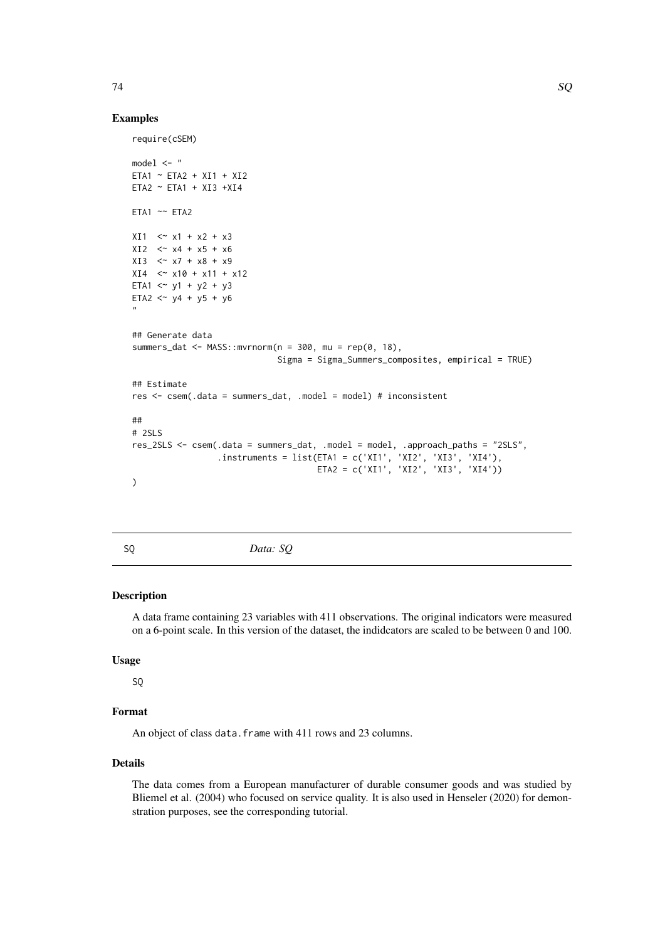# <span id="page-73-0"></span>Examples

```
require(cSEM)
model < - "
ETA1 ~ ETA2 + XI1 + XI2
ETA2 ~ ETA1 + XI3 +XI4
ETA1 \sim ETA2
XI1 < \sim x1 + x2 + x3XI2 < x4 + x5 + x6XI3 < x7 + x8 + x9XI4 \leq X10 + X11 + X12ETA1 \lt^2 y1 + y2 + y3
ETA2 \lt^ y4 + y5 + y6
"
## Generate data
summers_dat <- MASS::mvrnorm(n = 300, mu = rep(0, 18),
                             Sigma = Sigma_Summers_composites, empirical = TRUE)
## Estimate
res <- csem(.data = summers_dat, .model = model) # inconsistent
##
# 2SLS
res_2SLS <- csem(.data = summers_dat, .model = model, .approach_paths = "2SLS",
                 .instruments = list(ETA1 = c('XI1', 'XI2', 'XI3', 'XI4'),
                                      ETA2 = c('XI1', 'XI2', 'XI3', 'XI4'))
)
```
SQ *Data: SQ*

#### Description

A data frame containing 23 variables with 411 observations. The original indicators were measured on a 6-point scale. In this version of the dataset, the indidcators are scaled to be between 0 and 100.

## Usage

# SQ

# Format

An object of class data. frame with 411 rows and 23 columns.

# Details

The data comes from a European manufacturer of durable consumer goods and was studied by Bliemel et al. (2004) who focused on service quality. It is also used in Henseler (2020) for demonstration purposes, see the corresponding tutorial.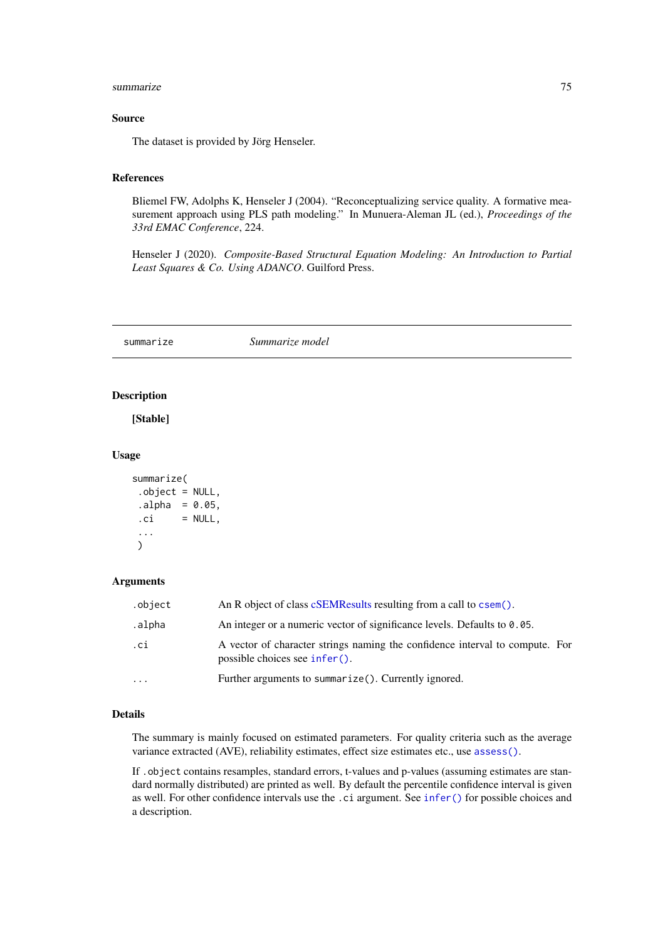#### <span id="page-74-1"></span>summarize 75

#### Source

The dataset is provided by Jörg Henseler.

## References

Bliemel FW, Adolphs K, Henseler J (2004). "Reconceptualizing service quality. A formative measurement approach using PLS path modeling." In Munuera-Aleman JL (ed.), *Proceedings of the 33rd EMAC Conference*, 224.

Henseler J (2020). *Composite-Based Structural Equation Modeling: An Introduction to Partial Least Squares & Co. Using ADANCO*. Guilford Press.

<span id="page-74-0"></span>summarize *Summarize model*

# Description

[Stable]

# Usage

```
summarize(
 .object = NULL,
a1pha = 0.05,
 \nci = NULL,...
\lambda
```
## Arguments

| .object   | An R object of class cSEMResults resulting from a call to csem().                                             |
|-----------|---------------------------------------------------------------------------------------------------------------|
| .alpha    | An integer or a numeric vector of significance levels. Defaults to $0.05$ .                                   |
| .ci       | A vector of character strings naming the confidence interval to compute. For<br>possible choices see infer(). |
| $\ddotsc$ | Further arguments to summarize(). Currently ignored.                                                          |

# Details

The summary is mainly focused on estimated parameters. For quality criteria such as the average variance extracted (AVE), reliability estimates, effect size estimates etc., use [assess\(\)](#page-3-0).

If .object contains resamples, standard errors, t-values and p-values (assuming estimates are standard normally distributed) are printed as well. By default the percentile confidence interval is given as well. For other confidence intervals use the .ci argument. See [infer\(\)](#page-44-0) for possible choices and a description.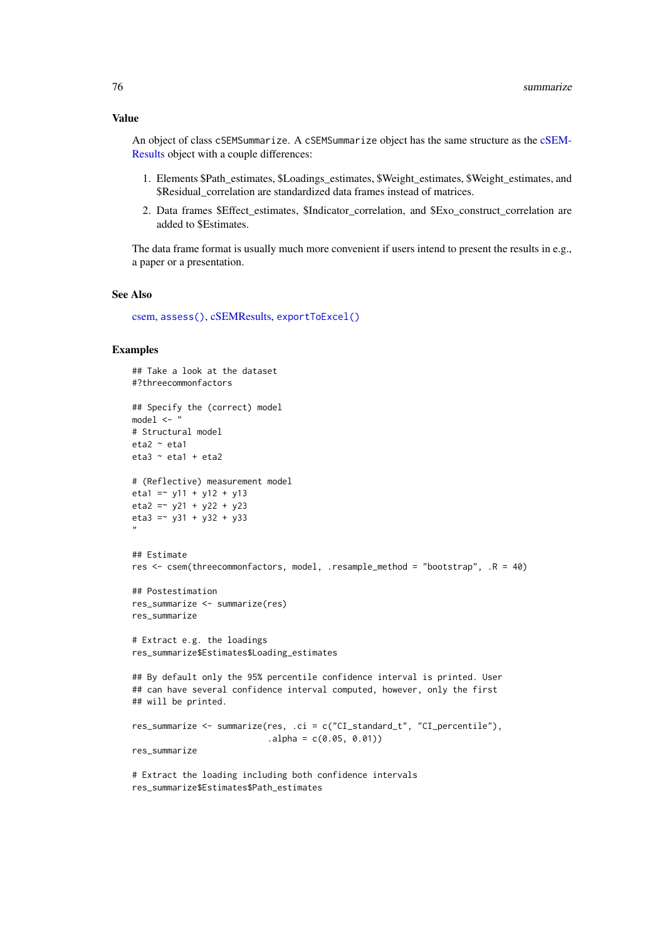#### <span id="page-75-0"></span>Value

An object of class cSEMSummarize. A cSEMSummarize object has the same structure as the [cSEM-](#page-0-0)[Results](#page-0-0) object with a couple differences:

- 1. Elements \$Path\_estimates, \$Loadings\_estimates, \$Weight\_estimates, \$Weight\_estimates, and \$Residual\_correlation are standardized data frames instead of matrices.
- 2. Data frames \$Effect\_estimates, \$Indicator\_correlation, and \$Exo\_construct\_correlation are added to \$Estimates.

The data frame format is usually much more convenient if users intend to present the results in e.g., a paper or a presentation.

#### See Also

[csem,](#page-24-0) [assess\(\)](#page-3-0), [cSEMResults,](#page-0-0) [exportToExcel\(\)](#page-40-0)

```
## Take a look at the dataset
#?threecommonfactors
## Specify the (correct) model
model < - "
# Structural model
eta2 ~ eta1
eta3 ~ eta1 + eta2
# (Reflective) measurement model
eta1 = \times y11 + y12 + y13
eta2 = -y21 + y22 + y23eta3 = \times y31 + y32 + y33
"
## Estimate
res <- csem(threecommonfactors, model, .resample_method = "bootstrap", .R = 40)
## Postestimation
res_summarize <- summarize(res)
res_summarize
# Extract e.g. the loadings
res_summarize$Estimates$Loading_estimates
## By default only the 95% percentile confidence interval is printed. User
## can have several confidence interval computed, however, only the first
## will be printed.
res_summarize <- summarize(res, .ci = c("CI_standard_t", "CI_percentile"),
                           alpha = c(0.05, 0.01)res_summarize
# Extract the loading including both confidence intervals
```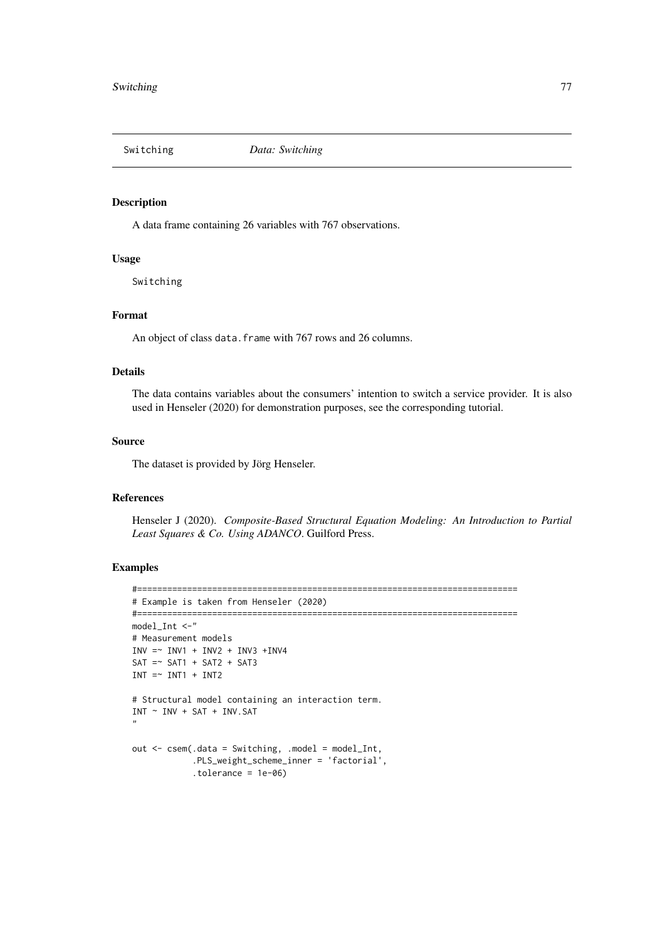<span id="page-76-0"></span>

# Description

A data frame containing 26 variables with 767 observations.

# Usage

Switching

## Format

An object of class data. frame with 767 rows and 26 columns.

# Details

The data contains variables about the consumers' intention to switch a service provider. It is also used in Henseler (2020) for demonstration purposes, see the corresponding tutorial.

#### Source

The dataset is provided by Jörg Henseler.

# References

Henseler J (2020). *Composite-Based Structural Equation Modeling: An Introduction to Partial Least Squares & Co. Using ADANCO*. Guilford Press.

```
#============================================================================
# Example is taken from Henseler (2020)
#============================================================================
model_Int <-"
# Measurement models
INV = ~ INVI + INV2 + INV3 + INV4SAT = ~ SAT1 + SAT2 + SAT3INT = ~ INT1 + INT2# Structural model containing an interaction term.
INT ~ INV + SAT + INV.SAT
"
out <- csem(.data = Switching, .model = model_Int,
            .PLS_weight_scheme_inner = 'factorial',
            .tolerance = 1e-06)
```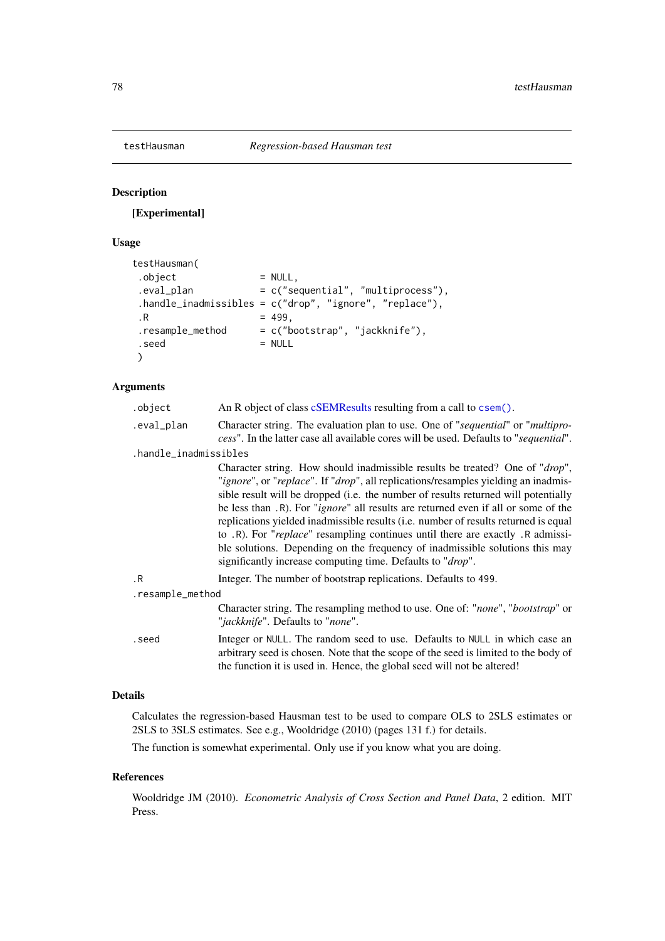<span id="page-77-0"></span>

# Description

[Experimental]

# Usage

```
testHausman(
. \text{object} = NULL,
.eval_plan = c("sequential", "multiprocess"),
 .handle_inadmissibles = c("drop", "ignore", "replace"),
\,.R = 499,.resample_method = c("bootstrap", "jackknife"),
 . \, \text{seed} = NULL
)
```
# Arguments

| .object               | An R object of class cSEMResults resulting from a call to csem().                                                                                                                                                                                                                                                                                                                                                                                                                                                                                                                                                                                                                               |
|-----------------------|-------------------------------------------------------------------------------------------------------------------------------------------------------------------------------------------------------------------------------------------------------------------------------------------------------------------------------------------------------------------------------------------------------------------------------------------------------------------------------------------------------------------------------------------------------------------------------------------------------------------------------------------------------------------------------------------------|
| .eval_plan            | Character string. The evaluation plan to use. One of "sequential" or "multipro-<br>cess". In the latter case all available cores will be used. Defaults to "sequential".                                                                                                                                                                                                                                                                                                                                                                                                                                                                                                                        |
| .handle_inadmissibles |                                                                                                                                                                                                                                                                                                                                                                                                                                                                                                                                                                                                                                                                                                 |
|                       | Character string. How should inadmissible results be treated? One of "drop",<br>"ignore", or "replace". If "drop", all replications/resamples yielding an inadmis-<br>sible result will be dropped ( <i>i.e.</i> the number of results returned will potentially<br>be less than .R). For " <i>ignore</i> " all results are returned even if all or some of the<br>replications yielded inadmissible results (i.e. number of results returned is equal<br>to .R). For "replace" resampling continues until there are exactly .R admissi-<br>ble solutions. Depending on the frequency of inadmissible solutions this may<br>significantly increase computing time. Defaults to " <i>drop</i> ". |
| $\cdot$ R             | Integer. The number of bootstrap replications. Defaults to 499.                                                                                                                                                                                                                                                                                                                                                                                                                                                                                                                                                                                                                                 |
| .resample_method      |                                                                                                                                                                                                                                                                                                                                                                                                                                                                                                                                                                                                                                                                                                 |
|                       | Character string. The resampling method to use. One of: "none", "bootstrap" or<br>" <i>jackknife</i> ". Defaults to " <i>none</i> ".                                                                                                                                                                                                                                                                                                                                                                                                                                                                                                                                                            |
| .seed                 | Integer or NULL. The random seed to use. Defaults to NULL in which case an<br>arbitrary seed is chosen. Note that the scope of the seed is limited to the body of<br>the function it is used in. Hence, the global seed will not be altered!                                                                                                                                                                                                                                                                                                                                                                                                                                                    |
|                       |                                                                                                                                                                                                                                                                                                                                                                                                                                                                                                                                                                                                                                                                                                 |

# Details

Calculates the regression-based Hausman test to be used to compare OLS to 2SLS estimates or 2SLS to 3SLS estimates. See e.g., Wooldridge (2010) (pages 131 f.) for details.

The function is somewhat experimental. Only use if you know what you are doing.

# References

Wooldridge JM (2010). *Econometric Analysis of Cross Section and Panel Data*, 2 edition. MIT Press.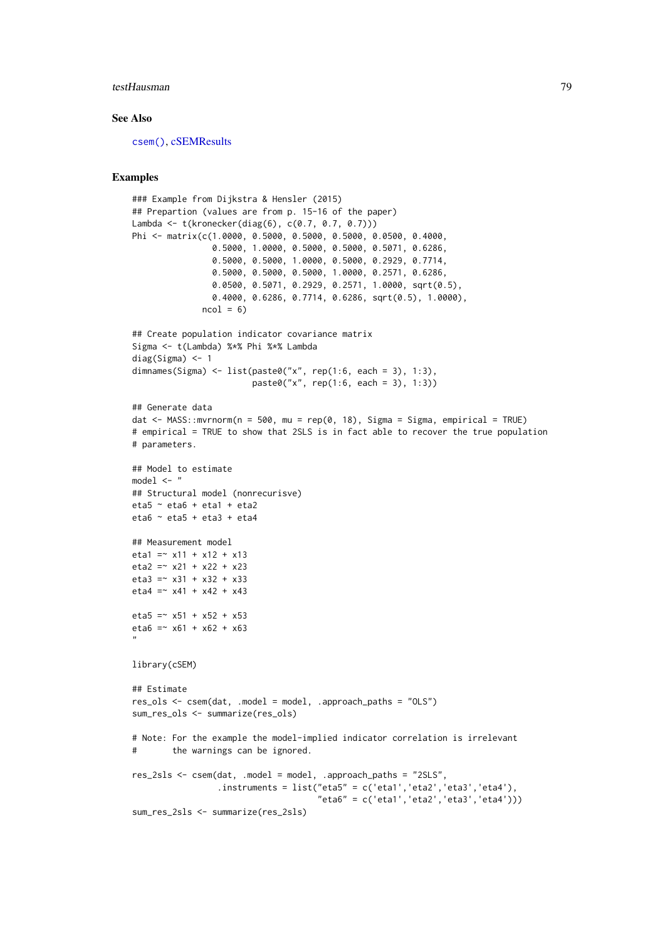#### testHausman 79

#### See Also

[csem\(\)](#page-24-0), [cSEMResults](#page-0-0)

```
### Example from Dijkstra & Hensler (2015)
## Prepartion (values are from p. 15-16 of the paper)
Lambda <- t(kronecker(diag(6), c(0.7, 0.7, 0.7)))
Phi <- matrix(c(1.0000, 0.5000, 0.5000, 0.5000, 0.0500, 0.4000,
                0.5000, 1.0000, 0.5000, 0.5000, 0.5071, 0.6286,
                0.5000, 0.5000, 1.0000, 0.5000, 0.2929, 0.7714,
                0.5000, 0.5000, 0.5000, 1.0000, 0.2571, 0.6286,
                0.0500, 0.5071, 0.2929, 0.2571, 1.0000, sqrt(0.5),
                0.4000, 0.6286, 0.7714, 0.6286, sqrt(0.5), 1.0000),
              ncol = 6)
## Create population indicator covariance matrix
Sigma <- t(Lambda) %*% Phi %*% Lambda
diag(Sigma) <- 1
dimnames(Sigma) <- list(paste0("x", rep(1:6, each = 3), 1:3),
                        paste0("x", rep(1:6, each = 3), 1:3))
## Generate data
dat <- MASS::mvrnorm(n = 500, mu = rep(0, 18), Sigma = Sigma, empirical = TRUE)
# empirical = TRUE to show that 2SLS is in fact able to recover the true population
# parameters.
## Model to estimate
model \leq - "
## Structural model (nonrecurisve)
eta5 \sim eta6 + eta1 + eta2eta6 \sim eta5 + eta3 + eta4## Measurement model
eta1 = x11 + x12 + x13eta2 = x21 + x22 + x23eta3 =~ x31 + x32 + x33
eta4 = x41 + x42 + x43eta5 = x51 + x52 + x53eta6 = x61 + x62 + x63"
library(cSEM)
## Estimate
res_ols <- csem(dat, .model = model, .approach_paths = "OLS")
sum_res_ols <- summarize(res_ols)
# Note: For the example the model-implied indicator correlation is irrelevant
# the warnings can be ignored.
res_2sls <- csem(dat, .model = model, .approach_paths = "2SLS",
                 .instruments = list("eta5" = c('eta1','eta2','eta3','eta4'),
                                     "eta6" = c('eta1', 'eta2', 'eta3', 'eta4'))sum_res_2sls <- summarize(res_2sls)
```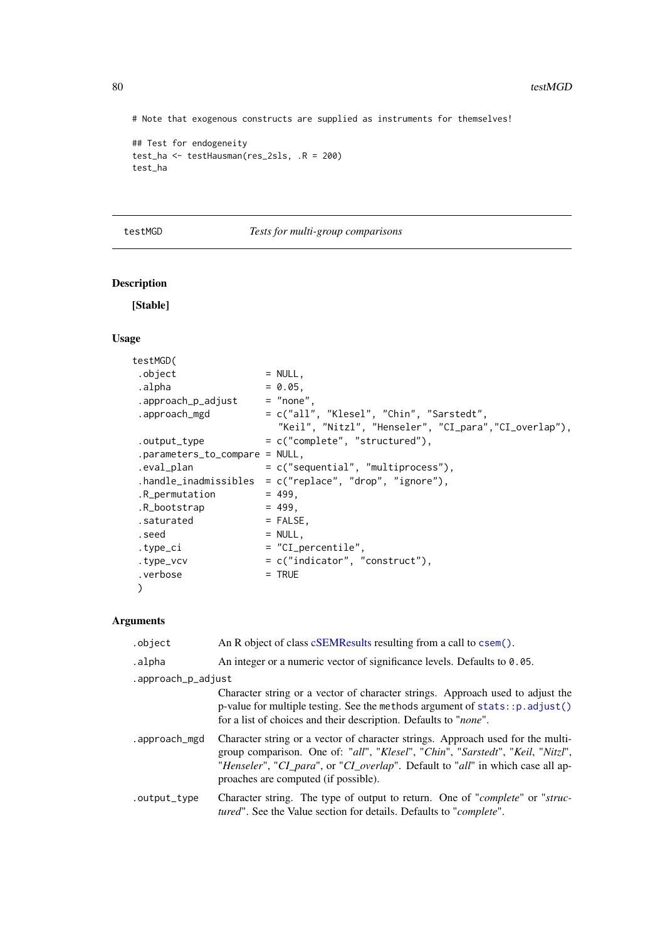# Note that exogenous constructs are supplied as instruments for themselves!

```
## Test for endogeneity
test_ha <- testHausman(res_2sls, .R = 200)
test_ha
```
<span id="page-79-0"></span>testMGD *Tests for multi-group comparisons*

# Description

[Stable]

# Usage

| testMGD(                         |                                                                                                   |
|----------------------------------|---------------------------------------------------------------------------------------------------|
| .object                          | $=$ NULL,                                                                                         |
| .alpha                           | $= 0.05$ .                                                                                        |
| .approach_p_adjust $=$ "none",   |                                                                                                   |
| .approach_mgd                    | = c("all", "Klesel", "Chin", "Sarstedt",<br>"Keil", "Nitzl", "Henseler", "CI_para","CI_overlap"), |
| .output_type                     | $= c("complete", "structured").$                                                                  |
| $.parameters_tojcompare = NULL,$ |                                                                                                   |
| .eval_plan                       | $= c("sequential", "multiprocess"),$                                                              |
|                                  | .handle_inadmissibles = $c("replace", "drop", "ignore"),$                                         |
| .R_permutation                   | $= 499.$                                                                                          |
| .R_bootstrap                     | $= 499.$                                                                                          |
| .saturated                       | $=$ FALSE,                                                                                        |
| .seed                            | $=$ NULL,                                                                                         |
| .type_ci                         | $=$ "CI_percentile",                                                                              |
| .type_vcv                        | $= c("indication", "construct").$                                                                 |
| .verbose                         | $=$ TRUE                                                                                          |
|                                  |                                                                                                   |
|                                  |                                                                                                   |

# Arguments

| .object            | An R object of class cSEMResults resulting from a call to csem().                                                                                                                                                                                                                                                               |  |  |
|--------------------|---------------------------------------------------------------------------------------------------------------------------------------------------------------------------------------------------------------------------------------------------------------------------------------------------------------------------------|--|--|
| .alpha             | An integer or a numeric vector of significance levels. Defaults to 0.05.                                                                                                                                                                                                                                                        |  |  |
| .approach_p_adjust |                                                                                                                                                                                                                                                                                                                                 |  |  |
|                    | Character string or a vector of character strings. Approach used to adjust the<br>p-value for multiple testing. See the methods argument of $stats: p.addjust()$<br>for a list of choices and their description. Defaults to "none".                                                                                            |  |  |
| .approach_mgd      | Character string or a vector of character strings. Approach used for the multi-<br>group comparison. One of: "all", "Klesel", "Chin", "Sarstedt", "Keil, "Nitzl",<br>" <i>Henseler</i> ", " <i>CI_para</i> ", or " <i>CI_overlap</i> ". Default to " <i>all</i> " in which case all ap-<br>proaches are computed (if possible). |  |  |
| .output_type       | Character string. The type of output to return. One of " <i>complete</i> " or " <i>struc</i> -<br>tured". See the Value section for details. Defaults to "complete".                                                                                                                                                            |  |  |

<span id="page-79-1"></span>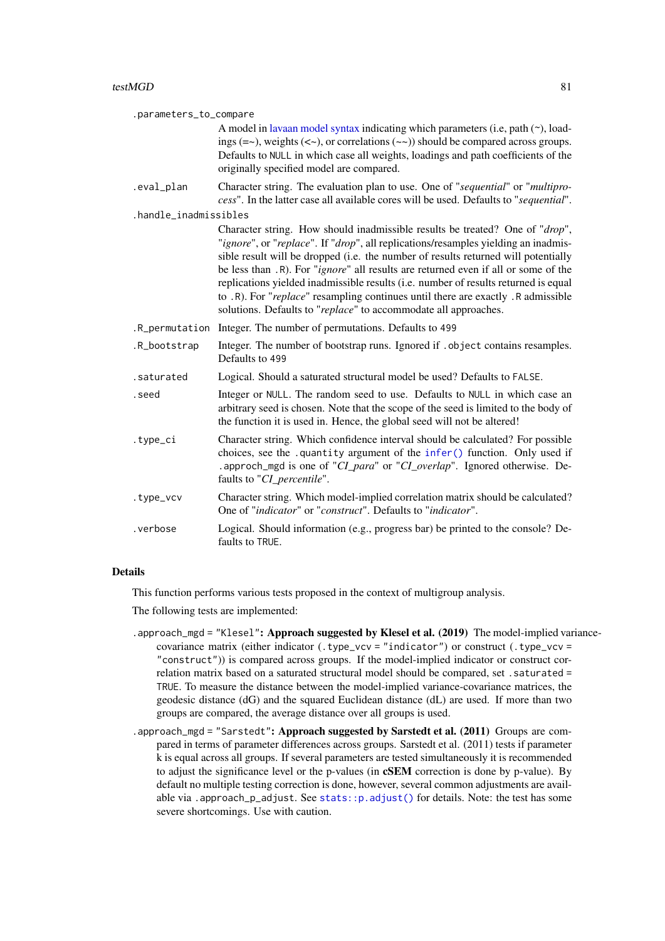<span id="page-80-0"></span>

| .parameters_to_compare |                                                                                                                                                                                                                                                                                                                                                                                                                                                                                                                                                                                                       |  |
|------------------------|-------------------------------------------------------------------------------------------------------------------------------------------------------------------------------------------------------------------------------------------------------------------------------------------------------------------------------------------------------------------------------------------------------------------------------------------------------------------------------------------------------------------------------------------------------------------------------------------------------|--|
|                        | A model in lavaan model syntax indicating which parameters (i.e, path $(\sim)$ , load-<br>ings $(=\sim)$ , weights $(<\sim)$ , or correlations $(\sim)$ should be compared across groups.<br>Defaults to NULL in which case all weights, loadings and path coefficients of the<br>originally specified model are compared.                                                                                                                                                                                                                                                                            |  |
| .eval_plan             | Character string. The evaluation plan to use. One of "sequential" or "multipro-<br>cess". In the latter case all available cores will be used. Defaults to "sequential".                                                                                                                                                                                                                                                                                                                                                                                                                              |  |
| .handle_inadmissibles  |                                                                                                                                                                                                                                                                                                                                                                                                                                                                                                                                                                                                       |  |
|                        | Character string. How should inadmissible results be treated? One of "drop",<br>"ignore", or "replace". If "drop", all replications/resamples yielding an inadmis-<br>sible result will be dropped (i.e. the number of results returned will potentially<br>be less than .R). For " <i>ignore</i> " all results are returned even if all or some of the<br>replications yielded inadmissible results (i.e. number of results returned is equal<br>to .R). For "replace" resampling continues until there are exactly .R admissible<br>solutions. Defaults to "replace" to accommodate all approaches. |  |
| .R_permutation         | Integer. The number of permutations. Defaults to 499                                                                                                                                                                                                                                                                                                                                                                                                                                                                                                                                                  |  |
| .R_bootstrap           | Integer. The number of bootstrap runs. Ignored if . object contains resamples.<br>Defaults to 499                                                                                                                                                                                                                                                                                                                                                                                                                                                                                                     |  |
| .saturated             | Logical. Should a saturated structural model be used? Defaults to FALSE.                                                                                                                                                                                                                                                                                                                                                                                                                                                                                                                              |  |
| .seed                  | Integer or NULL. The random seed to use. Defaults to NULL in which case an<br>arbitrary seed is chosen. Note that the scope of the seed is limited to the body of<br>the function it is used in. Hence, the global seed will not be altered!                                                                                                                                                                                                                                                                                                                                                          |  |
| .type_ci               | Character string. Which confidence interval should be calculated? For possible<br>choices, see the .quantity argument of the infer() function. Only used if<br>. approch_mgd is one of "CI_para" or "CI_overlap". Ignored otherwise. De-<br>faults to "CI_percentile".                                                                                                                                                                                                                                                                                                                                |  |
| .type_vcv              | Character string. Which model-implied correlation matrix should be calculated?<br>One of "indicator" or "construct". Defaults to "indicator".                                                                                                                                                                                                                                                                                                                                                                                                                                                         |  |
| .verbose               | Logical. Should information (e.g., progress bar) be printed to the console? De-<br>faults to TRUE.                                                                                                                                                                                                                                                                                                                                                                                                                                                                                                    |  |

## Details

This function performs various tests proposed in the context of multigroup analysis.

The following tests are implemented:

- .approach\_mgd = "Klesel": Approach suggested by Klesel et al. (2019) The model-implied variancecovariance matrix (either indicator (.type\_vcv = "indicator") or construct (.type\_vcv = "construct")) is compared across groups. If the model-implied indicator or construct correlation matrix based on a saturated structural model should be compared, set . saturated = TRUE. To measure the distance between the model-implied variance-covariance matrices, the geodesic distance (dG) and the squared Euclidean distance (dL) are used. If more than two groups are compared, the average distance over all groups is used.
- .approach\_mgd = "Sarstedt": Approach suggested by Sarstedt et al. (2011) Groups are compared in terms of parameter differences across groups. Sarstedt et al. (2011) tests if parameter k is equal across all groups. If several parameters are tested simultaneously it is recommended to adjust the significance level or the p-values (in cSEM correction is done by p-value). By default no multiple testing correction is done, however, several common adjustments are available via .approach\_p\_adjust. See [stats::p.adjust\(\)](#page-0-0) for details. Note: the test has some severe shortcomings. Use with caution.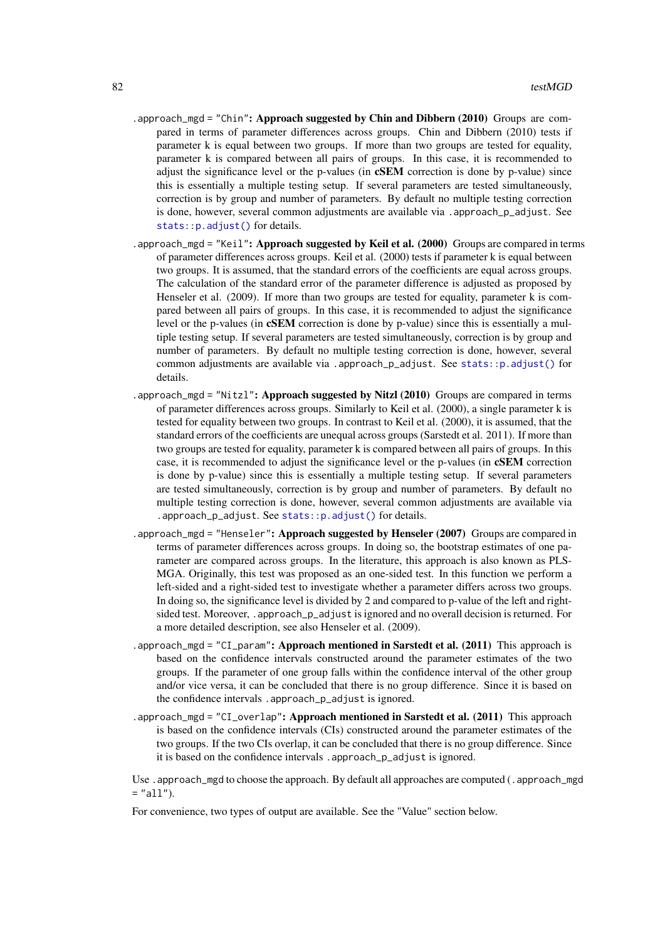- <span id="page-81-0"></span>. approach\_mgd = "Chin": Approach suggested by Chin and Dibbern  $(2010)$  Groups are compared in terms of parameter differences across groups. Chin and Dibbern (2010) tests if parameter k is equal between two groups. If more than two groups are tested for equality, parameter k is compared between all pairs of groups. In this case, it is recommended to adjust the significance level or the p-values (in cSEM correction is done by p-value) since this is essentially a multiple testing setup. If several parameters are tested simultaneously, correction is by group and number of parameters. By default no multiple testing correction is done, however, several common adjustments are available via . approach\_p\_adjust. See [stats::p.adjust\(\)](#page-0-0) for details.
- .approach\_mgd = "Keil": Approach suggested by Keil et al. (2000) Groups are compared in terms of parameter differences across groups. Keil et al. (2000) tests if parameter k is equal between two groups. It is assumed, that the standard errors of the coefficients are equal across groups. The calculation of the standard error of the parameter difference is adjusted as proposed by Henseler et al. (2009). If more than two groups are tested for equality, parameter k is compared between all pairs of groups. In this case, it is recommended to adjust the significance level or the p-values (in cSEM correction is done by p-value) since this is essentially a multiple testing setup. If several parameters are tested simultaneously, correction is by group and number of parameters. By default no multiple testing correction is done, however, several common adjustments are available via .approach\_p\_adjust. See [stats::p.adjust\(\)](#page-0-0) for details.
- . approach\_mgd = "Nitzl": Approach suggested by Nitzl  $(2010)$  Groups are compared in terms of parameter differences across groups. Similarly to Keil et al. (2000), a single parameter k is tested for equality between two groups. In contrast to Keil et al. (2000), it is assumed, that the standard errors of the coefficients are unequal across groups (Sarstedt et al. 2011). If more than two groups are tested for equality, parameter k is compared between all pairs of groups. In this case, it is recommended to adjust the significance level or the p-values (in cSEM correction is done by p-value) since this is essentially a multiple testing setup. If several parameters are tested simultaneously, correction is by group and number of parameters. By default no multiple testing correction is done, however, several common adjustments are available via .approach\_p\_adjust. See [stats::p.adjust\(\)](#page-0-0) for details.
- .approach\_mgd = "Henseler": Approach suggested by Henseler (2007) Groups are compared in terms of parameter differences across groups. In doing so, the bootstrap estimates of one parameter are compared across groups. In the literature, this approach is also known as PLS-MGA. Originally, this test was proposed as an one-sided test. In this function we perform a left-sided and a right-sided test to investigate whether a parameter differs across two groups. In doing so, the significance level is divided by 2 and compared to p-value of the left and rightsided test. Moreover, .approach\_p\_adjust is ignored and no overall decision is returned. For a more detailed description, see also Henseler et al. (2009).
- .approach\_mgd = "CI\_param": Approach mentioned in Sarstedt et al. (2011) This approach is based on the confidence intervals constructed around the parameter estimates of the two groups. If the parameter of one group falls within the confidence interval of the other group and/or vice versa, it can be concluded that there is no group difference. Since it is based on the confidence intervals .approach\_p\_adjust is ignored.
- .approach\_mgd = "CI\_overlap": Approach mentioned in Sarstedt et al.  $(2011)$  This approach is based on the confidence intervals (CIs) constructed around the parameter estimates of the two groups. If the two CIs overlap, it can be concluded that there is no group difference. Since it is based on the confidence intervals .approach\_p\_adjust is ignored.

Use . approach\_mgd to choose the approach. By default all approaches are computed (. approach\_mgd  $=$  "all").

For convenience, two types of output are available. See the "Value" section below.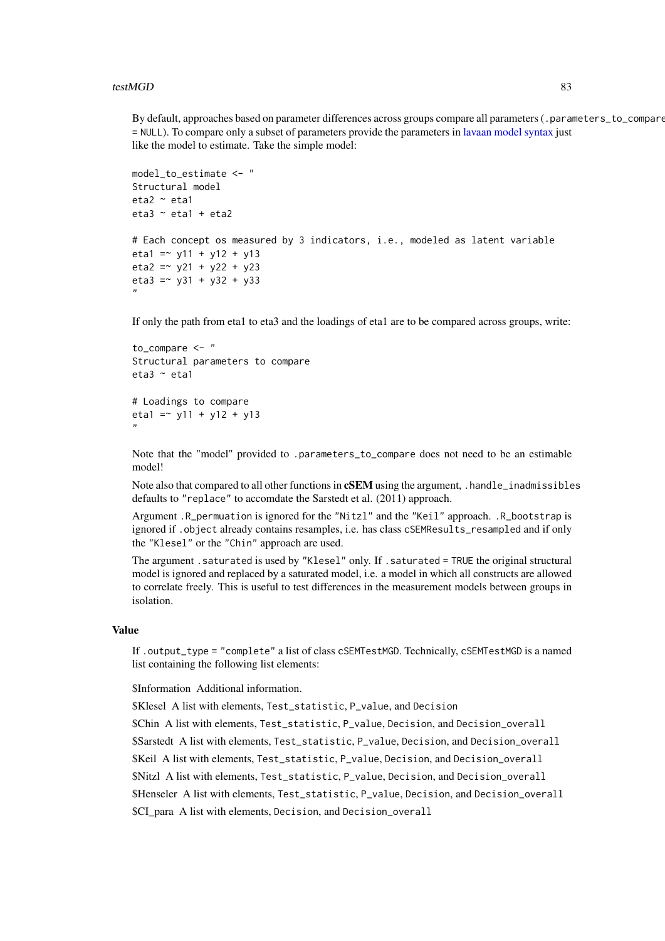<span id="page-82-0"></span>By default, approaches based on parameter differences across groups compare all parameters (.parameters\_to\_compare = NULL). To compare only a subset of parameters provide the parameters in [lavaan model syntax](#page-0-0) just like the model to estimate. Take the simple model:

```
model to estimate <- "
Structural model
eta2 ~ eta1
eta3 ~ eta1 + eta2
# Each concept os measured by 3 indicators, i.e., modeled as latent variable
eta1 = \times y11 + y12 + y13
eta2 = \times y21 + y22 + y23
eta3 = \times y31 + y32 + y33
"
```
If only the path from eta1 to eta3 and the loadings of eta1 are to be compared across groups, write:

```
to compare <- "
Structural parameters to compare
eta3 \sim eta1
# Loadings to compare
```

```
eta1 = \times y11 + y12 + y13
"
```
Note that the "model" provided to .parameters\_to\_compare does not need to be an estimable model!

Note also that compared to all other functions in **CSEM** using the argument, .handle\_inadmissibles defaults to "replace" to accomdate the Sarstedt et al. (2011) approach.

Argument .R\_permuation is ignored for the "Nitzl" and the "Keil" approach. .R\_bootstrap is ignored if .object already contains resamples, i.e. has class cSEMResults\_resampled and if only the "Klesel" or the "Chin" approach are used.

The argument .saturated is used by "Klesel" only. If .saturated = TRUE the original structural model is ignored and replaced by a saturated model, i.e. a model in which all constructs are allowed to correlate freely. This is useful to test differences in the measurement models between groups in isolation.

#### Value

If .output\_type = "complete" a list of class cSEMTestMGD. Technically, cSEMTestMGD is a named list containing the following list elements:

\$Information Additional information.

\$Klesel A list with elements, Test\_statistic, P\_value, and Decision

\$Chin A list with elements, Test\_statistic, P\_value, Decision, and Decision\_overall

\$Sarstedt A list with elements, Test\_statistic, P\_value, Decision, and Decision\_overall

\$Keil A list with elements, Test\_statistic, P\_value, Decision, and Decision\_overall

\$Nitzl A list with elements, Test\_statistic, P\_value, Decision, and Decision\_overall

\$Henseler A list with elements, Test\_statistic, P\_value, Decision, and Decision\_overall

\$CI\_para A list with elements, Decision, and Decision\_overall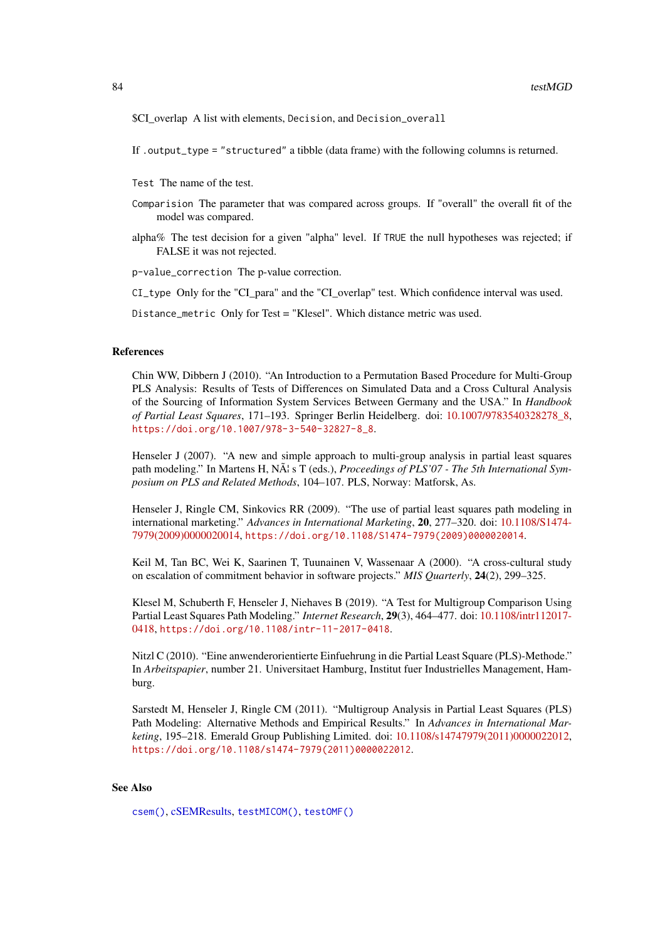<span id="page-83-0"></span>\$CI overlap A list with elements, Decision, and Decision\_overall

If .output\_type = "structured" a tibble (data frame) with the following columns is returned.

Test The name of the test.

- Comparision The parameter that was compared across groups. If "overall" the overall fit of the model was compared.
- alpha% The test decision for a given "alpha" level. If TRUE the null hypotheses was rejected; if FALSE it was not rejected.

p-value\_correction The p-value correction.

CI\_type Only for the "CI\_para" and the "CI\_overlap" test. Which confidence interval was used.

Distance\_metric Only for Test = "Klesel". Which distance metric was used.

# References

Chin WW, Dibbern J (2010). "An Introduction to a Permutation Based Procedure for Multi-Group PLS Analysis: Results of Tests of Differences on Simulated Data and a Cross Cultural Analysis of the Sourcing of Information System Services Between Germany and the USA." In *Handbook of Partial Least Squares*, 171–193. Springer Berlin Heidelberg. doi: [10.1007/9783540328278\\_8,](https://doi.org/10.1007/978-3-540-32827-8_8) [https://doi.org/10.1007/978-3-540-32827-8\\_8](https://doi.org/10.1007/978-3-540-32827-8_8).

Henseler J (2007). "A new and simple approach to multi-group analysis in partial least squares path modeling." In Martens H, N $\tilde{A}$  s T (eds.), *Proceedings of PLS'07 - The 5th International Symposium on PLS and Related Methods*, 104–107. PLS, Norway: Matforsk, As.

Henseler J, Ringle CM, Sinkovics RR (2009). "The use of partial least squares path modeling in international marketing." *Advances in International Marketing*, 20, 277–320. doi: [10.1108/S1474-](https://doi.org/10.1108/S1474-7979(2009)0000020014) [7979\(2009\)0000020014,](https://doi.org/10.1108/S1474-7979(2009)0000020014) [https://doi.org/10.1108/S1474-7979\(2009\)0000020014](https://doi.org/10.1108/S1474-7979(2009)0000020014).

Keil M, Tan BC, Wei K, Saarinen T, Tuunainen V, Wassenaar A (2000). "A cross-cultural study on escalation of commitment behavior in software projects." *MIS Quarterly*, 24(2), 299–325.

Klesel M, Schuberth F, Henseler J, Niehaves B (2019). "A Test for Multigroup Comparison Using Partial Least Squares Path Modeling." *Internet Research*, 29(3), 464–477. doi: [10.1108/intr112017-](https://doi.org/10.1108/intr-11-2017-0418) [0418,](https://doi.org/10.1108/intr-11-2017-0418) <https://doi.org/10.1108/intr-11-2017-0418>.

Nitzl C (2010). "Eine anwenderorientierte Einfuehrung in die Partial Least Square (PLS)-Methode." In *Arbeitspapier*, number 21. Universitaet Hamburg, Institut fuer Industrielles Management, Hamburg.

Sarstedt M, Henseler J, Ringle CM (2011). "Multigroup Analysis in Partial Least Squares (PLS) Path Modeling: Alternative Methods and Empirical Results." In *Advances in International Marketing*, 195–218. Emerald Group Publishing Limited. doi: [10.1108/s14747979\(2011\)0000022012,](https://doi.org/10.1108/s1474-7979(2011)0000022012) [https://doi.org/10.1108/s1474-7979\(2011\)0000022012](https://doi.org/10.1108/s1474-7979(2011)0000022012).

# See Also

[csem\(\)](#page-24-0), [cSEMResults,](#page-0-0) [testMICOM\(\)](#page-85-0), [testOMF\(\)](#page-87-0)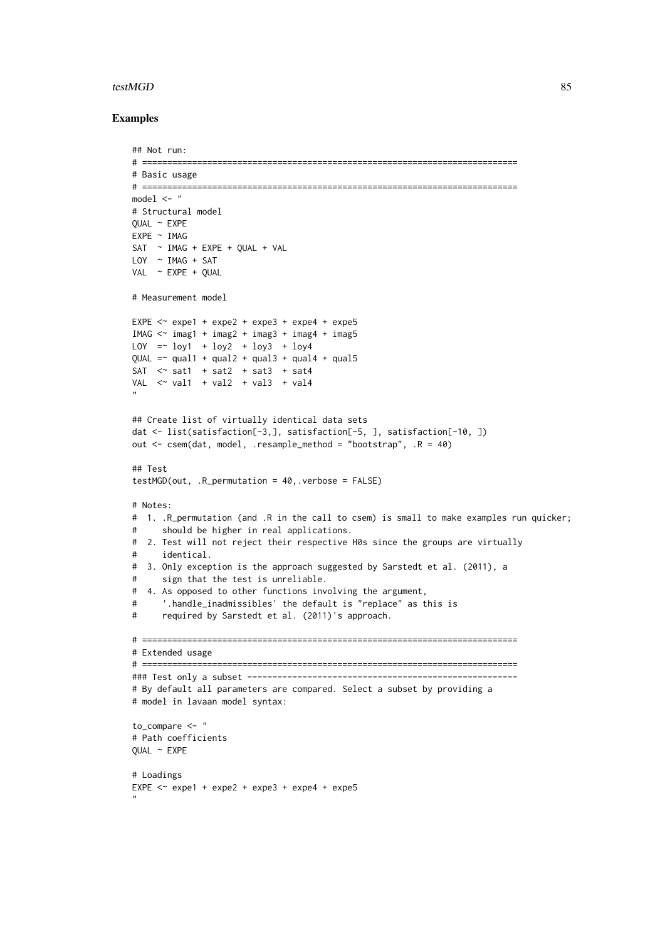#### testMGD 85

```
## Not run:
# ===========================================================================
# Basic usage
# ===========================================================================
model < - "
# Structural model
QUAL ~ EXPE
EXPE ~ IMAG
SAT ~ IMAG + EXPE + QUAL + VAL
LOY ~ IMAG + SAT
VAL \sim EXPE + QUAL
# Measurement model
EXPE \le expe1 + expe2 + expe3 + expe4 + expe5
IMAG \leq imag1 + imag2 + imag3 + imag4 + imag5
LOY = V log1 + log2 + log3 + log4QUAL = \sim qual1 + qual2 + qual3 + qual4 + qual5
SAT \leq sat1 + sat2 + sat3 + sat4
VAL \le val1 + val2 + val3 + val4
"
## Create list of virtually identical data sets
dat <- list(satisfaction[-3,], satisfaction[-5, ], satisfaction[-10, ])
out <- csem(dat, model, .resample_method = "bootstrap", .R = 40)
## Test
testMGD(out, .R_permutation = 40,.verbose = FALSE)
# Notes:
# 1. .R_permutation (and .R in the call to csem) is small to make examples run quicker;
# should be higher in real applications.
# 2. Test will not reject their respective H0s since the groups are virtually
# identical.
# 3. Only exception is the approach suggested by Sarstedt et al. (2011), a
# sign that the test is unreliable.
# 4. As opposed to other functions involving the argument,
# '.handle_inadmissibles' the default is "replace" as this is
# required by Sarstedt et al. (2011)'s approach.
# ===========================================================================
# Extended usage
# ===========================================================================
### Test only a subset ------------------------------------------------------
# By default all parameters are compared. Select a subset by providing a
# model in lavaan model syntax:
to_compare <- "
# Path coefficients
QUAL ~ EXPE
# Loadings
EXPE \le expe1 + expe2 + expe3 + expe4 + expe5
"
```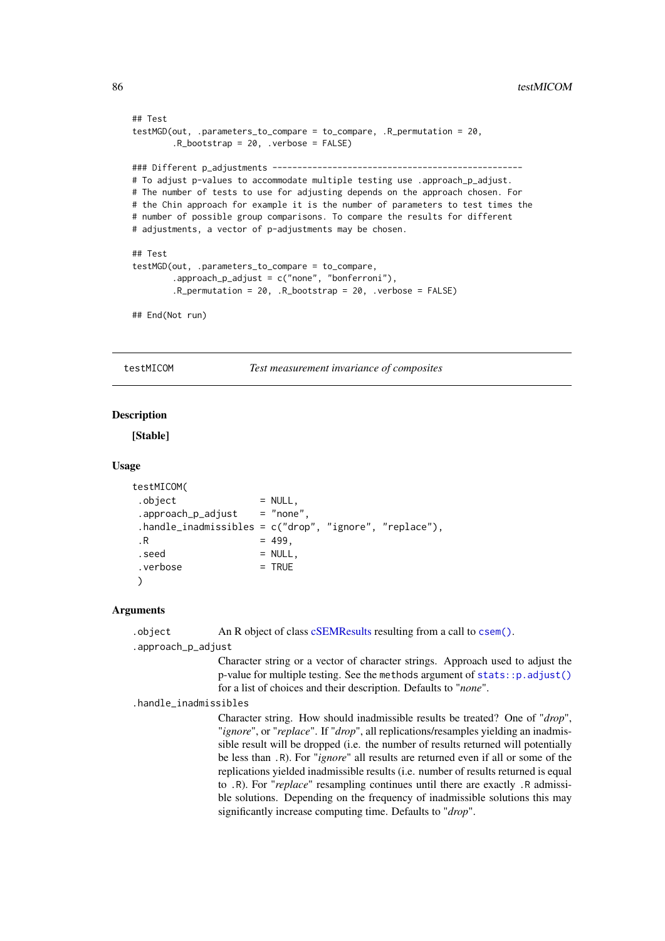```
## Test
testMGD(out, .parameters_to_compare = to_compare, .R_permutation = 20,
        .R_bootstrap = 20, .verbose = FALSE)
### Different p_adjustments --------------------------------------------------
# To adjust p-values to accommodate multiple testing use .approach_p_adjust.
# The number of tests to use for adjusting depends on the approach chosen. For
# the Chin approach for example it is the number of parameters to test times the
# number of possible group comparisons. To compare the results for different
# adjustments, a vector of p-adjustments may be chosen.
## Test
testMGD(out, .parameters_to_compare = to_compare,
        .approach_p_adjust = c("none", "bonferroni"),
        R_permutation = 20, R_pbootstrap = 20, .verbose = FALSE)
```
## End(Not run)

<span id="page-85-0"></span>testMICOM *Test measurement invariance of composites*

## Description

[Stable]

## Usage

```
testMICOM(
. \text{object} = NULL,
approdcch_p_adjust = "none".handle_inadmissibles = c("drop", "ignore", "replace"),
\,.R = 499.seed = NULL,
\cdot verbose = TRUE
\lambda
```
#### Arguments

.object An R object of class [cSEMResults](#page-0-0) resulting from a call to [csem\(\)](#page-24-0).

.approach\_p\_adjust

Character string or a vector of character strings. Approach used to adjust the p-value for multiple testing. See the methods argument of [stats::p.adjust\(\)](#page-0-0) for a list of choices and their description. Defaults to "*none*".

.handle\_inadmissibles

Character string. How should inadmissible results be treated? One of "*drop*", "*ignore*", or "*replace*". If "*drop*", all replications/resamples yielding an inadmissible result will be dropped (i.e. the number of results returned will potentially be less than .R). For "*ignore*" all results are returned even if all or some of the replications yielded inadmissible results (i.e. number of results returned is equal to .R). For "*replace*" resampling continues until there are exactly .R admissible solutions. Depending on the frequency of inadmissible solutions this may significantly increase computing time. Defaults to "*drop*".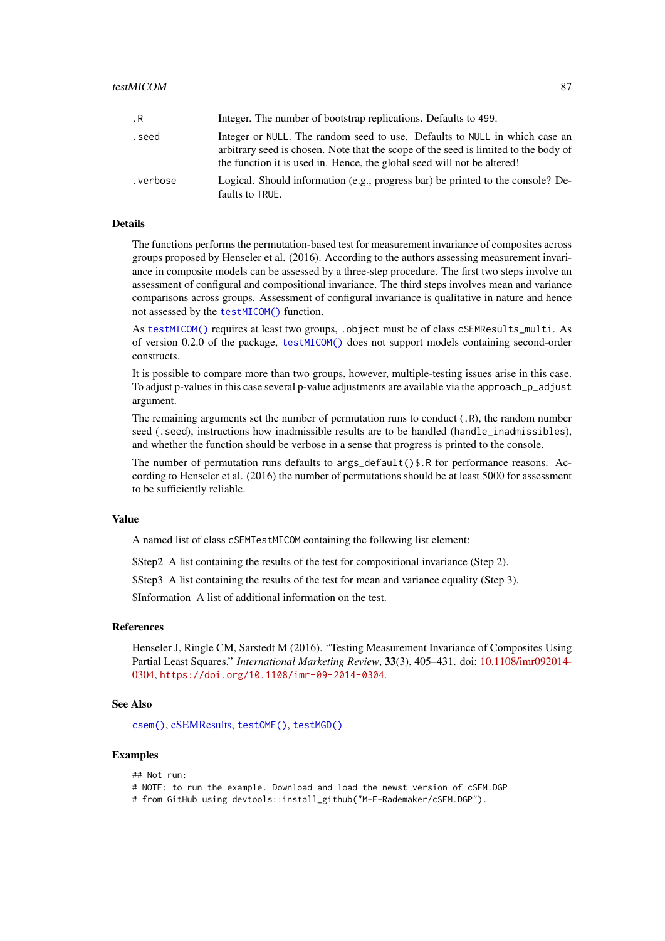#### <span id="page-86-0"></span>testMICOM 87

| .R       | Integer. The number of bootstrap replications. Defaults to 499.                                                                                                                                                                              |
|----------|----------------------------------------------------------------------------------------------------------------------------------------------------------------------------------------------------------------------------------------------|
| .seed    | Integer or NULL. The random seed to use. Defaults to NULL in which case an<br>arbitrary seed is chosen. Note that the scope of the seed is limited to the body of<br>the function it is used in. Hence, the global seed will not be altered! |
| .verbose | Logical. Should information (e.g., progress bar) be printed to the console? De-<br>faults to TRUE.                                                                                                                                           |

#### Details

The functions performs the permutation-based test for measurement invariance of composites across groups proposed by Henseler et al. (2016). According to the authors assessing measurement invariance in composite models can be assessed by a three-step procedure. The first two steps involve an assessment of configural and compositional invariance. The third steps involves mean and variance comparisons across groups. Assessment of configural invariance is qualitative in nature and hence not assessed by the [testMICOM\(\)](#page-85-0) function.

As [testMICOM\(\)](#page-85-0) requires at least two groups, .object must be of class cSEMResults\_multi. As of version 0.2.0 of the package, [testMICOM\(\)](#page-85-0) does not support models containing second-order constructs.

It is possible to compare more than two groups, however, multiple-testing issues arise in this case. To adjust p-values in this case several p-value adjustments are available via the approach\_p\_adjust argument.

The remaining arguments set the number of permutation runs to conduct (.R), the random number seed (.seed), instructions how inadmissible results are to be handled (handle\_inadmissibles), and whether the function should be verbose in a sense that progress is printed to the console.

The number of permutation runs defaults to  $args\_default()$ \$.R for performance reasons. According to Henseler et al. (2016) the number of permutations should be at least 5000 for assessment to be sufficiently reliable.

#### Value

A named list of class cSEMTestMICOM containing the following list element:

\$Step2 A list containing the results of the test for compositional invariance (Step 2).

\$Step3 A list containing the results of the test for mean and variance equality (Step 3).

\$Information A list of additional information on the test.

#### References

Henseler J, Ringle CM, Sarstedt M (2016). "Testing Measurement Invariance of Composites Using Partial Least Squares." *International Marketing Review*, 33(3), 405–431. doi: [10.1108/imr092014-](https://doi.org/10.1108/imr-09-2014-0304) [0304,](https://doi.org/10.1108/imr-09-2014-0304) <https://doi.org/10.1108/imr-09-2014-0304>.

# See Also

[csem\(\)](#page-24-0), [cSEMResults,](#page-0-0) [testOMF\(\)](#page-87-0), [testMGD\(\)](#page-79-0)

## Examples

## Not run:

# NOTE: to run the example. Download and load the newst version of cSEM.DGP # from GitHub using devtools::install\_github("M-E-Rademaker/cSEM.DGP").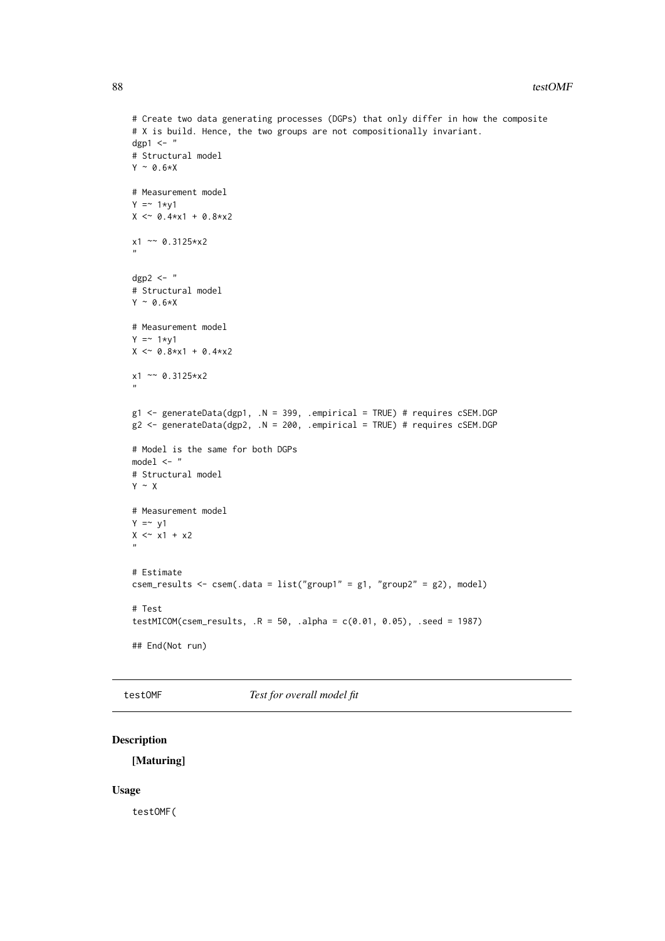```
# Create two data generating processes (DGPs) that only differ in how the composite
# X is build. Hence, the two groups are not compositionally invariant.
dgp1 \leq - "
# Structural model
Y \sim \emptyset.6*X
# Measurement model
Y = 1*y1X \leq 0.4 \times x1 + 0.8 \times x2x1 ~~ 0.3125*x2
"
dgp2 \leftarrow "
# Structural model
Y ~ 0.6*X# Measurement model
Y = 1*y1X \leq 0.8 \times x1 + 0.4 \times x2x1 ~~ 0.3125*x2
"
g1 <- generateData(dgp1, .N = 399, .empirical = TRUE) # requires cSEM.DGP
g2 <- generateData(dgp2, .N = 200, .empirical = TRUE) # requires cSEM.DGP
# Model is the same for both DGPs
model \leq - "
# Structural model
Y \sim X# Measurement model
Y = \sim y1X \le x1 + x2"
# Estimate
csem_results <- csem(.data = list("group1" = g1, "group2" = g2), model)
# Test
testMICOM(csem_results, .R = 50, .alpha = c(0.01, 0.05), .seed = 1987)
## End(Not run)
```
<span id="page-87-0"></span>testOMF *Test for overall model fit*

# Description

[Maturing]

#### Usage

testOMF(

<span id="page-87-1"></span>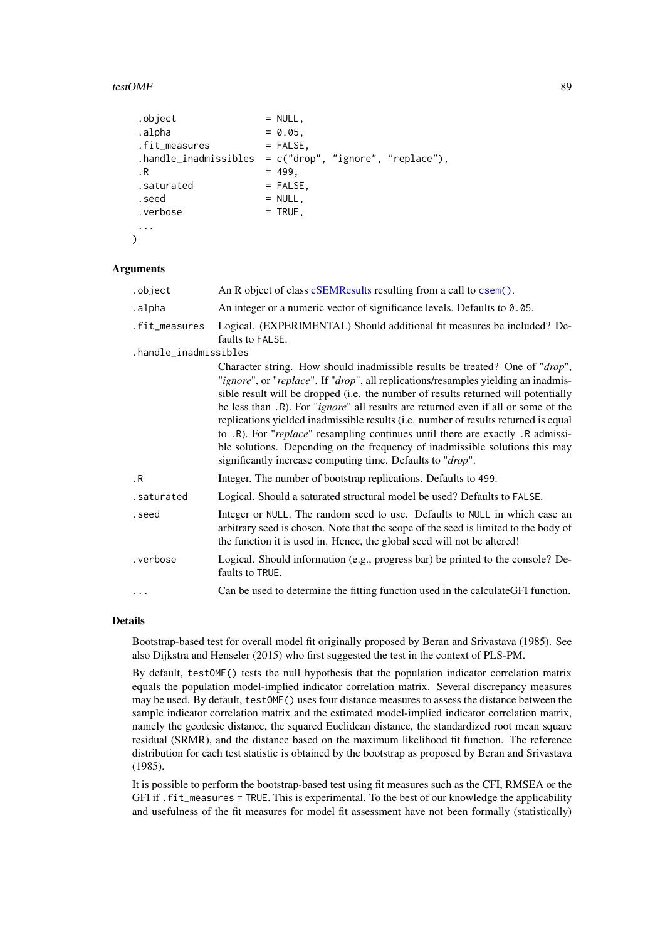#### <span id="page-88-0"></span>testOMF 89

```
. \text{object} = NULL,
\Boxalpha = 0.05,
.fit_measures = FALSE,
.handle_inadmissibles = c("drop", "ignore", "replace"),
\,.R = 499,.saturated = FALSE,
. \, \text{seed} = NULL,
\cdot verbose = TRUE,
...
\lambda
```
#### Arguments

| .object               | An R object of class cSEMResults resulting from a call to csem().                                                                                                                                                                                                                                                                                                                                                                                                                                                                                                                                                                                                              |  |  |  |
|-----------------------|--------------------------------------------------------------------------------------------------------------------------------------------------------------------------------------------------------------------------------------------------------------------------------------------------------------------------------------------------------------------------------------------------------------------------------------------------------------------------------------------------------------------------------------------------------------------------------------------------------------------------------------------------------------------------------|--|--|--|
| .alpha                | An integer or a numeric vector of significance levels. Defaults to 0.05.                                                                                                                                                                                                                                                                                                                                                                                                                                                                                                                                                                                                       |  |  |  |
| .fit_measures         | Logical. (EXPERIMENTAL) Should additional fit measures be included? De-<br>faults to FALSE.                                                                                                                                                                                                                                                                                                                                                                                                                                                                                                                                                                                    |  |  |  |
| .handle_inadmissibles |                                                                                                                                                                                                                                                                                                                                                                                                                                                                                                                                                                                                                                                                                |  |  |  |
|                       | Character string. How should inadmissible results be treated? One of "drop",<br>"ignore", or "replace". If "drop", all replications/resamples yielding an inadmis-<br>sible result will be dropped (i.e. the number of results returned will potentially<br>be less than .R). For " <i>ignore</i> " all results are returned even if all or some of the<br>replications yielded inadmissible results (i.e. number of results returned is equal<br>to .R). For "replace" resampling continues until there are exactly .R admissi-<br>ble solutions. Depending on the frequency of inadmissible solutions this may<br>significantly increase computing time. Defaults to "drop". |  |  |  |
| .R                    | Integer. The number of bootstrap replications. Defaults to 499.                                                                                                                                                                                                                                                                                                                                                                                                                                                                                                                                                                                                                |  |  |  |
| .saturated            | Logical. Should a saturated structural model be used? Defaults to FALSE.                                                                                                                                                                                                                                                                                                                                                                                                                                                                                                                                                                                                       |  |  |  |
| .seed                 | Integer or NULL. The random seed to use. Defaults to NULL in which case an<br>arbitrary seed is chosen. Note that the scope of the seed is limited to the body of<br>the function it is used in. Hence, the global seed will not be altered!                                                                                                                                                                                                                                                                                                                                                                                                                                   |  |  |  |
| .verbose              | Logical. Should information (e.g., progress bar) be printed to the console? De-<br>faults to TRUE.                                                                                                                                                                                                                                                                                                                                                                                                                                                                                                                                                                             |  |  |  |
|                       | Can be used to determine the fitting function used in the calculateGFI function.                                                                                                                                                                                                                                                                                                                                                                                                                                                                                                                                                                                               |  |  |  |

#### Details

Bootstrap-based test for overall model fit originally proposed by Beran and Srivastava (1985). See also Dijkstra and Henseler (2015) who first suggested the test in the context of PLS-PM.

By default, testOMF() tests the null hypothesis that the population indicator correlation matrix equals the population model-implied indicator correlation matrix. Several discrepancy measures may be used. By default, testOMF() uses four distance measures to assess the distance between the sample indicator correlation matrix and the estimated model-implied indicator correlation matrix, namely the geodesic distance, the squared Euclidean distance, the standardized root mean square residual (SRMR), and the distance based on the maximum likelihood fit function. The reference distribution for each test statistic is obtained by the bootstrap as proposed by Beran and Srivastava (1985).

It is possible to perform the bootstrap-based test using fit measures such as the CFI, RMSEA or the GFI if .fit\_measures = TRUE. This is experimental. To the best of our knowledge the applicability and usefulness of the fit measures for model fit assessment have not been formally (statistically)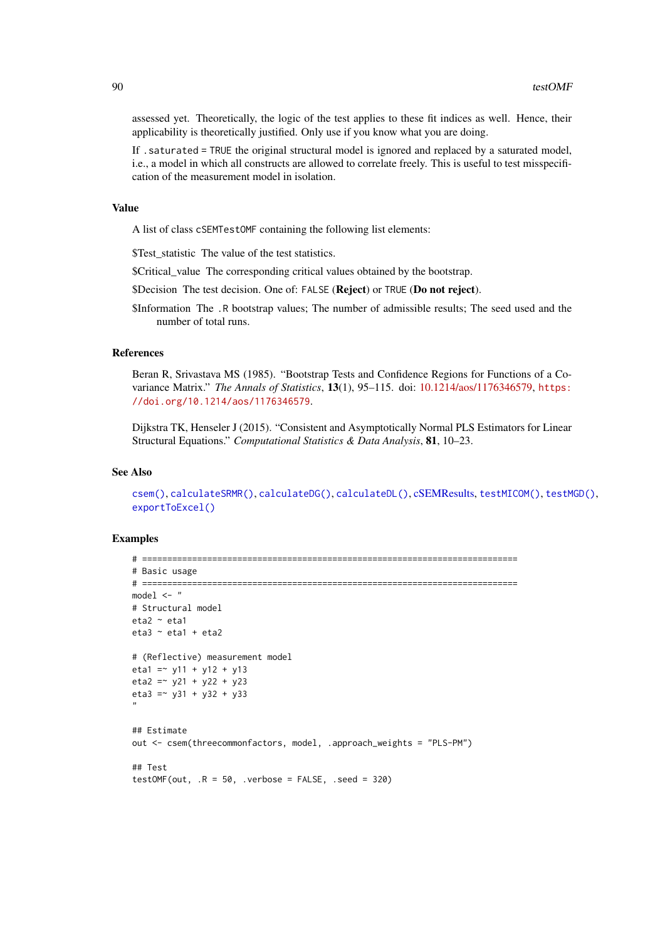<span id="page-89-0"></span>assessed yet. Theoretically, the logic of the test applies to these fit indices as well. Hence, their applicability is theoretically justified. Only use if you know what you are doing.

If .saturated = TRUE the original structural model is ignored and replaced by a saturated model, i.e., a model in which all constructs are allowed to correlate freely. This is useful to test misspecification of the measurement model in isolation.

## Value

A list of class cSEMTestOMF containing the following list elements:

\$Test\_statistic The value of the test statistics.

\$Critical\_value The corresponding critical values obtained by the bootstrap.

\$Decision The test decision. One of: FALSE (Reject) or TRUE (Do not reject).

\$Information The .R bootstrap values; The number of admissible results; The seed used and the number of total runs.

# References

Beran R, Srivastava MS (1985). "Bootstrap Tests and Confidence Regions for Functions of a Covariance Matrix." *The Annals of Statistics*, 13(1), 95–115. doi: [10.1214/aos/1176346579,](https://doi.org/10.1214/aos/1176346579) [https:](https://doi.org/10.1214/aos/1176346579) [//doi.org/10.1214/aos/1176346579](https://doi.org/10.1214/aos/1176346579).

Dijkstra TK, Henseler J (2015). "Consistent and Asymptotically Normal PLS Estimators for Linear Structural Equations." *Computational Statistics & Data Analysis*, 81, 10–23.

#### See Also

[csem\(\)](#page-24-0), [calculateSRMR\(\)](#page-42-0), [calculateDG\(\)](#page-36-0), [calculateDL\(\)](#page-36-0), [cSEMResults,](#page-0-0) [testMICOM\(\)](#page-85-0), [testMGD\(\)](#page-79-0), [exportToExcel\(\)](#page-40-0)

```
# ===========================================================================
# Basic usage
# ===========================================================================
model \leftarrow "
# Structural model
eta2 ~ eta1
eta3 \sim eta1 + eta2
# (Reflective) measurement model
eta1 = \times y11 + y12 + y13
eta2 = -y21 + y22 + y23eta3 = \times y31 + y32 + y33
"
## Estimate
out <- csem(threecommonfactors, model, .approach_weights = "PLS-PM")
## Test
testOMF(out, .R = 50, verbose = FALSE, .seed = 320)
```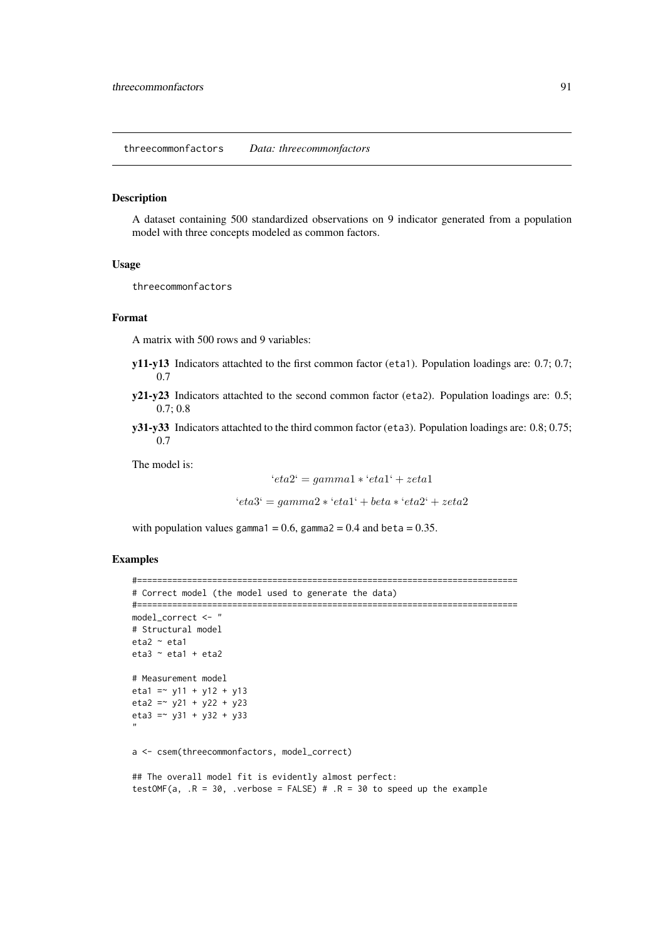<span id="page-90-0"></span>threecommonfactors *Data: threecommonfactors*

#### Description

A dataset containing 500 standardized observations on 9 indicator generated from a population model with three concepts modeled as common factors.

# Usage

threecommonfactors

## Format

A matrix with 500 rows and 9 variables:

- y11-y13 Indicators attachted to the first common factor (eta1). Population loadings are: 0.7; 0.7; 0.7
- y21-y23 Indicators attachted to the second common factor (eta2). Population loadings are: 0.5; 0.7; 0.8
- y31-y33 Indicators attachted to the third common factor (eta3). Population loadings are: 0.8; 0.75; 0.7

The model is:

$$
`eta2` = gamma1 * `eta1` + zeta1
$$

'eta3' = gamma2 ∗ 'eta1' + beta ∗ 'eta2' + zeta2

with population values gamma1 =  $0.6$ , gamma2 =  $0.4$  and beta =  $0.35$ .

```
#============================================================================
# Correct model (the model used to generate the data)
#============================================================================
model_correct <- "
# Structural model
eta2 ~ eta1
eta3 \sim eta1 + eta2
# Measurement model
eta1 = \times y11 + y12 + y13
eta2 = \times y21 + y22 + y23
eta3 = -y31 + y32 + y33"
a <- csem(threecommonfactors, model_correct)
## The overall model fit is evidently almost perfect:
testOMF(a, .R = 30, verbose = FALSE) # .R = 30 to speed up the example
```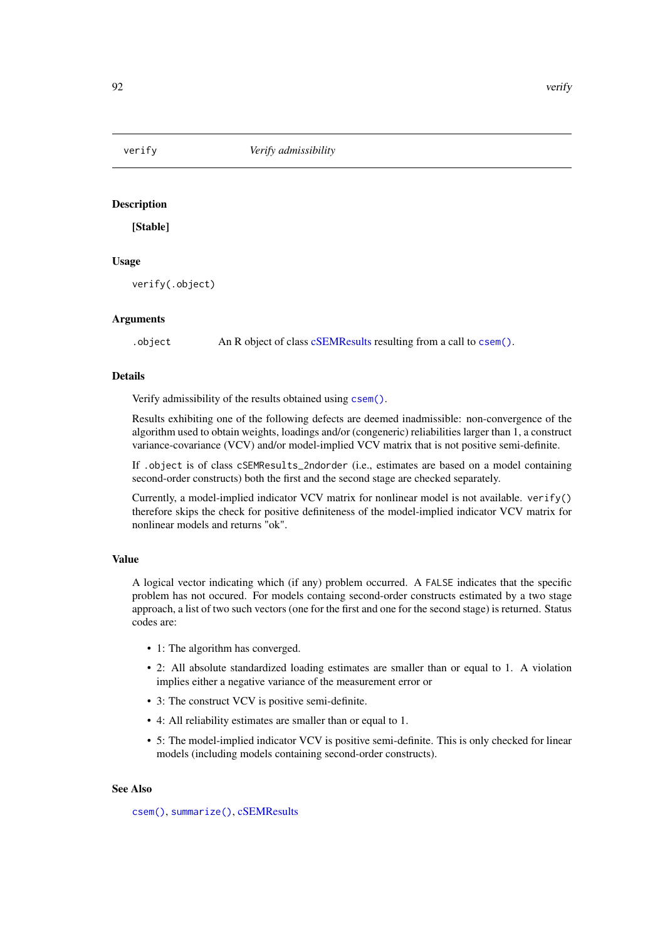<span id="page-91-0"></span>

# Description

[Stable]

# Usage

verify(.object)

#### Arguments

.object An R object of class [cSEMResults](#page-0-0) resulting from a call to [csem\(\)](#page-24-0).

# Details

Verify admissibility of the results obtained using [csem\(\)](#page-24-0).

Results exhibiting one of the following defects are deemed inadmissible: non-convergence of the algorithm used to obtain weights, loadings and/or (congeneric) reliabilities larger than 1, a construct variance-covariance (VCV) and/or model-implied VCV matrix that is not positive semi-definite.

If .object is of class cSEMResults\_2ndorder (i.e., estimates are based on a model containing second-order constructs) both the first and the second stage are checked separately.

Currently, a model-implied indicator VCV matrix for nonlinear model is not available. verify() therefore skips the check for positive definiteness of the model-implied indicator VCV matrix for nonlinear models and returns "ok".

# Value

A logical vector indicating which (if any) problem occurred. A FALSE indicates that the specific problem has not occured. For models containg second-order constructs estimated by a two stage approach, a list of two such vectors (one for the first and one for the second stage) is returned. Status codes are:

- 1: The algorithm has converged.
- 2: All absolute standardized loading estimates are smaller than or equal to 1. A violation implies either a negative variance of the measurement error or
- 3: The construct VCV is positive semi-definite.
- 4: All reliability estimates are smaller than or equal to 1.
- 5: The model-implied indicator VCV is positive semi-definite. This is only checked for linear models (including models containing second-order constructs).

# See Also

[csem\(\)](#page-24-0), [summarize\(\)](#page-74-0), [cSEMResults](#page-0-0)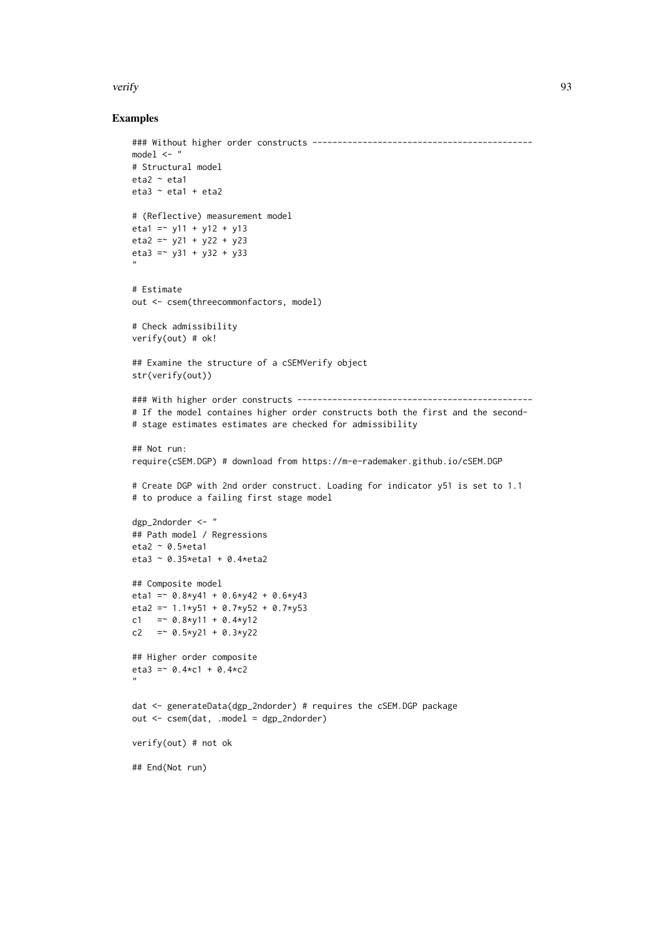#### verify 93

```
### Without higher order constructs --------------------------------------------
model \leq - "
# Structural model
eta2 \sim eta1
eta3 \sim eta1 + eta2
# (Reflective) measurement model
eta1 = \times y11 + y12 + y13
eta2 = \times y21 + y22 + y23
eta3 = -y31 + y32 + y33"
# Estimate
out <- csem(threecommonfactors, model)
# Check admissibility
verify(out) # ok!
## Examine the structure of a cSEMVerify object
str(verify(out))
### With higher order constructs -----------------------------------------------
# If the model containes higher order constructs both the first and the second-
# stage estimates estimates are checked for admissibility
## Not run:
require(cSEM.DGP) # download from https://m-e-rademaker.github.io/cSEM.DGP
# Create DGP with 2nd order construct. Loading for indicator y51 is set to 1.1
# to produce a failing first stage model
dgp_2ndorder <- "
## Path model / Regressions
eta2 \sim 0.5*eta1
eta3 ~ 0.35*eta1 + 0.4*eta2
## Composite model
eta1 = 0.8 \times 41 + 0.6 \times 42 + 0.6 \times 43eta2 = - 1.1*y51 + 0.7*y52 + 0.7*y53
c1 = \degree 0.8 * y 11 + 0.4 * y 12
c2 = \degree 0.5*y21 + 0.3*y22
## Higher order composite
eta3 = 0.4*c1 + 0.4*c2
"
dat <- generateData(dgp_2ndorder) # requires the cSEM.DGP package
out <- csem(dat, .model = dgp_2ndorder)
verify(out) # not ok
## End(Not run)
```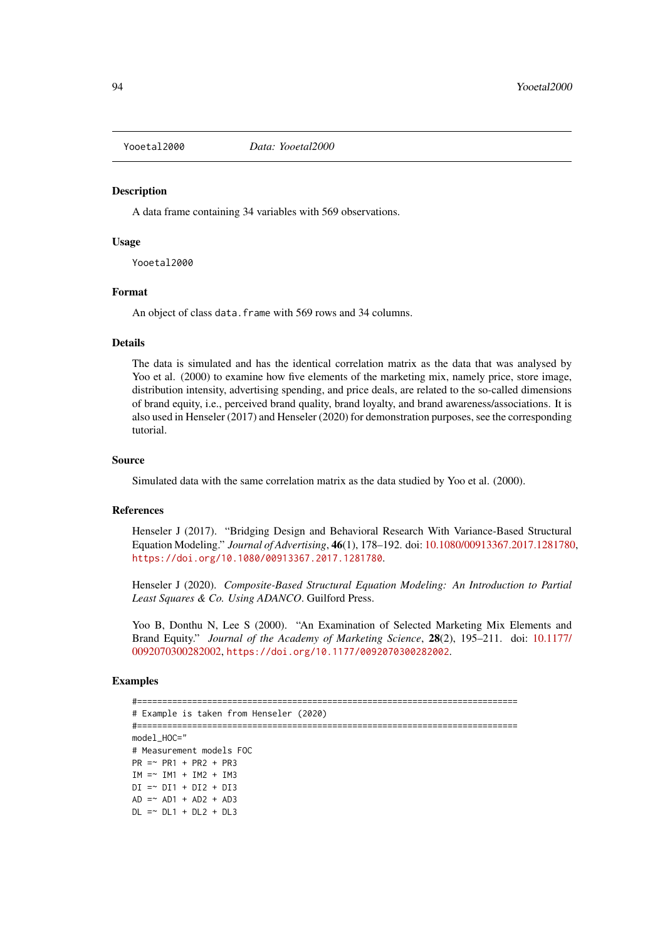<span id="page-93-0"></span>

#### **Description**

A data frame containing 34 variables with 569 observations.

## Usage

Yooetal2000

#### Format

An object of class data. frame with 569 rows and 34 columns.

#### Details

The data is simulated and has the identical correlation matrix as the data that was analysed by Yoo et al. (2000) to examine how five elements of the marketing mix, namely price, store image, distribution intensity, advertising spending, and price deals, are related to the so-called dimensions of brand equity, i.e., perceived brand quality, brand loyalty, and brand awareness/associations. It is also used in Henseler (2017) and Henseler (2020) for demonstration purposes, see the corresponding tutorial.

# Source

Simulated data with the same correlation matrix as the data studied by Yoo et al. (2000).

#### References

Henseler J (2017). "Bridging Design and Behavioral Research With Variance-Based Structural Equation Modeling." *Journal of Advertising*, 46(1), 178–192. doi: [10.1080/00913367.2017.1281780,](https://doi.org/10.1080/00913367.2017.1281780) <https://doi.org/10.1080/00913367.2017.1281780>.

Henseler J (2020). *Composite-Based Structural Equation Modeling: An Introduction to Partial Least Squares & Co. Using ADANCO*. Guilford Press.

Yoo B, Donthu N, Lee S (2000). "An Examination of Selected Marketing Mix Elements and Brand Equity." *Journal of the Academy of Marketing Science*, 28(2), 195–211. doi: [10.1177/](https://doi.org/10.1177/0092070300282002) [0092070300282002,](https://doi.org/10.1177/0092070300282002) <https://doi.org/10.1177/0092070300282002>.

```
#============================================================================
# Example is taken from Henseler (2020)
#============================================================================
model_HOC="
# Measurement models FOC
PR = ~ P R1 + PR2 + PR3IM = \sim IM1 + IM2 + IM3DI = \sim DI1 + DI2 + DI3AD = ~ AD1 + AD2 + AD3DL = ~ DLI + DL2 + DL3
```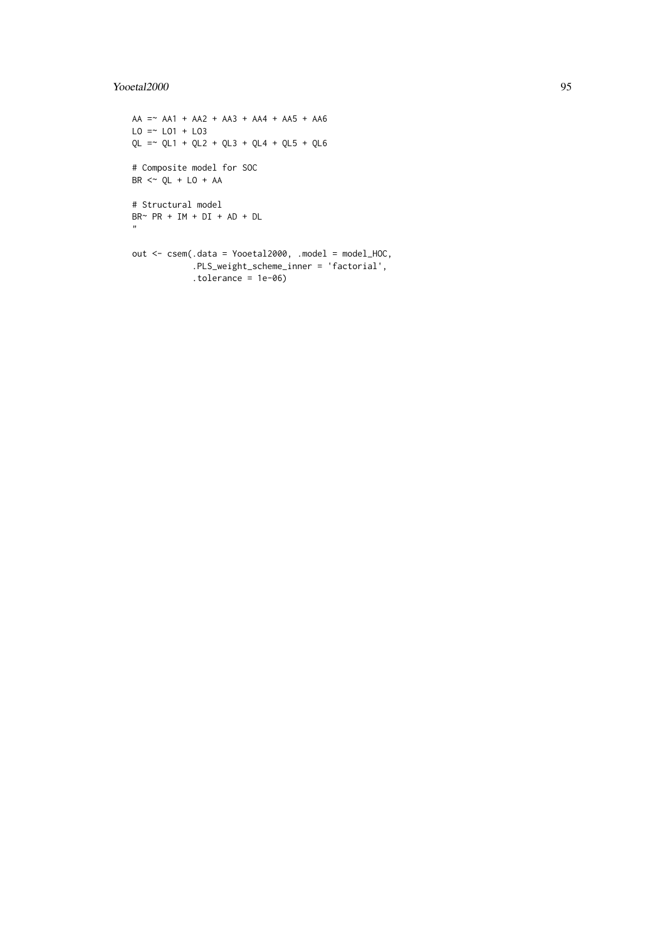# Yooetal2000 95

```
AA = ~ AA1 + AA2 + AA3 + AA4 + AA5 + AA6LO = \sim LO1 + LO3QL = \sim QL1 + QL2 + QL3 + QL4 + QL5 + QL6# Composite model for SOC
BR \leq \sim QL + LO + AA# Structural model
BR \sim PR + IM + DI + AD + DL\mathbf{n}out <- csem(.data = Yooetal2000, .model = model_HOC,
            .PLS_weight_scheme_inner = 'factorial',
            .tolerance = 1e-06)
```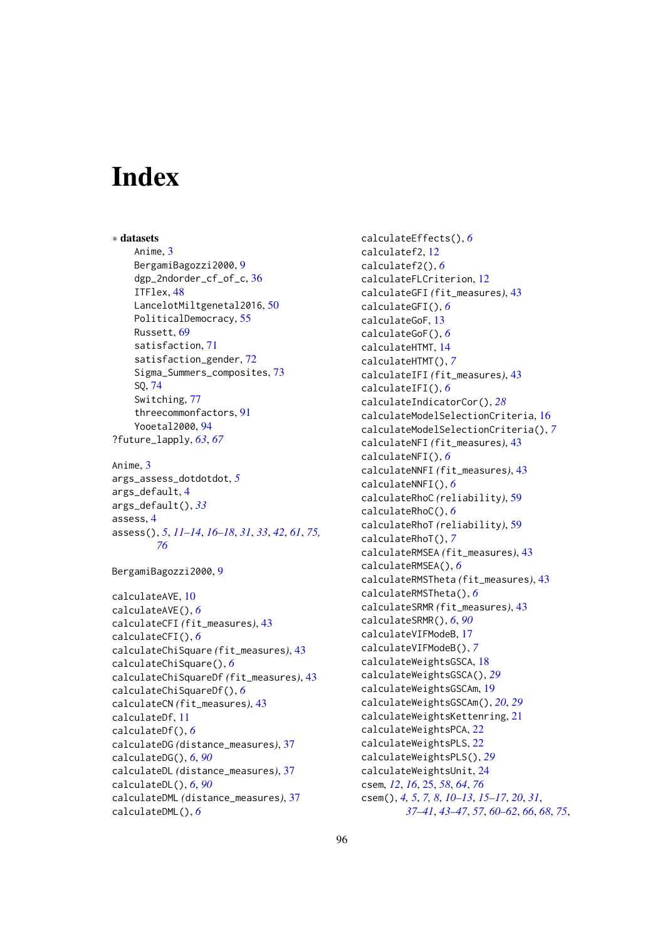# Index

∗ datasets Anime, [3](#page-2-0) BergamiBagozzi2000, [9](#page-8-0) dgp\_2ndorder\_cf\_of\_c, [36](#page-35-0) ITFlex, [48](#page-47-0) LancelotMiltgenetal2016, [50](#page-49-0) PoliticalDemocracy, [55](#page-54-0) Russett, [69](#page-68-0) satisfaction, [71](#page-70-1) satisfaction\_gender, [72](#page-71-0) Sigma\_Summers\_composites, [73](#page-72-0) SQ, [74](#page-73-0) Switching, [77](#page-76-0) threecommonfactors, [91](#page-90-0) Yooetal2000, [94](#page-93-0) ?future\_lapply, *[63](#page-62-0)*, *[67](#page-66-0)* Anime, [3](#page-2-0) args\_assess\_dotdotdot, *[5](#page-4-0)* args\_default, [4](#page-3-1) args\_default(), *[33](#page-32-0)* assess, [4](#page-3-1) assess(), *[5](#page-4-0)*, *[11](#page-10-0)[–14](#page-13-0)*, *[16–](#page-15-0)[18](#page-17-0)*, *[31](#page-30-0)*, *[33](#page-32-0)*, *[42](#page-41-0)*, *[61](#page-60-0)*, *[75,](#page-74-1) [76](#page-75-0)* BergamiBagozzi2000, [9](#page-8-0) calculateAVE, [10](#page-9-0) calculateAVE(), *[6](#page-5-0)* calculateCFI *(*fit\_measures*)*, [43](#page-42-1) calculateCFI(), *[6](#page-5-0)* calculateChiSquare *(*fit\_measures*)*, [43](#page-42-1) calculateChiSquare(), *[6](#page-5-0)* calculateChiSquareDf *(*fit\_measures*)*, [43](#page-42-1) calculateChiSquareDf(), *[6](#page-5-0)* calculateCN *(*fit\_measures*)*, [43](#page-42-1) calculateDf, [11](#page-10-0) calculateDf(), *[6](#page-5-0)*

calculateDG *(*distance\_measures*)*, [37](#page-36-1)

calculateDL *(*distance\_measures*)*, [37](#page-36-1)

calculateDML *(*distance\_measures*)*, [37](#page-36-1)

calculateDG(), *[6](#page-5-0)*, *[90](#page-89-0)*

calculateDL(), *[6](#page-5-0)*, *[90](#page-89-0)*

calculateDML(), *[6](#page-5-0)*

calculateEffects(), *[6](#page-5-0)* calculatef2, [12](#page-11-0) calculatef2(), *[6](#page-5-0)* calculateFLCriterion, [12](#page-11-0) calculateGFI *(*fit\_measures*)*, [43](#page-42-1) calculateGFI(), *[6](#page-5-0)* calculateGoF, [13](#page-12-0) calculateGoF(), *[6](#page-5-0)* calculateHTMT, [14](#page-13-0) calculateHTMT(), *[7](#page-6-0)* calculateIFI *(*fit\_measures*)*, [43](#page-42-1) calculateIFI(), *[6](#page-5-0)* calculateIndicatorCor(), *[28](#page-27-0)* calculateModelSelectionCriteria, [16](#page-15-0) calculateModelSelectionCriteria(), *[7](#page-6-0)* calculateNFI *(*fit\_measures*)*, [43](#page-42-1) calculateNFI(), *[6](#page-5-0)* calculateNNFI *(*fit\_measures*)*, [43](#page-42-1) calculateNNFI(), *[6](#page-5-0)* calculateRhoC *(*reliability*)*, [59](#page-58-0) calculateRhoC(), *[6](#page-5-0)* calculateRhoT *(*reliability*)*, [59](#page-58-0) calculateRhoT(), *[7](#page-6-0)* calculateRMSEA *(*fit\_measures*)*, [43](#page-42-1) calculateRMSEA(), *[6](#page-5-0)* calculateRMSTheta *(*fit\_measures*)*, [43](#page-42-1) calculateRMSTheta(), *[6](#page-5-0)* calculateSRMR *(*fit\_measures*)*, [43](#page-42-1) calculateSRMR(), *[6](#page-5-0)*, *[90](#page-89-0)* calculateVIFModeB, [17](#page-16-0) calculateVIFModeB(), *[7](#page-6-0)* calculateWeightsGSCA, [18](#page-17-0) calculateWeightsGSCA(), *[29](#page-28-0)* calculateWeightsGSCAm, [19](#page-18-0) calculateWeightsGSCAm(), *[20](#page-19-0)*, *[29](#page-28-0)* calculateWeightsKettenring, [21](#page-20-0) calculateWeightsPCA, [22](#page-21-0) calculateWeightsPLS, [22](#page-21-0) calculateWeightsPLS(), *[29](#page-28-0)* calculateWeightsUnit, [24](#page-23-0) csem, *[12](#page-11-0)*, *[16](#page-15-0)*, [25,](#page-24-1) *[58](#page-57-0)*, *[64](#page-63-0)*, *[76](#page-75-0)* csem(), *[4,](#page-3-1) [5](#page-4-0)*, *[7,](#page-6-0) [8](#page-7-0)*, *[10](#page-9-0)[–13](#page-12-0)*, *[15](#page-14-0)[–17](#page-16-0)*, *[20](#page-19-0)*, *[31](#page-30-0)*, *[37](#page-36-1)[–41](#page-40-1)*, *[43](#page-42-1)[–47](#page-46-0)*, *[57](#page-56-0)*, *[60](#page-59-0)[–62](#page-61-0)*, *[66](#page-65-0)*, *[68](#page-67-0)*, *[75](#page-74-1)*,